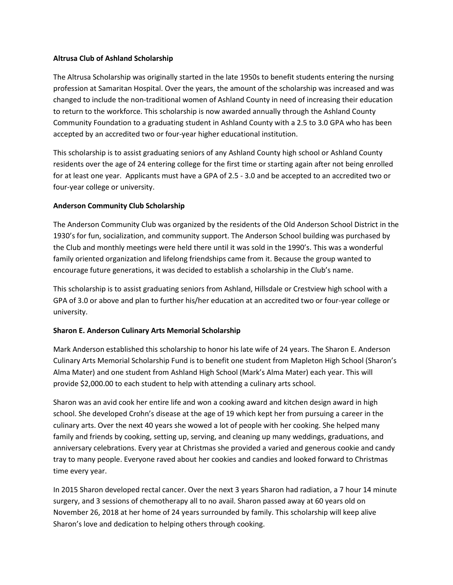#### **Altrusa Club of Ashland Scholarship**

The Altrusa Scholarship was originally started in the late 1950s to benefit students entering the nursing profession at Samaritan Hospital. Over the years, the amount of the scholarship was increased and was changed to include the non-traditional women of Ashland County in need of increasing their education to return to the workforce. This scholarship is now awarded annually through the Ashland County Community Foundation to a graduating student in Ashland County with a 2.5 to 3.0 GPA who has been accepted by an accredited two or four-year higher educational institution.

This scholarship is to assist graduating seniors of any Ashland County high school or Ashland County residents over the age of 24 entering college for the first time or starting again after not being enrolled for at least one year. Applicants must have a GPA of 2.5 - 3.0 and be accepted to an accredited two or four-year college or university.

### **Anderson Community Club Scholarship**

The Anderson Community Club was organized by the residents of the Old Anderson School District in the 1930's for fun, socialization, and community support. The Anderson School building was purchased by the Club and monthly meetings were held there until it was sold in the 1990's. This was a wonderful family oriented organization and lifelong friendships came from it. Because the group wanted to encourage future generations, it was decided to establish a scholarship in the Club's name.

This scholarship is to assist graduating seniors from Ashland, Hillsdale or Crestview high school with a GPA of 3.0 or above and plan to further his/her education at an accredited two or four-year college or university.

## **Sharon E. Anderson Culinary Arts Memorial Scholarship**

Mark Anderson established this scholarship to honor his late wife of 24 years. The Sharon E. Anderson Culinary Arts Memorial Scholarship Fund is to benefit one student from Mapleton High School (Sharon's Alma Mater) and one student from Ashland High School (Mark's Alma Mater) each year. This will provide \$2,000.00 to each student to help with attending a culinary arts school.

Sharon was an avid cook her entire life and won a cooking award and kitchen design award in high school. She developed Crohn's disease at the age of 19 which kept her from pursuing a career in the culinary arts. Over the next 40 years she wowed a lot of people with her cooking. She helped many family and friends by cooking, setting up, serving, and cleaning up many weddings, graduations, and anniversary celebrations. Every year at Christmas she provided a varied and generous cookie and candy tray to many people. Everyone raved about her cookies and candies and looked forward to Christmas time every year.

In 2015 Sharon developed rectal cancer. Over the next 3 years Sharon had radiation, a 7 hour 14 minute surgery, and 3 sessions of chemotherapy all to no avail. Sharon passed away at 60 years old on November 26, 2018 at her home of 24 years surrounded by family. This scholarship will keep alive Sharon's love and dedication to helping others through cooking.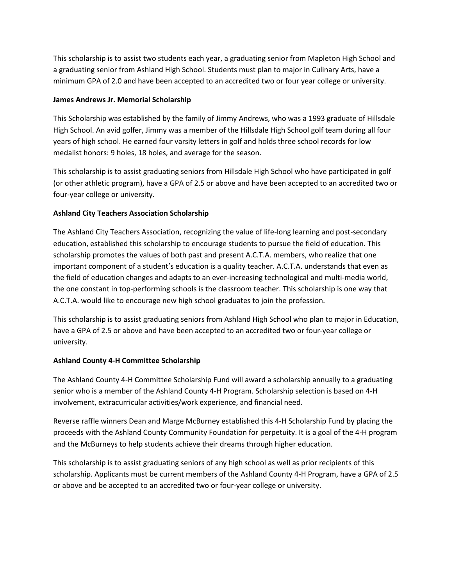This scholarship is to assist two students each year, a graduating senior from Mapleton High School and a graduating senior from Ashland High School. Students must plan to major in Culinary Arts, have a minimum GPA of 2.0 and have been accepted to an accredited two or four year college or university.

### **James Andrews Jr. Memorial Scholarship**

This Scholarship was established by the family of Jimmy Andrews, who was a 1993 graduate of Hillsdale High School. An avid golfer, Jimmy was a member of the Hillsdale High School golf team during all four years of high school. He earned four varsity letters in golf and holds three school records for low medalist honors: 9 holes, 18 holes, and average for the season.

This scholarship is to assist graduating seniors from Hillsdale High School who have participated in golf (or other athletic program), have a GPA of 2.5 or above and have been accepted to an accredited two or four-year college or university.

## **Ashland City Teachers Association Scholarship**

The Ashland City Teachers Association, recognizing the value of life-long learning and post-secondary education, established this scholarship to encourage students to pursue the field of education. This scholarship promotes the values of both past and present A.C.T.A. members, who realize that one important component of a student's education is a quality teacher. A.C.T.A. understands that even as the field of education changes and adapts to an ever-increasing technological and multi-media world, the one constant in top-performing schools is the classroom teacher. This scholarship is one way that A.C.T.A. would like to encourage new high school graduates to join the profession.

This scholarship is to assist graduating seniors from Ashland High School who plan to major in Education, have a GPA of 2.5 or above and have been accepted to an accredited two or four-year college or university.

#### **Ashland County 4-H Committee Scholarship**

The Ashland County 4-H Committee Scholarship Fund will award a scholarship annually to a graduating senior who is a member of the Ashland County 4-H Program. Scholarship selection is based on 4-H involvement, extracurricular activities/work experience, and financial need.

Reverse raffle winners Dean and Marge McBurney established this 4-H Scholarship Fund by placing the proceeds with the Ashland County Community Foundation for perpetuity. It is a goal of the 4-H program and the McBurneys to help students achieve their dreams through higher education.

This scholarship is to assist graduating seniors of any high school as well as prior recipients of this scholarship. Applicants must be current members of the Ashland County 4-H Program, have a GPA of 2.5 or above and be accepted to an accredited two or four-year college or university.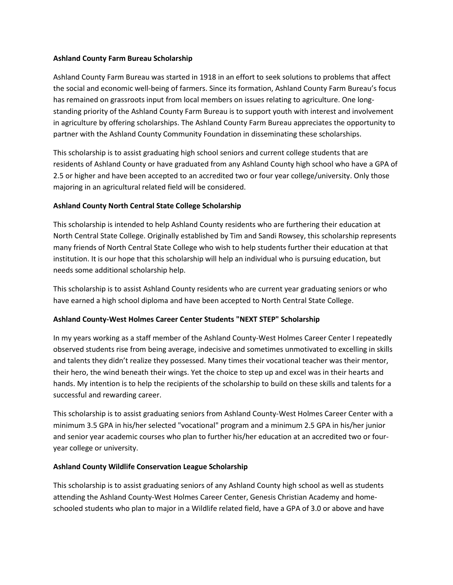#### **Ashland County Farm Bureau Scholarship**

Ashland County Farm Bureau was started in 1918 in an effort to seek solutions to problems that affect the social and economic well-being of farmers. Since its formation, Ashland County Farm Bureau's focus has remained on grassroots input from local members on issues relating to agriculture. One longstanding priority of the Ashland County Farm Bureau is to support youth with interest and involvement in agriculture by offering scholarships. The Ashland County Farm Bureau appreciates the opportunity to partner with the Ashland County Community Foundation in disseminating these scholarships.

This scholarship is to assist graduating high school seniors and current college students that are residents of Ashland County or have graduated from any Ashland County high school who have a GPA of 2.5 or higher and have been accepted to an accredited two or four year college/university. Only those majoring in an agricultural related field will be considered.

## **Ashland County North Central State College Scholarship**

This scholarship is intended to help Ashland County residents who are furthering their education at North Central State College. Originally established by Tim and Sandi Rowsey, this scholarship represents many friends of North Central State College who wish to help students further their education at that institution. It is our hope that this scholarship will help an individual who is pursuing education, but needs some additional scholarship help.

This scholarship is to assist Ashland County residents who are current year graduating seniors or who have earned a high school diploma and have been accepted to North Central State College.

## **Ashland County-West Holmes Career Center Students "NEXT STEP" Scholarship**

In my years working as a staff member of the Ashland County-West Holmes Career Center I repeatedly observed students rise from being average, indecisive and sometimes unmotivated to excelling in skills and talents they didn't realize they possessed. Many times their vocational teacher was their mentor, their hero, the wind beneath their wings. Yet the choice to step up and excel was in their hearts and hands. My intention is to help the recipients of the scholarship to build on these skills and talents for a successful and rewarding career.

This scholarship is to assist graduating seniors from Ashland County-West Holmes Career Center with a minimum 3.5 GPA in his/her selected "vocational" program and a minimum 2.5 GPA in his/her junior and senior year academic courses who plan to further his/her education at an accredited two or fouryear college or university.

#### **Ashland County Wildlife Conservation League Scholarship**

This scholarship is to assist graduating seniors of any Ashland County high school as well as students attending the Ashland County-West Holmes Career Center, Genesis Christian Academy and homeschooled students who plan to major in a Wildlife related field, have a GPA of 3.0 or above and have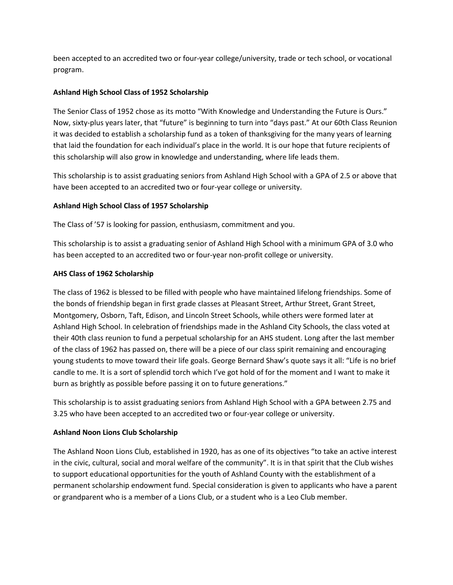been accepted to an accredited two or four-year college/university, trade or tech school, or vocational program.

### **Ashland High School Class of 1952 Scholarship**

The Senior Class of 1952 chose as its motto "With Knowledge and Understanding the Future is Ours." Now, sixty-plus years later, that "future" is beginning to turn into "days past." At our 60th Class Reunion it was decided to establish a scholarship fund as a token of thanksgiving for the many years of learning that laid the foundation for each individual's place in the world. It is our hope that future recipients of this scholarship will also grow in knowledge and understanding, where life leads them.

This scholarship is to assist graduating seniors from Ashland High School with a GPA of 2.5 or above that have been accepted to an accredited two or four-year college or university.

### **Ashland High School Class of 1957 Scholarship**

The Class of '57 is looking for passion, enthusiasm, commitment and you.

This scholarship is to assist a graduating senior of Ashland High School with a minimum GPA of 3.0 who has been accepted to an accredited two or four-year non-profit college or university.

### **AHS Class of 1962 Scholarship**

The class of 1962 is blessed to be filled with people who have maintained lifelong friendships. Some of the bonds of friendship began in first grade classes at Pleasant Street, Arthur Street, Grant Street, Montgomery, Osborn, Taft, Edison, and Lincoln Street Schools, while others were formed later at Ashland High School. In celebration of friendships made in the Ashland City Schools, the class voted at their 40th class reunion to fund a perpetual scholarship for an AHS student. Long after the last member of the class of 1962 has passed on, there will be a piece of our class spirit remaining and encouraging young students to move toward their life goals. George Bernard Shaw's quote says it all: "Life is no brief candle to me. It is a sort of splendid torch which I've got hold of for the moment and I want to make it burn as brightly as possible before passing it on to future generations."

This scholarship is to assist graduating seniors from Ashland High School with a GPA between 2.75 and 3.25 who have been accepted to an accredited two or four-year college or university.

#### **Ashland Noon Lions Club Scholarship**

The Ashland Noon Lions Club, established in 1920, has as one of its objectives "to take an active interest in the civic, cultural, social and moral welfare of the community". It is in that spirit that the Club wishes to support educational opportunities for the youth of Ashland County with the establishment of a permanent scholarship endowment fund. Special consideration is given to applicants who have a parent or grandparent who is a member of a Lions Club, or a student who is a Leo Club member.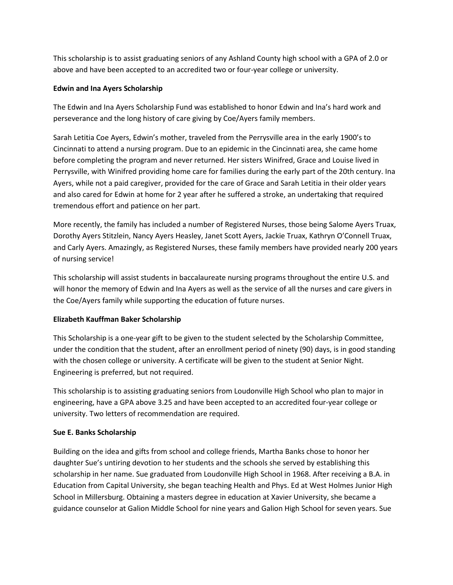This scholarship is to assist graduating seniors of any Ashland County high school with a GPA of 2.0 or above and have been accepted to an accredited two or four-year college or university.

### **Edwin and Ina Ayers Scholarship**

The Edwin and Ina Ayers Scholarship Fund was established to honor Edwin and Ina's hard work and perseverance and the long history of care giving by Coe/Ayers family members.

Sarah Letitia Coe Ayers, Edwin's mother, traveled from the Perrysville area in the early 1900's to Cincinnati to attend a nursing program. Due to an epidemic in the Cincinnati area, she came home before completing the program and never returned. Her sisters Winifred, Grace and Louise lived in Perrysville, with Winifred providing home care for families during the early part of the 20th century. Ina Ayers, while not a paid caregiver, provided for the care of Grace and Sarah Letitia in their older years and also cared for Edwin at home for 2 year after he suffered a stroke, an undertaking that required tremendous effort and patience on her part.

More recently, the family has included a number of Registered Nurses, those being Salome Ayers Truax, Dorothy Ayers Stitzlein, Nancy Ayers Heasley, Janet Scott Ayers, Jackie Truax, Kathryn O'Connell Truax, and Carly Ayers. Amazingly, as Registered Nurses, these family members have provided nearly 200 years of nursing service!

This scholarship will assist students in baccalaureate nursing programs throughout the entire U.S. and will honor the memory of Edwin and Ina Ayers as well as the service of all the nurses and care givers in the Coe/Ayers family while supporting the education of future nurses.

## **Elizabeth Kauffman Baker Scholarship**

This Scholarship is a one-year gift to be given to the student selected by the Scholarship Committee, under the condition that the student, after an enrollment period of ninety (90) days, is in good standing with the chosen college or university. A certificate will be given to the student at Senior Night. Engineering is preferred, but not required.

This scholarship is to assisting graduating seniors from Loudonville High School who plan to major in engineering, have a GPA above 3.25 and have been accepted to an accredited four-year college or university. Two letters of recommendation are required.

#### **Sue E. Banks Scholarship**

Building on the idea and gifts from school and college friends, Martha Banks chose to honor her daughter Sue's untiring devotion to her students and the schools she served by establishing this scholarship in her name. Sue graduated from Loudonville High School in 1968. After receiving a B.A. in Education from Capital University, she began teaching Health and Phys. Ed at West Holmes Junior High School in Millersburg. Obtaining a masters degree in education at Xavier University, she became a guidance counselor at Galion Middle School for nine years and Galion High School for seven years. Sue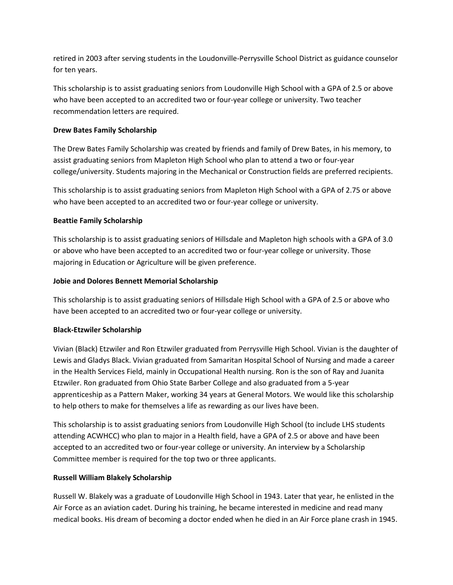retired in 2003 after serving students in the Loudonville-Perrysville School District as guidance counselor for ten years.

This scholarship is to assist graduating seniors from Loudonville High School with a GPA of 2.5 or above who have been accepted to an accredited two or four-year college or university. Two teacher recommendation letters are required.

## **Drew Bates Family Scholarship**

The Drew Bates Family Scholarship was created by friends and family of Drew Bates, in his memory, to assist graduating seniors from Mapleton High School who plan to attend a two or four-year college/university. Students majoring in the Mechanical or Construction fields are preferred recipients.

This scholarship is to assist graduating seniors from Mapleton High School with a GPA of 2.75 or above who have been accepted to an accredited two or four-year college or university.

### **Beattie Family Scholarship**

This scholarship is to assist graduating seniors of Hillsdale and Mapleton high schools with a GPA of 3.0 or above who have been accepted to an accredited two or four-year college or university. Those majoring in Education or Agriculture will be given preference.

### **Jobie and Dolores Bennett Memorial Scholarship**

This scholarship is to assist graduating seniors of Hillsdale High School with a GPA of 2.5 or above who have been accepted to an accredited two or four-year college or university.

#### **Black-Etzwiler Scholarship**

Vivian (Black) Etzwiler and Ron Etzwiler graduated from Perrysville High School. Vivian is the daughter of Lewis and Gladys Black. Vivian graduated from Samaritan Hospital School of Nursing and made a career in the Health Services Field, mainly in Occupational Health nursing. Ron is the son of Ray and Juanita Etzwiler. Ron graduated from Ohio State Barber College and also graduated from a 5-year apprenticeship as a Pattern Maker, working 34 years at General Motors. We would like this scholarship to help others to make for themselves a life as rewarding as our lives have been.

This scholarship is to assist graduating seniors from Loudonville High School (to include LHS students attending ACWHCC) who plan to major in a Health field, have a GPA of 2.5 or above and have been accepted to an accredited two or four-year college or university. An interview by a Scholarship Committee member is required for the top two or three applicants.

## **Russell William Blakely Scholarship**

Russell W. Blakely was a graduate of Loudonville High School in 1943. Later that year, he enlisted in the Air Force as an aviation cadet. During his training, he became interested in medicine and read many medical books. His dream of becoming a doctor ended when he died in an Air Force plane crash in 1945.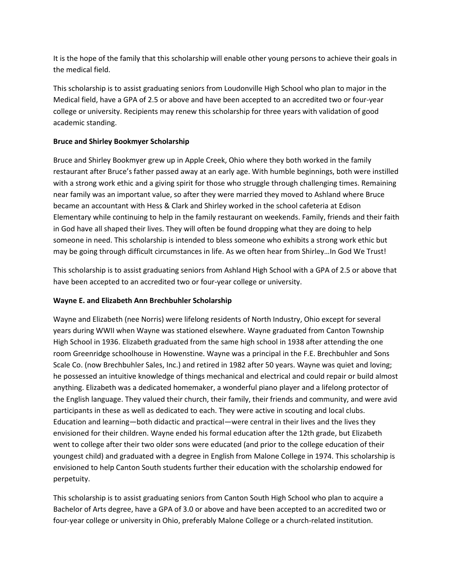It is the hope of the family that this scholarship will enable other young persons to achieve their goals in the medical field.

This scholarship is to assist graduating seniors from Loudonville High School who plan to major in the Medical field, have a GPA of 2.5 or above and have been accepted to an accredited two or four-year college or university. Recipients may renew this scholarship for three years with validation of good academic standing.

## **Bruce and Shirley Bookmyer Scholarship**

Bruce and Shirley Bookmyer grew up in Apple Creek, Ohio where they both worked in the family restaurant after Bruce's father passed away at an early age. With humble beginnings, both were instilled with a strong work ethic and a giving spirit for those who struggle through challenging times. Remaining near family was an important value, so after they were married they moved to Ashland where Bruce became an accountant with Hess & Clark and Shirley worked in the school cafeteria at Edison Elementary while continuing to help in the family restaurant on weekends. Family, friends and their faith in God have all shaped their lives. They will often be found dropping what they are doing to help someone in need. This scholarship is intended to bless someone who exhibits a strong work ethic but may be going through difficult circumstances in life. As we often hear from Shirley…In God We Trust!

This scholarship is to assist graduating seniors from Ashland High School with a GPA of 2.5 or above that have been accepted to an accredited two or four-year college or university.

## **Wayne E. and Elizabeth Ann Brechbuhler Scholarship**

Wayne and Elizabeth (nee Norris) were lifelong residents of North Industry, Ohio except for several years during WWII when Wayne was stationed elsewhere. Wayne graduated from Canton Township High School in 1936. Elizabeth graduated from the same high school in 1938 after attending the one room Greenridge schoolhouse in Howenstine. Wayne was a principal in the F.E. Brechbuhler and Sons Scale Co. (now Brechbuhler Sales, Inc.) and retired in 1982 after 50 years. Wayne was quiet and loving; he possessed an intuitive knowledge of things mechanical and electrical and could repair or build almost anything. Elizabeth was a dedicated homemaker, a wonderful piano player and a lifelong protector of the English language. They valued their church, their family, their friends and community, and were avid participants in these as well as dedicated to each. They were active in scouting and local clubs. Education and learning—both didactic and practical—were central in their lives and the lives they envisioned for their children. Wayne ended his formal education after the 12th grade, but Elizabeth went to college after their two older sons were educated (and prior to the college education of their youngest child) and graduated with a degree in English from Malone College in 1974. This scholarship is envisioned to help Canton South students further their education with the scholarship endowed for perpetuity.

This scholarship is to assist graduating seniors from Canton South High School who plan to acquire a Bachelor of Arts degree, have a GPA of 3.0 or above and have been accepted to an accredited two or four-year college or university in Ohio, preferably Malone College or a church-related institution.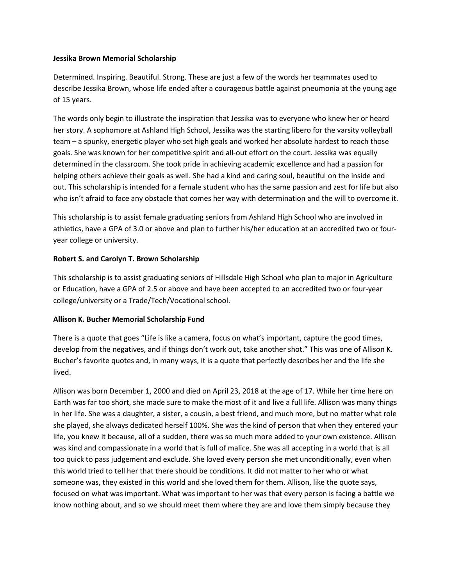#### **Jessika Brown Memorial Scholarship**

Determined. Inspiring. Beautiful. Strong. These are just a few of the words her teammates used to describe Jessika Brown, whose life ended after a courageous battle against pneumonia at the young age of 15 years.

The words only begin to illustrate the inspiration that Jessika was to everyone who knew her or heard her story. A sophomore at Ashland High School, Jessika was the starting libero for the varsity volleyball team – a spunky, energetic player who set high goals and worked her absolute hardest to reach those goals. She was known for her competitive spirit and all-out effort on the court. Jessika was equally determined in the classroom. She took pride in achieving academic excellence and had a passion for helping others achieve their goals as well. She had a kind and caring soul, beautiful on the inside and out. This scholarship is intended for a female student who has the same passion and zest for life but also who isn't afraid to face any obstacle that comes her way with determination and the will to overcome it.

This scholarship is to assist female graduating seniors from Ashland High School who are involved in athletics, have a GPA of 3.0 or above and plan to further his/her education at an accredited two or fouryear college or university.

#### **Robert S. and Carolyn T. Brown Scholarship**

This scholarship is to assist graduating seniors of Hillsdale High School who plan to major in Agriculture or Education, have a GPA of 2.5 or above and have been accepted to an accredited two or four-year college/university or a Trade/Tech/Vocational school.

#### **Allison K. Bucher Memorial Scholarship Fund**

There is a quote that goes "Life is like a camera, focus on what's important, capture the good times, develop from the negatives, and if things don't work out, take another shot." This was one of Allison K. Bucher's favorite quotes and, in many ways, it is a quote that perfectly describes her and the life she lived.

Allison was born December 1, 2000 and died on April 23, 2018 at the age of 17. While her time here on Earth was far too short, she made sure to make the most of it and live a full life. Allison was many things in her life. She was a daughter, a sister, a cousin, a best friend, and much more, but no matter what role she played, she always dedicated herself 100%. She was the kind of person that when they entered your life, you knew it because, all of a sudden, there was so much more added to your own existence. Allison was kind and compassionate in a world that is full of malice. She was all accepting in a world that is all too quick to pass judgement and exclude. She loved every person she met unconditionally, even when this world tried to tell her that there should be conditions. It did not matter to her who or what someone was, they existed in this world and she loved them for them. Allison, like the quote says, focused on what was important. What was important to her was that every person is facing a battle we know nothing about, and so we should meet them where they are and love them simply because they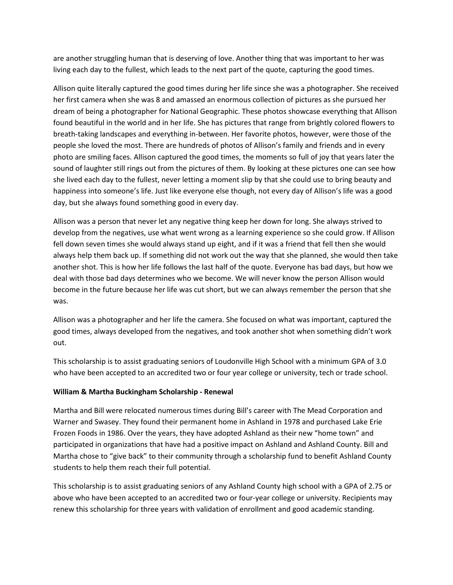are another struggling human that is deserving of love. Another thing that was important to her was living each day to the fullest, which leads to the next part of the quote, capturing the good times.

Allison quite literally captured the good times during her life since she was a photographer. She received her first camera when she was 8 and amassed an enormous collection of pictures as she pursued her dream of being a photographer for National Geographic. These photos showcase everything that Allison found beautiful in the world and in her life. She has pictures that range from brightly colored flowers to breath-taking landscapes and everything in-between. Her favorite photos, however, were those of the people she loved the most. There are hundreds of photos of Allison's family and friends and in every photo are smiling faces. Allison captured the good times, the moments so full of joy that years later the sound of laughter still rings out from the pictures of them. By looking at these pictures one can see how she lived each day to the fullest, never letting a moment slip by that she could use to bring beauty and happiness into someone's life. Just like everyone else though, not every day of Allison's life was a good day, but she always found something good in every day.

Allison was a person that never let any negative thing keep her down for long. She always strived to develop from the negatives, use what went wrong as a learning experience so she could grow. If Allison fell down seven times she would always stand up eight, and if it was a friend that fell then she would always help them back up. If something did not work out the way that she planned, she would then take another shot. This is how her life follows the last half of the quote. Everyone has bad days, but how we deal with those bad days determines who we become. We will never know the person Allison would become in the future because her life was cut short, but we can always remember the person that she was.

Allison was a photographer and her life the camera. She focused on what was important, captured the good times, always developed from the negatives, and took another shot when something didn't work out.

This scholarship is to assist graduating seniors of Loudonville High School with a minimum GPA of 3.0 who have been accepted to an accredited two or four year college or university, tech or trade school.

#### **William & Martha Buckingham Scholarship - Renewal**

Martha and Bill were relocated numerous times during Bill's career with The Mead Corporation and Warner and Swasey. They found their permanent home in Ashland in 1978 and purchased Lake Erie Frozen Foods in 1986. Over the years, they have adopted Ashland as their new "home town" and participated in organizations that have had a positive impact on Ashland and Ashland County. Bill and Martha chose to "give back" to their community through a scholarship fund to benefit Ashland County students to help them reach their full potential.

This scholarship is to assist graduating seniors of any Ashland County high school with a GPA of 2.75 or above who have been accepted to an accredited two or four-year college or university. Recipients may renew this scholarship for three years with validation of enrollment and good academic standing.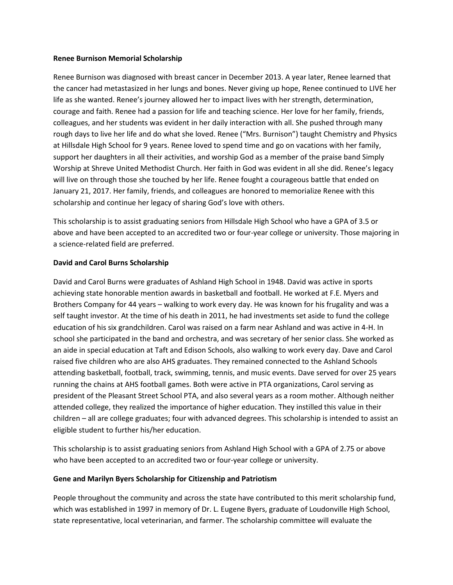#### **Renee Burnison Memorial Scholarship**

Renee Burnison was diagnosed with breast cancer in December 2013. A year later, Renee learned that the cancer had metastasized in her lungs and bones. Never giving up hope, Renee continued to LIVE her life as she wanted. Renee's journey allowed her to impact lives with her strength, determination, courage and faith. Renee had a passion for life and teaching science. Her love for her family, friends, colleagues, and her students was evident in her daily interaction with all. She pushed through many rough days to live her life and do what she loved. Renee ("Mrs. Burnison") taught Chemistry and Physics at Hillsdale High School for 9 years. Renee loved to spend time and go on vacations with her family, support her daughters in all their activities, and worship God as a member of the praise band Simply Worship at Shreve United Methodist Church. Her faith in God was evident in all she did. Renee's legacy will live on through those she touched by her life. Renee fought a courageous battle that ended on January 21, 2017. Her family, friends, and colleagues are honored to memorialize Renee with this scholarship and continue her legacy of sharing God's love with others.

This scholarship is to assist graduating seniors from Hillsdale High School who have a GPA of 3.5 or above and have been accepted to an accredited two or four-year college or university. Those majoring in a science-related field are preferred.

#### **David and Carol Burns Scholarship**

David and Carol Burns were graduates of Ashland High School in 1948. David was active in sports achieving state honorable mention awards in basketball and football. He worked at F.E. Myers and Brothers Company for 44 years – walking to work every day. He was known for his frugality and was a self taught investor. At the time of his death in 2011, he had investments set aside to fund the college education of his six grandchildren. Carol was raised on a farm near Ashland and was active in 4-H. In school she participated in the band and orchestra, and was secretary of her senior class. She worked as an aide in special education at Taft and Edison Schools, also walking to work every day. Dave and Carol raised five children who are also AHS graduates. They remained connected to the Ashland Schools attending basketball, football, track, swimming, tennis, and music events. Dave served for over 25 years running the chains at AHS football games. Both were active in PTA organizations, Carol serving as president of the Pleasant Street School PTA, and also several years as a room mother. Although neither attended college, they realized the importance of higher education. They instilled this value in their children – all are college graduates; four with advanced degrees. This scholarship is intended to assist an eligible student to further his/her education.

This scholarship is to assist graduating seniors from Ashland High School with a GPA of 2.75 or above who have been accepted to an accredited two or four-year college or university.

#### **Gene and Marilyn Byers Scholarship for Citizenship and Patriotism**

People throughout the community and across the state have contributed to this merit scholarship fund, which was established in 1997 in memory of Dr. L. Eugene Byers, graduate of Loudonville High School, state representative, local veterinarian, and farmer. The scholarship committee will evaluate the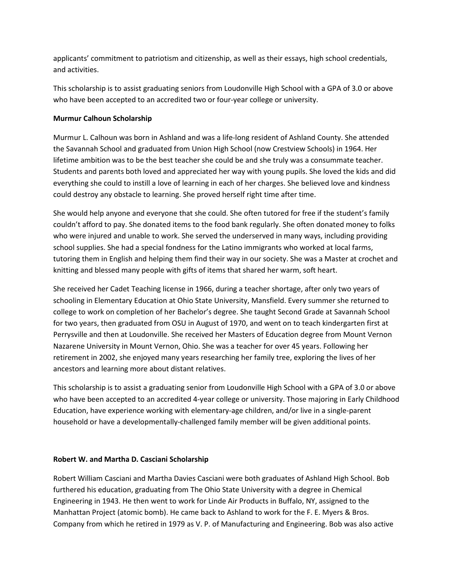applicants' commitment to patriotism and citizenship, as well as their essays, high school credentials, and activities.

This scholarship is to assist graduating seniors from Loudonville High School with a GPA of 3.0 or above who have been accepted to an accredited two or four-year college or university.

### **Murmur Calhoun Scholarship**

Murmur L. Calhoun was born in Ashland and was a life-long resident of Ashland County. She attended the Savannah School and graduated from Union High School (now Crestview Schools) in 1964. Her lifetime ambition was to be the best teacher she could be and she truly was a consummate teacher. Students and parents both loved and appreciated her way with young pupils. She loved the kids and did everything she could to instill a love of learning in each of her charges. She believed love and kindness could destroy any obstacle to learning. She proved herself right time after time.

She would help anyone and everyone that she could. She often tutored for free if the student's family couldn't afford to pay. She donated items to the food bank regularly. She often donated money to folks who were injured and unable to work. She served the underserved in many ways, including providing school supplies. She had a special fondness for the Latino immigrants who worked at local farms, tutoring them in English and helping them find their way in our society. She was a Master at crochet and knitting and blessed many people with gifts of items that shared her warm, soft heart.

She received her Cadet Teaching license in 1966, during a teacher shortage, after only two years of schooling in Elementary Education at Ohio State University, Mansfield. Every summer she returned to college to work on completion of her Bachelor's degree. She taught Second Grade at Savannah School for two years, then graduated from OSU in August of 1970, and went on to teach kindergarten first at Perrysville and then at Loudonville. She received her Masters of Education degree from Mount Vernon Nazarene University in Mount Vernon, Ohio. She was a teacher for over 45 years. Following her retirement in 2002, she enjoyed many years researching her family tree, exploring the lives of her ancestors and learning more about distant relatives.

This scholarship is to assist a graduating senior from Loudonville High School with a GPA of 3.0 or above who have been accepted to an accredited 4-year college or university. Those majoring in Early Childhood Education, have experience working with elementary-age children, and/or live in a single-parent household or have a developmentally-challenged family member will be given additional points.

## **Robert W. and Martha D. Casciani Scholarship**

Robert William Casciani and Martha Davies Casciani were both graduates of Ashland High School. Bob furthered his education, graduating from The Ohio State University with a degree in Chemical Engineering in 1943. He then went to work for Linde Air Products in Buffalo, NY, assigned to the Manhattan Project (atomic bomb). He came back to Ashland to work for the F. E. Myers & Bros. Company from which he retired in 1979 as V. P. of Manufacturing and Engineering. Bob was also active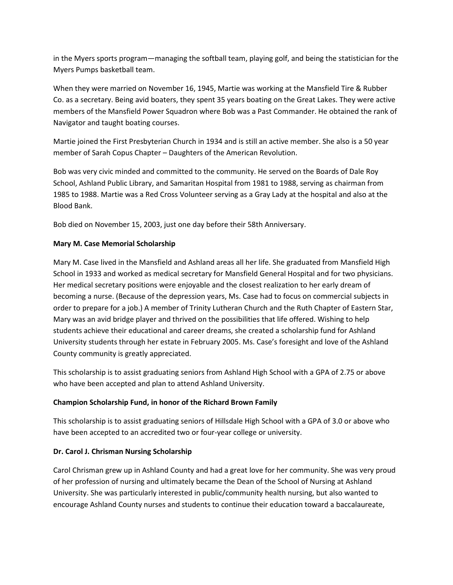in the Myers sports program—managing the softball team, playing golf, and being the statistician for the Myers Pumps basketball team.

When they were married on November 16, 1945, Martie was working at the Mansfield Tire & Rubber Co. as a secretary. Being avid boaters, they spent 35 years boating on the Great Lakes. They were active members of the Mansfield Power Squadron where Bob was a Past Commander. He obtained the rank of Navigator and taught boating courses.

Martie joined the First Presbyterian Church in 1934 and is still an active member. She also is a 50 year member of Sarah Copus Chapter – Daughters of the American Revolution.

Bob was very civic minded and committed to the community. He served on the Boards of Dale Roy School, Ashland Public Library, and Samaritan Hospital from 1981 to 1988, serving as chairman from 1985 to 1988. Martie was a Red Cross Volunteer serving as a Gray Lady at the hospital and also at the Blood Bank.

Bob died on November 15, 2003, just one day before their 58th Anniversary.

## **Mary M. Case Memorial Scholarship**

Mary M. Case lived in the Mansfield and Ashland areas all her life. She graduated from Mansfield High School in 1933 and worked as medical secretary for Mansfield General Hospital and for two physicians. Her medical secretary positions were enjoyable and the closest realization to her early dream of becoming a nurse. (Because of the depression years, Ms. Case had to focus on commercial subjects in order to prepare for a job.) A member of Trinity Lutheran Church and the Ruth Chapter of Eastern Star, Mary was an avid bridge player and thrived on the possibilities that life offered. Wishing to help students achieve their educational and career dreams, she created a scholarship fund for Ashland University students through her estate in February 2005. Ms. Case's foresight and love of the Ashland County community is greatly appreciated.

This scholarship is to assist graduating seniors from Ashland High School with a GPA of 2.75 or above who have been accepted and plan to attend Ashland University.

# **Champion Scholarship Fund, in honor of the Richard Brown Family**

This scholarship is to assist graduating seniors of Hillsdale High School with a GPA of 3.0 or above who have been accepted to an accredited two or four-year college or university.

## **Dr. Carol J. Chrisman Nursing Scholarship**

Carol Chrisman grew up in Ashland County and had a great love for her community. She was very proud of her profession of nursing and ultimately became the Dean of the School of Nursing at Ashland University. She was particularly interested in public/community health nursing, but also wanted to encourage Ashland County nurses and students to continue their education toward a baccalaureate,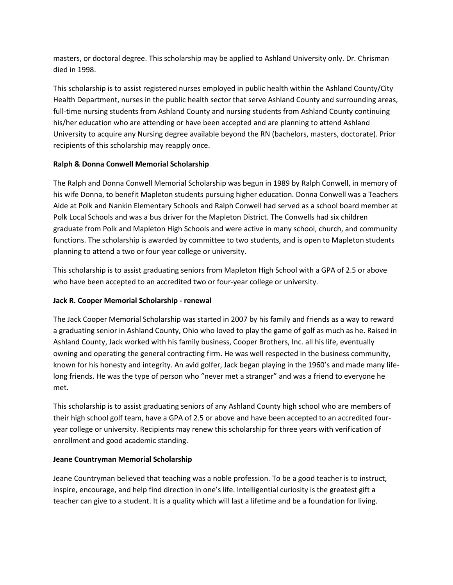masters, or doctoral degree. This scholarship may be applied to Ashland University only. Dr. Chrisman died in 1998.

This scholarship is to assist registered nurses employed in public health within the Ashland County/City Health Department, nurses in the public health sector that serve Ashland County and surrounding areas, full-time nursing students from Ashland County and nursing students from Ashland County continuing his/her education who are attending or have been accepted and are planning to attend Ashland University to acquire any Nursing degree available beyond the RN (bachelors, masters, doctorate). Prior recipients of this scholarship may reapply once.

## **Ralph & Donna Conwell Memorial Scholarship**

The Ralph and Donna Conwell Memorial Scholarship was begun in 1989 by Ralph Conwell, in memory of his wife Donna, to benefit Mapleton students pursuing higher education. Donna Conwell was a Teachers Aide at Polk and Nankin Elementary Schools and Ralph Conwell had served as a school board member at Polk Local Schools and was a bus driver for the Mapleton District. The Conwells had six children graduate from Polk and Mapleton High Schools and were active in many school, church, and community functions. The scholarship is awarded by committee to two students, and is open to Mapleton students planning to attend a two or four year college or university.

This scholarship is to assist graduating seniors from Mapleton High School with a GPA of 2.5 or above who have been accepted to an accredited two or four-year college or university.

# **Jack R. Cooper Memorial Scholarship - renewal**

The Jack Cooper Memorial Scholarship was started in 2007 by his family and friends as a way to reward a graduating senior in Ashland County, Ohio who loved to play the game of golf as much as he. Raised in Ashland County, Jack worked with his family business, Cooper Brothers, Inc. all his life, eventually owning and operating the general contracting firm. He was well respected in the business community, known for his honesty and integrity. An avid golfer, Jack began playing in the 1960's and made many lifelong friends. He was the type of person who "never met a stranger" and was a friend to everyone he met.

This scholarship is to assist graduating seniors of any Ashland County high school who are members of their high school golf team, have a GPA of 2.5 or above and have been accepted to an accredited fouryear college or university. Recipients may renew this scholarship for three years with verification of enrollment and good academic standing.

## **Jeane Countryman Memorial Scholarship**

Jeane Countryman believed that teaching was a noble profession. To be a good teacher is to instruct, inspire, encourage, and help find direction in one's life. Intelligential curiosity is the greatest gift a teacher can give to a student. It is a quality which will last a lifetime and be a foundation for living.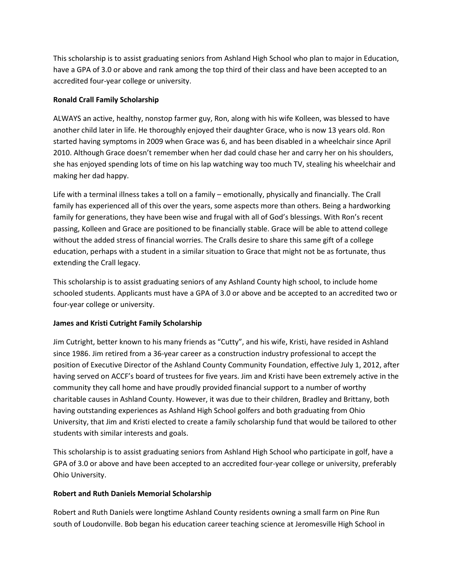This scholarship is to assist graduating seniors from Ashland High School who plan to major in Education, have a GPA of 3.0 or above and rank among the top third of their class and have been accepted to an accredited four-year college or university.

### **Ronald Crall Family Scholarship**

ALWAYS an active, healthy, nonstop farmer guy, Ron, along with his wife Kolleen, was blessed to have another child later in life. He thoroughly enjoyed their daughter Grace, who is now 13 years old. Ron started having symptoms in 2009 when Grace was 6, and has been disabled in a wheelchair since April 2010. Although Grace doesn't remember when her dad could chase her and carry her on his shoulders, she has enjoyed spending lots of time on his lap watching way too much TV, stealing his wheelchair and making her dad happy.

Life with a terminal illness takes a toll on a family – emotionally, physically and financially. The Crall family has experienced all of this over the years, some aspects more than others. Being a hardworking family for generations, they have been wise and frugal with all of God's blessings. With Ron's recent passing, Kolleen and Grace are positioned to be financially stable. Grace will be able to attend college without the added stress of financial worries. The Cralls desire to share this same gift of a college education, perhaps with a student in a similar situation to Grace that might not be as fortunate, thus extending the Crall legacy.

This scholarship is to assist graduating seniors of any Ashland County high school, to include home schooled students. Applicants must have a GPA of 3.0 or above and be accepted to an accredited two or four-year college or university.

## **James and Kristi Cutright Family Scholarship**

Jim Cutright, better known to his many friends as "Cutty", and his wife, Kristi, have resided in Ashland since 1986. Jim retired from a 36-year career as a construction industry professional to accept the position of Executive Director of the Ashland County Community Foundation, effective July 1, 2012, after having served on ACCF's board of trustees for five years. Jim and Kristi have been extremely active in the community they call home and have proudly provided financial support to a number of worthy charitable causes in Ashland County. However, it was due to their children, Bradley and Brittany, both having outstanding experiences as Ashland High School golfers and both graduating from Ohio University, that Jim and Kristi elected to create a family scholarship fund that would be tailored to other students with similar interests and goals.

This scholarship is to assist graduating seniors from Ashland High School who participate in golf, have a GPA of 3.0 or above and have been accepted to an accredited four-year college or university, preferably Ohio University.

#### **Robert and Ruth Daniels Memorial Scholarship**

Robert and Ruth Daniels were longtime Ashland County residents owning a small farm on Pine Run south of Loudonville. Bob began his education career teaching science at Jeromesville High School in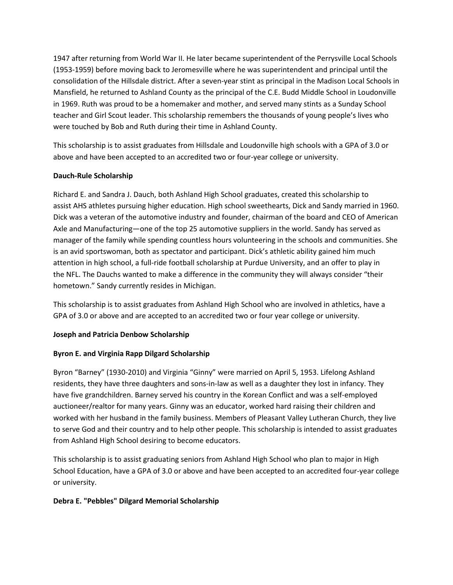1947 after returning from World War II. He later became superintendent of the Perrysville Local Schools (1953-1959) before moving back to Jeromesville where he was superintendent and principal until the consolidation of the Hillsdale district. After a seven-year stint as principal in the Madison Local Schools in Mansfield, he returned to Ashland County as the principal of the C.E. Budd Middle School in Loudonville in 1969. Ruth was proud to be a homemaker and mother, and served many stints as a Sunday School teacher and Girl Scout leader. This scholarship remembers the thousands of young people's lives who were touched by Bob and Ruth during their time in Ashland County.

This scholarship is to assist graduates from Hillsdale and Loudonville high schools with a GPA of 3.0 or above and have been accepted to an accredited two or four-year college or university.

### **Dauch-Rule Scholarship**

Richard E. and Sandra J. Dauch, both Ashland High School graduates, created this scholarship to assist AHS athletes pursuing higher education. High school sweethearts, Dick and Sandy married in 1960. Dick was a veteran of the automotive industry and founder, chairman of the board and CEO of American Axle and Manufacturing—one of the top 25 automotive suppliers in the world. Sandy has served as manager of the family while spending countless hours volunteering in the schools and communities. She is an avid sportswoman, both as spectator and participant. Dick's athletic ability gained him much attention in high school, a full-ride football scholarship at Purdue University, and an offer to play in the NFL. The Dauchs wanted to make a difference in the community they will always consider "their hometown." Sandy currently resides in Michigan.

This scholarship is to assist graduates from Ashland High School who are involved in athletics, have a GPA of 3.0 or above and are accepted to an accredited two or four year college or university.

#### **Joseph and Patricia Denbow Scholarship**

## **Byron E. and Virginia Rapp Dilgard Scholarship**

Byron "Barney" (1930-2010) and Virginia "Ginny" were married on April 5, 1953. Lifelong Ashland residents, they have three daughters and sons-in-law as well as a daughter they lost in infancy. They have five grandchildren. Barney served his country in the Korean Conflict and was a self-employed auctioneer/realtor for many years. Ginny was an educator, worked hard raising their children and worked with her husband in the family business. Members of Pleasant Valley Lutheran Church, they live to serve God and their country and to help other people. This scholarship is intended to assist graduates from Ashland High School desiring to become educators.

This scholarship is to assist graduating seniors from Ashland High School who plan to major in High School Education, have a GPA of 3.0 or above and have been accepted to an accredited four-year college or university.

#### **Debra E. "Pebbles" Dilgard Memorial Scholarship**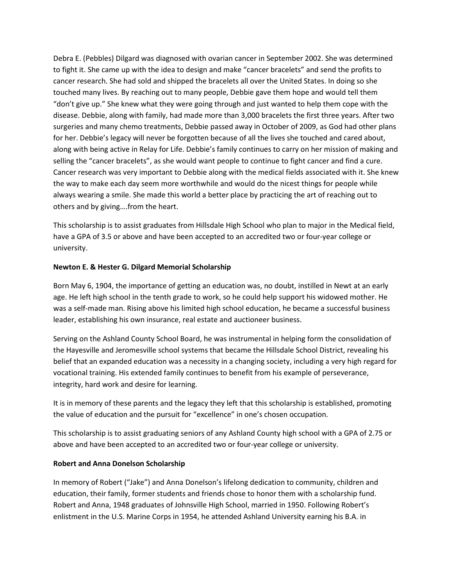Debra E. (Pebbles) Dilgard was diagnosed with ovarian cancer in September 2002. She was determined to fight it. She came up with the idea to design and make "cancer bracelets" and send the profits to cancer research. She had sold and shipped the bracelets all over the United States. In doing so she touched many lives. By reaching out to many people, Debbie gave them hope and would tell them "don't give up." She knew what they were going through and just wanted to help them cope with the disease. Debbie, along with family, had made more than 3,000 bracelets the first three years. After two surgeries and many chemo treatments, Debbie passed away in October of 2009, as God had other plans for her. Debbie's legacy will never be forgotten because of all the lives she touched and cared about, along with being active in Relay for Life. Debbie's family continues to carry on her mission of making and selling the "cancer bracelets", as she would want people to continue to fight cancer and find a cure. Cancer research was very important to Debbie along with the medical fields associated with it. She knew the way to make each day seem more worthwhile and would do the nicest things for people while always wearing a smile. She made this world a better place by practicing the art of reaching out to others and by giving….from the heart.

This scholarship is to assist graduates from Hillsdale High School who plan to major in the Medical field, have a GPA of 3.5 or above and have been accepted to an accredited two or four-year college or university.

#### **Newton E. & Hester G. Dilgard Memorial Scholarship**

Born May 6, 1904, the importance of getting an education was, no doubt, instilled in Newt at an early age. He left high school in the tenth grade to work, so he could help support his widowed mother. He was a self-made man. Rising above his limited high school education, he became a successful business leader, establishing his own insurance, real estate and auctioneer business.

Serving on the Ashland County School Board, he was instrumental in helping form the consolidation of the Hayesville and Jeromesville school systems that became the Hillsdale School District, revealing his belief that an expanded education was a necessity in a changing society, including a very high regard for vocational training. His extended family continues to benefit from his example of perseverance, integrity, hard work and desire for learning.

It is in memory of these parents and the legacy they left that this scholarship is established, promoting the value of education and the pursuit for "excellence" in one's chosen occupation.

This scholarship is to assist graduating seniors of any Ashland County high school with a GPA of 2.75 or above and have been accepted to an accredited two or four-year college or university.

## **Robert and Anna Donelson Scholarship**

In memory of Robert ("Jake") and Anna Donelson's lifelong dedication to community, children and education, their family, former students and friends chose to honor them with a scholarship fund. Robert and Anna, 1948 graduates of Johnsville High School, married in 1950. Following Robert's enlistment in the U.S. Marine Corps in 1954, he attended Ashland University earning his B.A. in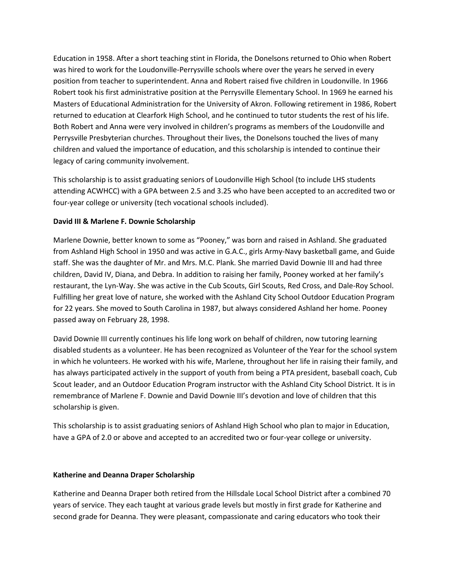Education in 1958. After a short teaching stint in Florida, the Donelsons returned to Ohio when Robert was hired to work for the Loudonville-Perrysville schools where over the years he served in every position from teacher to superintendent. Anna and Robert raised five children in Loudonville. In 1966 Robert took his first administrative position at the Perrysville Elementary School. In 1969 he earned his Masters of Educational Administration for the University of Akron. Following retirement in 1986, Robert returned to education at Clearfork High School, and he continued to tutor students the rest of his life. Both Robert and Anna were very involved in children's programs as members of the Loudonville and Perrysville Presbyterian churches. Throughout their lives, the Donelsons touched the lives of many children and valued the importance of education, and this scholarship is intended to continue their legacy of caring community involvement.

This scholarship is to assist graduating seniors of Loudonville High School (to include LHS students attending ACWHCC) with a GPA between 2.5 and 3.25 who have been accepted to an accredited two or four-year college or university (tech vocational schools included).

#### **David III & Marlene F. Downie Scholarship**

Marlene Downie, better known to some as "Pooney," was born and raised in Ashland. She graduated from Ashland High School in 1950 and was active in G.A.C., girls Army-Navy basketball game, and Guide staff. She was the daughter of Mr. and Mrs. M.C. Plank. She married David Downie III and had three children, David IV, Diana, and Debra. In addition to raising her family, Pooney worked at her family's restaurant, the Lyn-Way. She was active in the Cub Scouts, Girl Scouts, Red Cross, and Dale-Roy School. Fulfilling her great love of nature, she worked with the Ashland City School Outdoor Education Program for 22 years. She moved to South Carolina in 1987, but always considered Ashland her home. Pooney passed away on February 28, 1998.

David Downie III currently continues his life long work on behalf of children, now tutoring learning disabled students as a volunteer. He has been recognized as Volunteer of the Year for the school system in which he volunteers. He worked with his wife, Marlene, throughout her life in raising their family, and has always participated actively in the support of youth from being a PTA president, baseball coach, Cub Scout leader, and an Outdoor Education Program instructor with the Ashland City School District. It is in remembrance of Marlene F. Downie and David Downie III's devotion and love of children that this scholarship is given.

This scholarship is to assist graduating seniors of Ashland High School who plan to major in Education, have a GPA of 2.0 or above and accepted to an accredited two or four-year college or university.

#### **Katherine and Deanna Draper Scholarship**

Katherine and Deanna Draper both retired from the Hillsdale Local School District after a combined 70 years of service. They each taught at various grade levels but mostly in first grade for Katherine and second grade for Deanna. They were pleasant, compassionate and caring educators who took their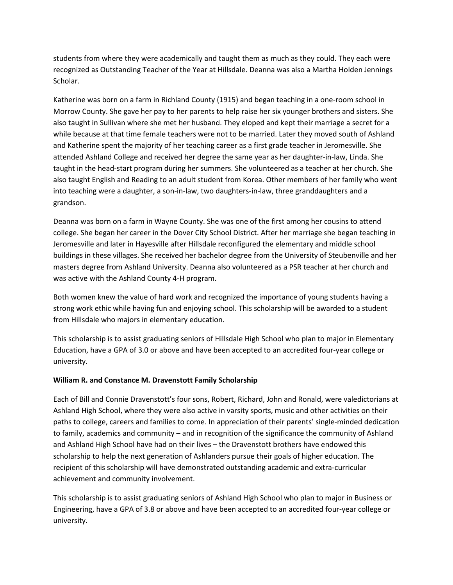students from where they were academically and taught them as much as they could. They each were recognized as Outstanding Teacher of the Year at Hillsdale. Deanna was also a Martha Holden Jennings Scholar.

Katherine was born on a farm in Richland County (1915) and began teaching in a one-room school in Morrow County. She gave her pay to her parents to help raise her six younger brothers and sisters. She also taught in Sullivan where she met her husband. They eloped and kept their marriage a secret for a while because at that time female teachers were not to be married. Later they moved south of Ashland and Katherine spent the majority of her teaching career as a first grade teacher in Jeromesville. She attended Ashland College and received her degree the same year as her daughter-in-law, Linda. She taught in the head-start program during her summers. She volunteered as a teacher at her church. She also taught English and Reading to an adult student from Korea. Other members of her family who went into teaching were a daughter, a son-in-law, two daughters-in-law, three granddaughters and a grandson.

Deanna was born on a farm in Wayne County. She was one of the first among her cousins to attend college. She began her career in the Dover City School District. After her marriage she began teaching in Jeromesville and later in Hayesville after Hillsdale reconfigured the elementary and middle school buildings in these villages. She received her bachelor degree from the University of Steubenville and her masters degree from Ashland University. Deanna also volunteered as a PSR teacher at her church and was active with the Ashland County 4-H program.

Both women knew the value of hard work and recognized the importance of young students having a strong work ethic while having fun and enjoying school. This scholarship will be awarded to a student from Hillsdale who majors in elementary education.

This scholarship is to assist graduating seniors of Hillsdale High School who plan to major in Elementary Education, have a GPA of 3.0 or above and have been accepted to an accredited four-year college or university.

## **William R. and Constance M. Dravenstott Family Scholarship**

Each of Bill and Connie Dravenstott's four sons, Robert, Richard, John and Ronald, were valedictorians at Ashland High School, where they were also active in varsity sports, music and other activities on their paths to college, careers and families to come. In appreciation of their parents' single-minded dedication to family, academics and community – and in recognition of the significance the community of Ashland and Ashland High School have had on their lives – the Dravenstott brothers have endowed this scholarship to help the next generation of Ashlanders pursue their goals of higher education. The recipient of this scholarship will have demonstrated outstanding academic and extra-curricular achievement and community involvement.

This scholarship is to assist graduating seniors of Ashland High School who plan to major in Business or Engineering, have a GPA of 3.8 or above and have been accepted to an accredited four-year college or university.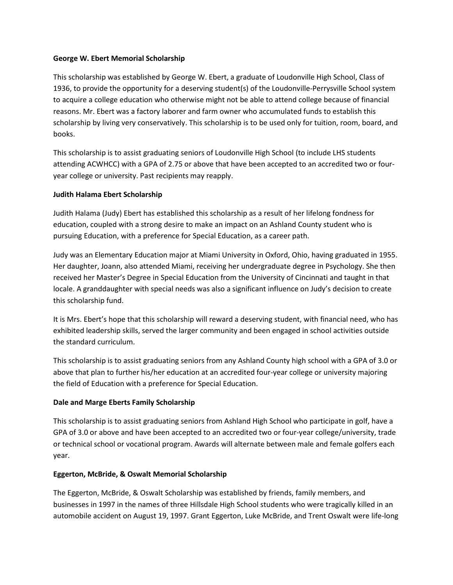### **George W. Ebert Memorial Scholarship**

This scholarship was established by George W. Ebert, a graduate of Loudonville High School, Class of 1936, to provide the opportunity for a deserving student(s) of the Loudonville-Perrysville School system to acquire a college education who otherwise might not be able to attend college because of financial reasons. Mr. Ebert was a factory laborer and farm owner who accumulated funds to establish this scholarship by living very conservatively. This scholarship is to be used only for tuition, room, board, and books.

This scholarship is to assist graduating seniors of Loudonville High School (to include LHS students attending ACWHCC) with a GPA of 2.75 or above that have been accepted to an accredited two or fouryear college or university. Past recipients may reapply.

### **Judith Halama Ebert Scholarship**

Judith Halama (Judy) Ebert has established this scholarship as a result of her lifelong fondness for education, coupled with a strong desire to make an impact on an Ashland County student who is pursuing Education, with a preference for Special Education, as a career path.

Judy was an Elementary Education major at Miami University in Oxford, Ohio, having graduated in 1955. Her daughter, Joann, also attended Miami, receiving her undergraduate degree in Psychology. She then received her Master's Degree in Special Education from the University of Cincinnati and taught in that locale. A granddaughter with special needs was also a significant influence on Judy's decision to create this scholarship fund.

It is Mrs. Ebert's hope that this scholarship will reward a deserving student, with financial need, who has exhibited leadership skills, served the larger community and been engaged in school activities outside the standard curriculum.

This scholarship is to assist graduating seniors from any Ashland County high school with a GPA of 3.0 or above that plan to further his/her education at an accredited four-year college or university majoring the field of Education with a preference for Special Education.

## **Dale and Marge Eberts Family Scholarship**

This scholarship is to assist graduating seniors from Ashland High School who participate in golf, have a GPA of 3.0 or above and have been accepted to an accredited two or four-year college/university, trade or technical school or vocational program. Awards will alternate between male and female golfers each year.

#### **Eggerton, McBride, & Oswalt Memorial Scholarship**

The Eggerton, McBride, & Oswalt Scholarship was established by friends, family members, and businesses in 1997 in the names of three Hillsdale High School students who were tragically killed in an automobile accident on August 19, 1997. Grant Eggerton, Luke McBride, and Trent Oswalt were life-long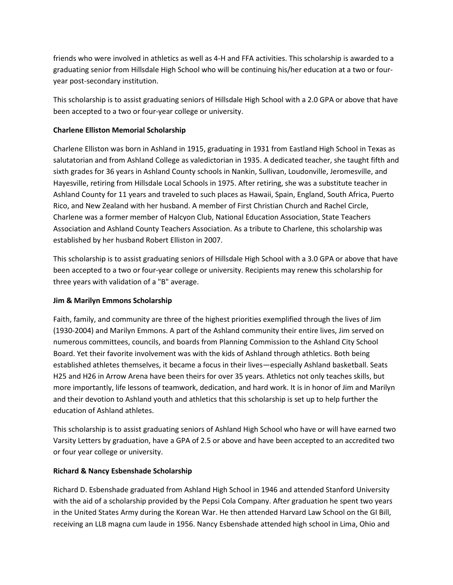friends who were involved in athletics as well as 4-H and FFA activities. This scholarship is awarded to a graduating senior from Hillsdale High School who will be continuing his/her education at a two or fouryear post-secondary institution.

This scholarship is to assist graduating seniors of Hillsdale High School with a 2.0 GPA or above that have been accepted to a two or four-year college or university.

## **Charlene Elliston Memorial Scholarship**

Charlene Elliston was born in Ashland in 1915, graduating in 1931 from Eastland High School in Texas as salutatorian and from Ashland College as valedictorian in 1935. A dedicated teacher, she taught fifth and sixth grades for 36 years in Ashland County schools in Nankin, Sullivan, Loudonville, Jeromesville, and Hayesville, retiring from Hillsdale Local Schools in 1975. After retiring, she was a substitute teacher in Ashland County for 11 years and traveled to such places as Hawaii, Spain, England, South Africa, Puerto Rico, and New Zealand with her husband. A member of First Christian Church and Rachel Circle, Charlene was a former member of Halcyon Club, National Education Association, State Teachers Association and Ashland County Teachers Association. As a tribute to Charlene, this scholarship was established by her husband Robert Elliston in 2007.

This scholarship is to assist graduating seniors of Hillsdale High School with a 3.0 GPA or above that have been accepted to a two or four-year college or university. Recipients may renew this scholarship for three years with validation of a "B" average.

#### **Jim & Marilyn Emmons Scholarship**

Faith, family, and community are three of the highest priorities exemplified through the lives of Jim (1930-2004) and Marilyn Emmons. A part of the Ashland community their entire lives, Jim served on numerous committees, councils, and boards from Planning Commission to the Ashland City School Board. Yet their favorite involvement was with the kids of Ashland through athletics. Both being established athletes themselves, it became a focus in their lives—especially Ashland basketball. Seats H25 and H26 in Arrow Arena have been theirs for over 35 years. Athletics not only teaches skills, but more importantly, life lessons of teamwork, dedication, and hard work. It is in honor of Jim and Marilyn and their devotion to Ashland youth and athletics that this scholarship is set up to help further the education of Ashland athletes.

This scholarship is to assist graduating seniors of Ashland High School who have or will have earned two Varsity Letters by graduation, have a GPA of 2.5 or above and have been accepted to an accredited two or four year college or university.

#### **Richard & Nancy Esbenshade Scholarship**

Richard D. Esbenshade graduated from Ashland High School in 1946 and attended Stanford University with the aid of a scholarship provided by the Pepsi Cola Company. After graduation he spent two years in the United States Army during the Korean War. He then attended Harvard Law School on the GI Bill, receiving an LLB magna cum laude in 1956. Nancy Esbenshade attended high school in Lima, Ohio and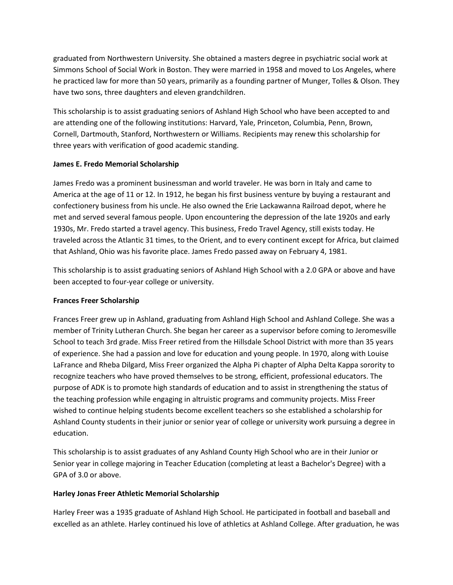graduated from Northwestern University. She obtained a masters degree in psychiatric social work at Simmons School of Social Work in Boston. They were married in 1958 and moved to Los Angeles, where he practiced law for more than 50 years, primarily as a founding partner of Munger, Tolles & Olson. They have two sons, three daughters and eleven grandchildren.

This scholarship is to assist graduating seniors of Ashland High School who have been accepted to and are attending one of the following institutions: Harvard, Yale, Princeton, Columbia, Penn, Brown, Cornell, Dartmouth, Stanford, Northwestern or Williams. Recipients may renew this scholarship for three years with verification of good academic standing.

## **James E. Fredo Memorial Scholarship**

James Fredo was a prominent businessman and world traveler. He was born in Italy and came to America at the age of 11 or 12. In 1912, he began his first business venture by buying a restaurant and confectionery business from his uncle. He also owned the Erie Lackawanna Railroad depot, where he met and served several famous people. Upon encountering the depression of the late 1920s and early 1930s, Mr. Fredo started a travel agency. This business, Fredo Travel Agency, still exists today. He traveled across the Atlantic 31 times, to the Orient, and to every continent except for Africa, but claimed that Ashland, Ohio was his favorite place. James Fredo passed away on February 4, 1981.

This scholarship is to assist graduating seniors of Ashland High School with a 2.0 GPA or above and have been accepted to four-year college or university.

## **Frances Freer Scholarship**

Frances Freer grew up in Ashland, graduating from Ashland High School and Ashland College. She was a member of Trinity Lutheran Church. She began her career as a supervisor before coming to Jeromesville School to teach 3rd grade. Miss Freer retired from the Hillsdale School District with more than 35 years of experience. She had a passion and love for education and young people. In 1970, along with Louise LaFrance and Rheba Dilgard, Miss Freer organized the Alpha Pi chapter of Alpha Delta Kappa sorority to recognize teachers who have proved themselves to be strong, efficient, professional educators. The purpose of ADK is to promote high standards of education and to assist in strengthening the status of the teaching profession while engaging in altruistic programs and community projects. Miss Freer wished to continue helping students become excellent teachers so she established a scholarship for Ashland County students in their junior or senior year of college or university work pursuing a degree in education.

This scholarship is to assist graduates of any Ashland County High School who are in their Junior or Senior year in college majoring in Teacher Education (completing at least a Bachelor's Degree) with a GPA of 3.0 or above.

## **Harley Jonas Freer Athletic Memorial Scholarship**

Harley Freer was a 1935 graduate of Ashland High School. He participated in football and baseball and excelled as an athlete. Harley continued his love of athletics at Ashland College. After graduation, he was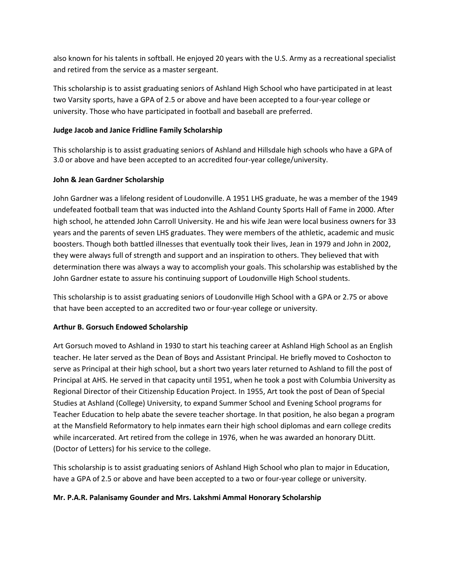also known for his talents in softball. He enjoyed 20 years with the U.S. Army as a recreational specialist and retired from the service as a master sergeant.

This scholarship is to assist graduating seniors of Ashland High School who have participated in at least two Varsity sports, have a GPA of 2.5 or above and have been accepted to a four-year college or university. Those who have participated in football and baseball are preferred.

## **Judge Jacob and Janice Fridline Family Scholarship**

This scholarship is to assist graduating seniors of Ashland and Hillsdale high schools who have a GPA of 3.0 or above and have been accepted to an accredited four-year college/university.

## **John & Jean Gardner Scholarship**

John Gardner was a lifelong resident of Loudonville. A 1951 LHS graduate, he was a member of the 1949 undefeated football team that was inducted into the Ashland County Sports Hall of Fame in 2000. After high school, he attended John Carroll University. He and his wife Jean were local business owners for 33 years and the parents of seven LHS graduates. They were members of the athletic, academic and music boosters. Though both battled illnesses that eventually took their lives, Jean in 1979 and John in 2002, they were always full of strength and support and an inspiration to others. They believed that with determination there was always a way to accomplish your goals. This scholarship was established by the John Gardner estate to assure his continuing support of Loudonville High School students.

This scholarship is to assist graduating seniors of Loudonville High School with a GPA or 2.75 or above that have been accepted to an accredited two or four-year college or university.

# **Arthur B. Gorsuch Endowed Scholarship**

Art Gorsuch moved to Ashland in 1930 to start his teaching career at Ashland High School as an English teacher. He later served as the Dean of Boys and Assistant Principal. He briefly moved to Coshocton to serve as Principal at their high school, but a short two years later returned to Ashland to fill the post of Principal at AHS. He served in that capacity until 1951, when he took a post with Columbia University as Regional Director of their Citizenship Education Project. In 1955, Art took the post of Dean of Special Studies at Ashland (College) University, to expand Summer School and Evening School programs for Teacher Education to help abate the severe teacher shortage. In that position, he also began a program at the Mansfield Reformatory to help inmates earn their high school diplomas and earn college credits while incarcerated. Art retired from the college in 1976, when he was awarded an honorary DLitt. (Doctor of Letters) for his service to the college.

This scholarship is to assist graduating seniors of Ashland High School who plan to major in Education, have a GPA of 2.5 or above and have been accepted to a two or four-year college or university.

## **Mr. P.A.R. Palanisamy Gounder and Mrs. Lakshmi Ammal Honorary Scholarship**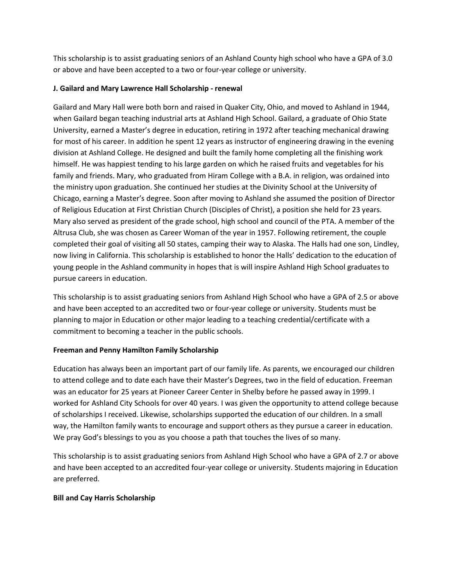This scholarship is to assist graduating seniors of an Ashland County high school who have a GPA of 3.0 or above and have been accepted to a two or four-year college or university.

### **J. Gailard and Mary Lawrence Hall Scholarship - renewal**

Gailard and Mary Hall were both born and raised in Quaker City, Ohio, and moved to Ashland in 1944, when Gailard began teaching industrial arts at Ashland High School. Gailard, a graduate of Ohio State University, earned a Master's degree in education, retiring in 1972 after teaching mechanical drawing for most of his career. In addition he spent 12 years as instructor of engineering drawing in the evening division at Ashland College. He designed and built the family home completing all the finishing work himself. He was happiest tending to his large garden on which he raised fruits and vegetables for his family and friends. Mary, who graduated from Hiram College with a B.A. in religion, was ordained into the ministry upon graduation. She continued her studies at the Divinity School at the University of Chicago, earning a Master's degree. Soon after moving to Ashland she assumed the position of Director of Religious Education at First Christian Church (Disciples of Christ), a position she held for 23 years. Mary also served as president of the grade school, high school and council of the PTA. A member of the Altrusa Club, she was chosen as Career Woman of the year in 1957. Following retirement, the couple completed their goal of visiting all 50 states, camping their way to Alaska. The Halls had one son, Lindley, now living in California. This scholarship is established to honor the Halls' dedication to the education of young people in the Ashland community in hopes that is will inspire Ashland High School graduates to pursue careers in education.

This scholarship is to assist graduating seniors from Ashland High School who have a GPA of 2.5 or above and have been accepted to an accredited two or four-year college or university. Students must be planning to major in Education or other major leading to a teaching credential/certificate with a commitment to becoming a teacher in the public schools.

## **Freeman and Penny Hamilton Family Scholarship**

Education has always been an important part of our family life. As parents, we encouraged our children to attend college and to date each have their Master's Degrees, two in the field of education. Freeman was an educator for 25 years at Pioneer Career Center in Shelby before he passed away in 1999. I worked for Ashland City Schools for over 40 years. I was given the opportunity to attend college because of scholarships I received. Likewise, scholarships supported the education of our children. In a small way, the Hamilton family wants to encourage and support others as they pursue a career in education. We pray God's blessings to you as you choose a path that touches the lives of so many.

This scholarship is to assist graduating seniors from Ashland High School who have a GPA of 2.7 or above and have been accepted to an accredited four-year college or university. Students majoring in Education are preferred.

## **Bill and Cay Harris Scholarship**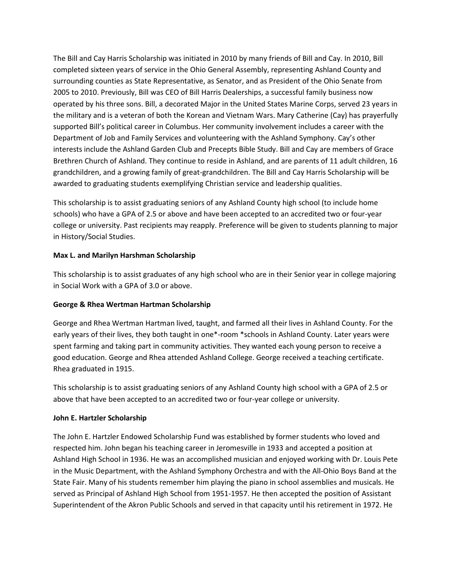The Bill and Cay Harris Scholarship was initiated in 2010 by many friends of Bill and Cay. In 2010, Bill completed sixteen years of service in the Ohio General Assembly, representing Ashland County and surrounding counties as State Representative, as Senator, and as President of the Ohio Senate from 2005 to 2010. Previously, Bill was CEO of Bill Harris Dealerships, a successful family business now operated by his three sons. Bill, a decorated Major in the United States Marine Corps, served 23 years in the military and is a veteran of both the Korean and Vietnam Wars. Mary Catherine (Cay) has prayerfully supported Bill's political career in Columbus. Her community involvement includes a career with the Department of Job and Family Services and volunteering with the Ashland Symphony. Cay's other interests include the Ashland Garden Club and Precepts Bible Study. Bill and Cay are members of Grace Brethren Church of Ashland. They continue to reside in Ashland, and are parents of 11 adult children, 16 grandchildren, and a growing family of great-grandchildren. The Bill and Cay Harris Scholarship will be awarded to graduating students exemplifying Christian service and leadership qualities.

This scholarship is to assist graduating seniors of any Ashland County high school (to include home schools) who have a GPA of 2.5 or above and have been accepted to an accredited two or four-year college or university. Past recipients may reapply. Preference will be given to students planning to major in History/Social Studies.

### **Max L. and Marilyn Harshman Scholarship**

This scholarship is to assist graduates of any high school who are in their Senior year in college majoring in Social Work with a GPA of 3.0 or above.

#### **George & Rhea Wertman Hartman Scholarship**

George and Rhea Wertman Hartman lived, taught, and farmed all their lives in Ashland County. For the early years of their lives, they both taught in one\*-room \*schools in Ashland County. Later years were spent farming and taking part in community activities. They wanted each young person to receive a good education. George and Rhea attended Ashland College. George received a teaching certificate. Rhea graduated in 1915.

This scholarship is to assist graduating seniors of any Ashland County high school with a GPA of 2.5 or above that have been accepted to an accredited two or four-year college or university.

#### **John E. Hartzler Scholarship**

The John E. Hartzler Endowed Scholarship Fund was established by former students who loved and respected him. John began his teaching career in Jeromesville in 1933 and accepted a position at Ashland High School in 1936. He was an accomplished musician and enjoyed working with Dr. Louis Pete in the Music Department, with the Ashland Symphony Orchestra and with the All-Ohio Boys Band at the State Fair. Many of his students remember him playing the piano in school assemblies and musicals. He served as Principal of Ashland High School from 1951-1957. He then accepted the position of Assistant Superintendent of the Akron Public Schools and served in that capacity until his retirement in 1972. He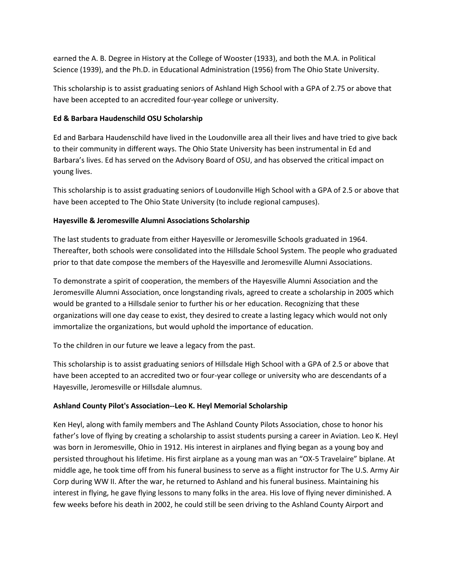earned the A. B. Degree in History at the College of Wooster (1933), and both the M.A. in Political Science (1939), and the Ph.D. in Educational Administration (1956) from The Ohio State University.

This scholarship is to assist graduating seniors of Ashland High School with a GPA of 2.75 or above that have been accepted to an accredited four-year college or university.

#### **Ed & Barbara Haudenschild OSU Scholarship**

Ed and Barbara Haudenschild have lived in the Loudonville area all their lives and have tried to give back to their community in different ways. The Ohio State University has been instrumental in Ed and Barbara's lives. Ed has served on the Advisory Board of OSU, and has observed the critical impact on young lives.

This scholarship is to assist graduating seniors of Loudonville High School with a GPA of 2.5 or above that have been accepted to The Ohio State University (to include regional campuses).

### **Hayesville & Jeromesville Alumni Associations Scholarship**

The last students to graduate from either Hayesville or Jeromesville Schools graduated in 1964. Thereafter, both schools were consolidated into the Hillsdale School System. The people who graduated prior to that date compose the members of the Hayesville and Jeromesville Alumni Associations.

To demonstrate a spirit of cooperation, the members of the Hayesville Alumni Association and the Jeromesville Alumni Association, once longstanding rivals, agreed to create a scholarship in 2005 which would be granted to a Hillsdale senior to further his or her education. Recognizing that these organizations will one day cease to exist, they desired to create a lasting legacy which would not only immortalize the organizations, but would uphold the importance of education.

To the children in our future we leave a legacy from the past.

This scholarship is to assist graduating seniors of Hillsdale High School with a GPA of 2.5 or above that have been accepted to an accredited two or four-year college or university who are descendants of a Hayesville, Jeromesville or Hillsdale alumnus.

## **Ashland County Pilot's Association--Leo K. Heyl Memorial Scholarship**

Ken Heyl, along with family members and The Ashland County Pilots Association, chose to honor his father's love of flying by creating a scholarship to assist students pursing a career in Aviation. Leo K. Heyl was born in Jeromesville, Ohio in 1912. His interest in airplanes and flying began as a young boy and persisted throughout his lifetime. His first airplane as a young man was an "OX-5 Travelaire" biplane. At middle age, he took time off from his funeral business to serve as a flight instructor for The U.S. Army Air Corp during WW II. After the war, he returned to Ashland and his funeral business. Maintaining his interest in flying, he gave flying lessons to many folks in the area. His love of flying never diminished. A few weeks before his death in 2002, he could still be seen driving to the Ashland County Airport and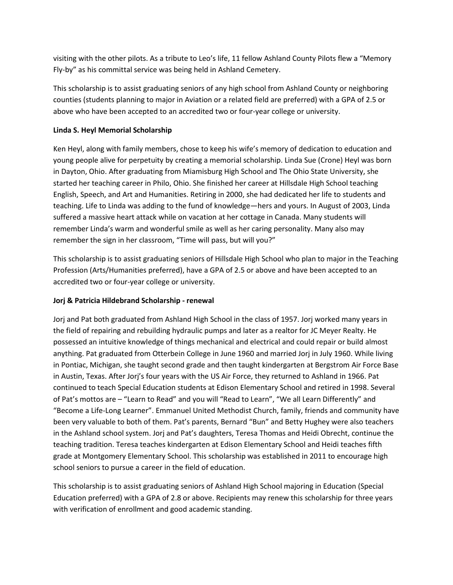visiting with the other pilots. As a tribute to Leo's life, 11 fellow Ashland County Pilots flew a "Memory Fly-by" as his committal service was being held in Ashland Cemetery.

This scholarship is to assist graduating seniors of any high school from Ashland County or neighboring counties (students planning to major in Aviation or a related field are preferred) with a GPA of 2.5 or above who have been accepted to an accredited two or four-year college or university.

## **Linda S. Heyl Memorial Scholarship**

Ken Heyl, along with family members, chose to keep his wife's memory of dedication to education and young people alive for perpetuity by creating a memorial scholarship. Linda Sue (Crone) Heyl was born in Dayton, Ohio. After graduating from Miamisburg High School and The Ohio State University, she started her teaching career in Philo, Ohio. She finished her career at Hillsdale High School teaching English, Speech, and Art and Humanities. Retiring in 2000, she had dedicated her life to students and teaching. Life to Linda was adding to the fund of knowledge—hers and yours. In August of 2003, Linda suffered a massive heart attack while on vacation at her cottage in Canada. Many students will remember Linda's warm and wonderful smile as well as her caring personality. Many also may remember the sign in her classroom, "Time will pass, but will you?"

This scholarship is to assist graduating seniors of Hillsdale High School who plan to major in the Teaching Profession (Arts/Humanities preferred), have a GPA of 2.5 or above and have been accepted to an accredited two or four-year college or university.

## **Jorj & Patricia Hildebrand Scholarship - renewal**

Jorj and Pat both graduated from Ashland High School in the class of 1957. Jorj worked many years in the field of repairing and rebuilding hydraulic pumps and later as a realtor for JC Meyer Realty. He possessed an intuitive knowledge of things mechanical and electrical and could repair or build almost anything. Pat graduated from Otterbein College in June 1960 and married Jorj in July 1960. While living in Pontiac, Michigan, she taught second grade and then taught kindergarten at Bergstrom Air Force Base in Austin, Texas. After Jorj's four years with the US Air Force, they returned to Ashland in 1966. Pat continued to teach Special Education students at Edison Elementary School and retired in 1998. Several of Pat's mottos are – "Learn to Read" and you will "Read to Learn", "We all Learn Differently" and "Become a Life-Long Learner". Emmanuel United Methodist Church, family, friends and community have been very valuable to both of them. Pat's parents, Bernard "Bun" and Betty Hughey were also teachers in the Ashland school system. Jorj and Pat's daughters, Teresa Thomas and Heidi Obrecht, continue the teaching tradition. Teresa teaches kindergarten at Edison Elementary School and Heidi teaches fifth grade at Montgomery Elementary School. This scholarship was established in 2011 to encourage high school seniors to pursue a career in the field of education.

This scholarship is to assist graduating seniors of Ashland High School majoring in Education (Special Education preferred) with a GPA of 2.8 or above. Recipients may renew this scholarship for three years with verification of enrollment and good academic standing.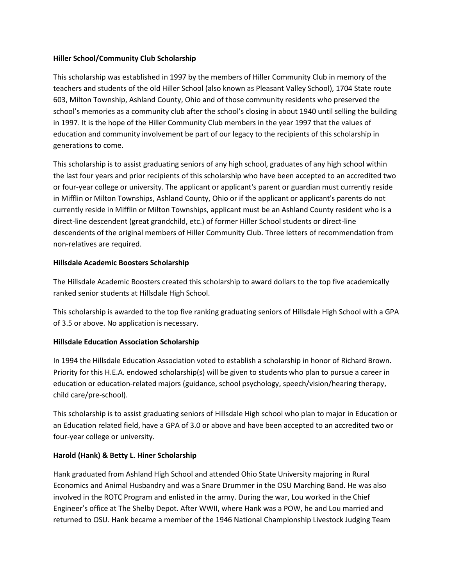#### **Hiller School/Community Club Scholarship**

This scholarship was established in 1997 by the members of Hiller Community Club in memory of the teachers and students of the old Hiller School (also known as Pleasant Valley School), 1704 State route 603, Milton Township, Ashland County, Ohio and of those community residents who preserved the school's memories as a community club after the school's closing in about 1940 until selling the building in 1997. It is the hope of the Hiller Community Club members in the year 1997 that the values of education and community involvement be part of our legacy to the recipients of this scholarship in generations to come.

This scholarship is to assist graduating seniors of any high school, graduates of any high school within the last four years and prior recipients of this scholarship who have been accepted to an accredited two or four-year college or university. The applicant or applicant's parent or guardian must currently reside in Mifflin or Milton Townships, Ashland County, Ohio or if the applicant or applicant's parents do not currently reside in Mifflin or Milton Townships, applicant must be an Ashland County resident who is a direct-line descendent (great grandchild, etc.) of former Hiller School students or direct-line descendents of the original members of Hiller Community Club. Three letters of recommendation from non-relatives are required.

## **Hillsdale Academic Boosters Scholarship**

The Hillsdale Academic Boosters created this scholarship to award dollars to the top five academically ranked senior students at Hillsdale High School.

This scholarship is awarded to the top five ranking graduating seniors of Hillsdale High School with a GPA of 3.5 or above. No application is necessary.

## **Hillsdale Education Association Scholarship**

In 1994 the Hillsdale Education Association voted to establish a scholarship in honor of Richard Brown. Priority for this H.E.A. endowed scholarship(s) will be given to students who plan to pursue a career in education or education-related majors (guidance, school psychology, speech/vision/hearing therapy, child care/pre-school).

This scholarship is to assist graduating seniors of Hillsdale High school who plan to major in Education or an Education related field, have a GPA of 3.0 or above and have been accepted to an accredited two or four-year college or university.

## **Harold (Hank) & Betty L. Hiner Scholarship**

Hank graduated from Ashland High School and attended Ohio State University majoring in Rural Economics and Animal Husbandry and was a Snare Drummer in the OSU Marching Band. He was also involved in the ROTC Program and enlisted in the army. During the war, Lou worked in the Chief Engineer's office at The Shelby Depot. After WWII, where Hank was a POW, he and Lou married and returned to OSU. Hank became a member of the 1946 National Championship Livestock Judging Team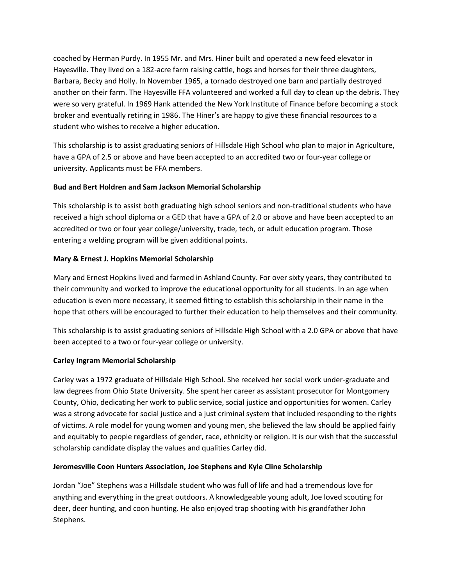coached by Herman Purdy. In 1955 Mr. and Mrs. Hiner built and operated a new feed elevator in Hayesville. They lived on a 182-acre farm raising cattle, hogs and horses for their three daughters, Barbara, Becky and Holly. In November 1965, a tornado destroyed one barn and partially destroyed another on their farm. The Hayesville FFA volunteered and worked a full day to clean up the debris. They were so very grateful. In 1969 Hank attended the New York Institute of Finance before becoming a stock broker and eventually retiring in 1986. The Hiner's are happy to give these financial resources to a student who wishes to receive a higher education.

This scholarship is to assist graduating seniors of Hillsdale High School who plan to major in Agriculture, have a GPA of 2.5 or above and have been accepted to an accredited two or four-year college or university. Applicants must be FFA members.

## **Bud and Bert Holdren and Sam Jackson Memorial Scholarship**

This scholarship is to assist both graduating high school seniors and non-traditional students who have received a high school diploma or a GED that have a GPA of 2.0 or above and have been accepted to an accredited or two or four year college/university, trade, tech, or adult education program. Those entering a welding program will be given additional points.

## **Mary & Ernest J. Hopkins Memorial Scholarship**

Mary and Ernest Hopkins lived and farmed in Ashland County. For over sixty years, they contributed to their community and worked to improve the educational opportunity for all students. In an age when education is even more necessary, it seemed fitting to establish this scholarship in their name in the hope that others will be encouraged to further their education to help themselves and their community.

This scholarship is to assist graduating seniors of Hillsdale High School with a 2.0 GPA or above that have been accepted to a two or four-year college or university.

## **Carley Ingram Memorial Scholarship**

Carley was a 1972 graduate of Hillsdale High School. She received her social work under-graduate and law degrees from Ohio State University. She spent her career as assistant prosecutor for Montgomery County, Ohio, dedicating her work to public service, social justice and opportunities for women. Carley was a strong advocate for social justice and a just criminal system that included responding to the rights of victims. A role model for young women and young men, she believed the law should be applied fairly and equitably to people regardless of gender, race, ethnicity or religion. It is our wish that the successful scholarship candidate display the values and qualities Carley did.

## **Jeromesville Coon Hunters Association, Joe Stephens and Kyle Cline Scholarship**

Jordan "Joe" Stephens was a Hillsdale student who was full of life and had a tremendous love for anything and everything in the great outdoors. A knowledgeable young adult, Joe loved scouting for deer, deer hunting, and coon hunting. He also enjoyed trap shooting with his grandfather John Stephens.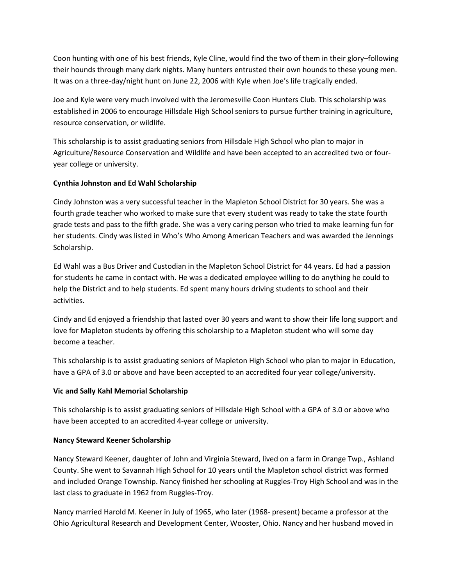Coon hunting with one of his best friends, Kyle Cline, would find the two of them in their glory–following their hounds through many dark nights. Many hunters entrusted their own hounds to these young men. It was on a three-day/night hunt on June 22, 2006 with Kyle when Joe's life tragically ended.

Joe and Kyle were very much involved with the Jeromesville Coon Hunters Club. This scholarship was established in 2006 to encourage Hillsdale High School seniors to pursue further training in agriculture, resource conservation, or wildlife.

This scholarship is to assist graduating seniors from Hillsdale High School who plan to major in Agriculture/Resource Conservation and Wildlife and have been accepted to an accredited two or fouryear college or university.

## **Cynthia Johnston and Ed Wahl Scholarship**

Cindy Johnston was a very successful teacher in the Mapleton School District for 30 years. She was a fourth grade teacher who worked to make sure that every student was ready to take the state fourth grade tests and pass to the fifth grade. She was a very caring person who tried to make learning fun for her students. Cindy was listed in Who's Who Among American Teachers and was awarded the Jennings Scholarship.

Ed Wahl was a Bus Driver and Custodian in the Mapleton School District for 44 years. Ed had a passion for students he came in contact with. He was a dedicated employee willing to do anything he could to help the District and to help students. Ed spent many hours driving students to school and their activities.

Cindy and Ed enjoyed a friendship that lasted over 30 years and want to show their life long support and love for Mapleton students by offering this scholarship to a Mapleton student who will some day become a teacher.

This scholarship is to assist graduating seniors of Mapleton High School who plan to major in Education, have a GPA of 3.0 or above and have been accepted to an accredited four year college/university.

## **Vic and Sally Kahl Memorial Scholarship**

This scholarship is to assist graduating seniors of Hillsdale High School with a GPA of 3.0 or above who have been accepted to an accredited 4-year college or university.

## **Nancy Steward Keener Scholarship**

Nancy Steward Keener, daughter of John and Virginia Steward, lived on a farm in Orange Twp., Ashland County. She went to Savannah High School for 10 years until the Mapleton school district was formed and included Orange Township. Nancy finished her schooling at Ruggles-Troy High School and was in the last class to graduate in 1962 from Ruggles-Troy.

Nancy married Harold M. Keener in July of 1965, who later (1968- present) became a professor at the Ohio Agricultural Research and Development Center, Wooster, Ohio. Nancy and her husband moved in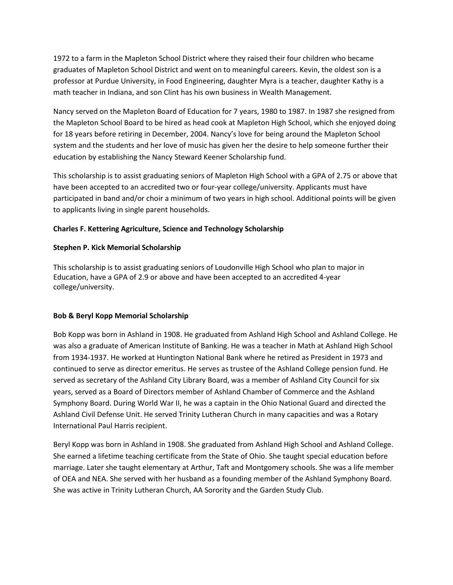1972 to a farm in the Mapleton School District where they raised their four children who became graduates of Mapleton School District and went on to meaningful careers. Kevin, the oldest son is a professor at Purdue University, in Food Engineering, daughter Myra is a teacher, daughter Kathy is a math teacher in Indiana, and son Clint has his own business in Wealth Management.

Nancy served on the Mapleton Board of Education for 7 years, 1980 to 1987. In 1987 she resigned from the Mapleton School Board to be hired as head cook at Mapleton High School, which she enjoyed doing for 18 years before retiring in December, 2004. Nancy's love for being around the Mapleton School system and the students and her love of music has given her the desire to help someone further their education by establishing the Nancy Steward Keener Scholarship fund.

This scholarship is to assist graduating seniors of Mapleton High School with a GPA of 2.75 or above that have been accepted to an accredited two or four-year college/university. Applicants must have participated in band and/or choir a minimum of two years in high school. Additional points will be given to applicants living in single parent households.

### **Charles F. Kettering Agriculture, Science and Technology Scholarship**

#### **Stephen P. Kick Memorial Scholarship**

This scholarship is to assist graduating seniors of Loudonville High School who plan to major in Education, have a GPA of 2.9 or above and have been accepted to an accredited 4-year college/university.

#### **Bob & Beryl Kopp Memorial Scholarship**

Bob Kopp was born in Ashland in 1908. He graduated from Ashland High School and Ashland College. He was also a graduate of American Institute of Banking. He was a teacher in Math at Ashland High School from 1934-1937. He worked at Huntington National Bank where he retired as President in 1973 and continued to serve as director emeritus. He serves as trustee of the Ashland College pension fund. He served as secretary of the Ashland City Library Board, was a member of Ashland City Council for six years, served as a Board of Directors member of Ashland Chamber of Commerce and the Ashland Symphony Board. During World War II, he was a captain in the Ohio National Guard and directed the Ashland Civil Defense Unit. He served Trinity Lutheran Church in many capacities and was a Rotary International Paul Harris recipient.

Beryl Kopp was born in Ashland in 1908. She graduated from Ashland High School and Ashland College. She earned a lifetime teaching certificate from the State of Ohio. She taught special education before marriage. Later she taught elementary at Arthur, Taft and Montgomery schools. She was a life member of OEA and NEA. She served with her husband as a founding member of the Ashland Symphony Board. She was active in Trinity Lutheran Church, AA Sorority and the Garden Study Club.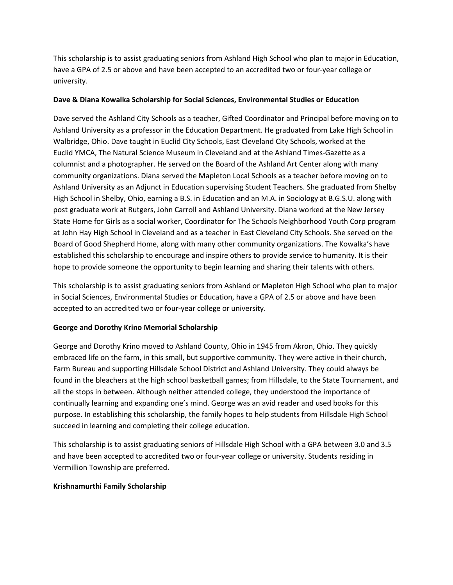This scholarship is to assist graduating seniors from Ashland High School who plan to major in Education, have a GPA of 2.5 or above and have been accepted to an accredited two or four-year college or university.

### **Dave & Diana Kowalka Scholarship for Social Sciences, Environmental Studies or Education**

Dave served the Ashland City Schools as a teacher, Gifted Coordinator and Principal before moving on to Ashland University as a professor in the Education Department. He graduated from Lake High School in Walbridge, Ohio. Dave taught in Euclid City Schools, East Cleveland City Schools, worked at the Euclid YMCA, The Natural Science Museum in Cleveland and at the Ashland Times-Gazette as a columnist and a photographer. He served on the Board of the Ashland Art Center along with many community organizations. Diana served the Mapleton Local Schools as a teacher before moving on to Ashland University as an Adjunct in Education supervising Student Teachers. She graduated from Shelby High School in Shelby, Ohio, earning a B.S. in Education and an M.A. in Sociology at B.G.S.U. along with post graduate work at Rutgers, John Carroll and Ashland University. Diana worked at the New Jersey State Home for Girls as a social worker, Coordinator for The Schools Neighborhood Youth Corp program at John Hay High School in Cleveland and as a teacher in East Cleveland City Schools. She served on the Board of Good Shepherd Home, along with many other community organizations. The Kowalka's have established this scholarship to encourage and inspire others to provide service to humanity. It is their hope to provide someone the opportunity to begin learning and sharing their talents with others.

This scholarship is to assist graduating seniors from Ashland or Mapleton High School who plan to major in Social Sciences, Environmental Studies or Education, have a GPA of 2.5 or above and have been accepted to an accredited two or four-year college or university.

## **George and Dorothy Krino Memorial Scholarship**

George and Dorothy Krino moved to Ashland County, Ohio in 1945 from Akron, Ohio. They quickly embraced life on the farm, in this small, but supportive community. They were active in their church, Farm Bureau and supporting Hillsdale School District and Ashland University. They could always be found in the bleachers at the high school basketball games; from Hillsdale, to the State Tournament, and all the stops in between. Although neither attended college, they understood the importance of continually learning and expanding one's mind. George was an avid reader and used books for this purpose. In establishing this scholarship, the family hopes to help students from Hillsdale High School succeed in learning and completing their college education.

This scholarship is to assist graduating seniors of Hillsdale High School with a GPA between 3.0 and 3.5 and have been accepted to accredited two or four-year college or university. Students residing in Vermillion Township are preferred.

## **Krishnamurthi Family Scholarship**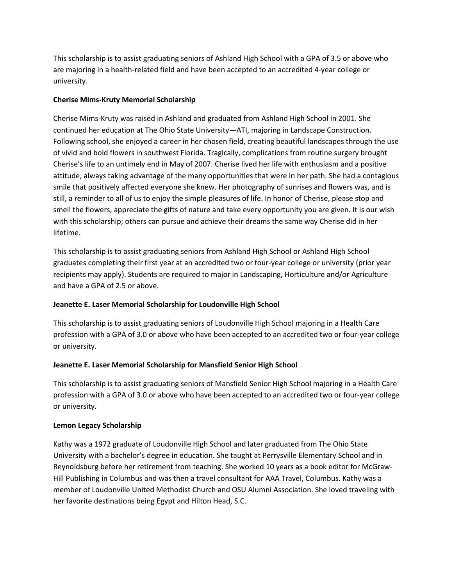This scholarship is to assist graduating seniors of Ashland High School with a GPA of 3.5 or above who are majoring in a health-related field and have been accepted to an accredited 4-year college or university.

### **Cherise Mims-Kruty Memorial Scholarship**

Cherise Mims-Kruty was raised in Ashland and graduated from Ashland High School in 2001. She continued her education at The Ohio State University—ATI, majoring in Landscape Construction. Following school, she enjoyed a career in her chosen field, creating beautiful landscapes through the use of vivid and bold flowers in southwest Florida. Tragically, complications from routine surgery brought Cherise's life to an untimely end in May of 2007. Cherise lived her life with enthusiasm and a positive attitude, always taking advantage of the many opportunities that were in her path. She had a contagious smile that positively affected everyone she knew. Her photography of sunrises and flowers was, and is still, a reminder to all of us to enjoy the simple pleasures of life. In honor of Cherise, please stop and smell the flowers, appreciate the gifts of nature and take every opportunity you are given. It is our wish with this scholarship; others can pursue and achieve their dreams the same way Cherise did in her lifetime.

This scholarship is to assist graduating seniors from Ashland High School or Ashland High School graduates completing their first year at an accredited two or four-year college or university (prior year recipients may apply). Students are required to major in Landscaping, Horticulture and/or Agriculture and have a GPA of 2.5 or above.

## **Jeanette E. Laser Memorial Scholarship for Loudonville High School**

This scholarship is to assist graduating seniors of Loudonville High School majoring in a Health Care profession with a GPA of 3.0 or above who have been accepted to an accredited two or four-year college or university.

## **Jeanette E. Laser Memorial Scholarship for Mansfield Senior High School**

This scholarship is to assist graduating seniors of Mansfield Senior High School majoring in a Health Care profession with a GPA of 3.0 or above who have been accepted to an accredited two or four-year college or university.

#### **Lemon Legacy Scholarship**

Kathy was a 1972 graduate of Loudonville High School and later graduated from The Ohio State University with a bachelor's degree in education. She taught at Perrysville Elementary School and in Reynoldsburg before her retirement from teaching. She worked 10 years as a book editor for McGraw-Hill Publishing in Columbus and was then a travel consultant for AAA Travel, Columbus. Kathy was a member of Loudonville United Methodist Church and OSU Alumni Association. She loved traveling with her favorite destinations being Egypt and Hilton Head, S.C.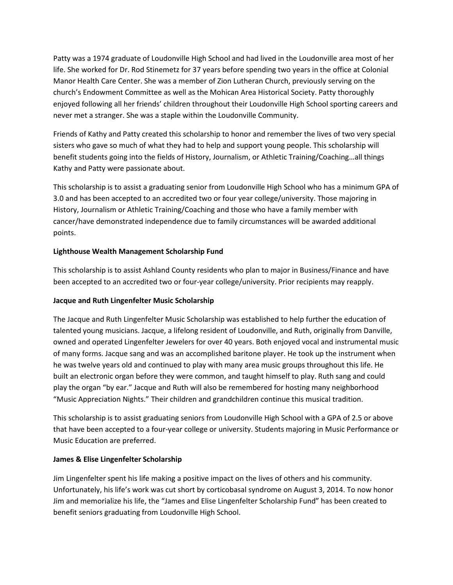Patty was a 1974 graduate of Loudonville High School and had lived in the Loudonville area most of her life. She worked for Dr. Rod Stinemetz for 37 years before spending two years in the office at Colonial Manor Health Care Center. She was a member of Zion Lutheran Church, previously serving on the church's Endowment Committee as well as the Mohican Area Historical Society. Patty thoroughly enjoyed following all her friends' children throughout their Loudonville High School sporting careers and never met a stranger. She was a staple within the Loudonville Community.

Friends of Kathy and Patty created this scholarship to honor and remember the lives of two very special sisters who gave so much of what they had to help and support young people. This scholarship will benefit students going into the fields of History, Journalism, or Athletic Training/Coaching…all things Kathy and Patty were passionate about.

This scholarship is to assist a graduating senior from Loudonville High School who has a minimum GPA of 3.0 and has been accepted to an accredited two or four year college/university. Those majoring in History, Journalism or Athletic Training/Coaching and those who have a family member with cancer/have demonstrated independence due to family circumstances will be awarded additional points.

## **Lighthouse Wealth Management Scholarship Fund**

This scholarship is to assist Ashland County residents who plan to major in Business/Finance and have been accepted to an accredited two or four-year college/university. Prior recipients may reapply.

## **Jacque and Ruth Lingenfelter Music Scholarship**

The Jacque and Ruth Lingenfelter Music Scholarship was established to help further the education of talented young musicians. Jacque, a lifelong resident of Loudonville, and Ruth, originally from Danville, owned and operated Lingenfelter Jewelers for over 40 years. Both enjoyed vocal and instrumental music of many forms. Jacque sang and was an accomplished baritone player. He took up the instrument when he was twelve years old and continued to play with many area music groups throughout this life. He built an electronic organ before they were common, and taught himself to play. Ruth sang and could play the organ "by ear." Jacque and Ruth will also be remembered for hosting many neighborhood "Music Appreciation Nights." Their children and grandchildren continue this musical tradition.

This scholarship is to assist graduating seniors from Loudonville High School with a GPA of 2.5 or above that have been accepted to a four-year college or university. Students majoring in Music Performance or Music Education are preferred.

## **James & Elise Lingenfelter Scholarship**

Jim Lingenfelter spent his life making a positive impact on the lives of others and his community. Unfortunately, his life's work was cut short by corticobasal syndrome on August 3, 2014. To now honor Jim and memorialize his life, the "James and Elise Lingenfelter Scholarship Fund" has been created to benefit seniors graduating from Loudonville High School.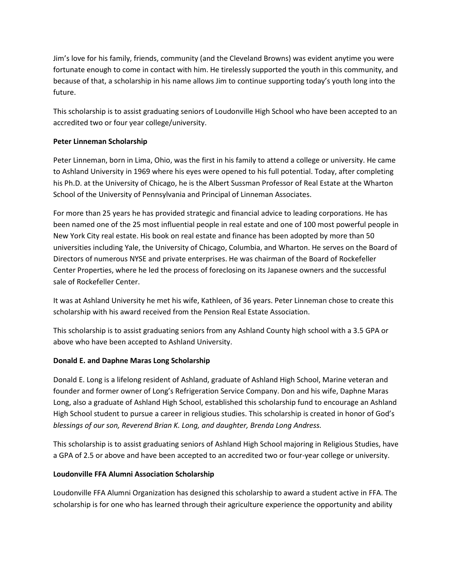Jim's love for his family, friends, community (and the Cleveland Browns) was evident anytime you were fortunate enough to come in contact with him. He tirelessly supported the youth in this community, and because of that, a scholarship in his name allows Jim to continue supporting today's youth long into the future.

This scholarship is to assist graduating seniors of Loudonville High School who have been accepted to an accredited two or four year college/university.

## **Peter Linneman Scholarship**

Peter Linneman, born in Lima, Ohio, was the first in his family to attend a college or university. He came to Ashland University in 1969 where his eyes were opened to his full potential. Today, after completing his Ph.D. at the University of Chicago, he is the Albert Sussman Professor of Real Estate at the Wharton School of the University of Pennsylvania and Principal of Linneman Associates.

For more than 25 years he has provided strategic and financial advice to leading corporations. He has been named one of the 25 most influential people in real estate and one of 100 most powerful people in New York City real estate. His book on real estate and finance has been adopted by more than 50 universities including Yale, the University of Chicago, Columbia, and Wharton. He serves on the Board of Directors of numerous NYSE and private enterprises. He was chairman of the Board of Rockefeller Center Properties, where he led the process of foreclosing on its Japanese owners and the successful sale of Rockefeller Center.

It was at Ashland University he met his wife, Kathleen, of 36 years. Peter Linneman chose to create this scholarship with his award received from the Pension Real Estate Association.

This scholarship is to assist graduating seniors from any Ashland County high school with a 3.5 GPA or above who have been accepted to Ashland University.

#### **Donald E. and Daphne Maras Long Scholarship**

Donald E. Long is a lifelong resident of Ashland, graduate of Ashland High School, Marine veteran and founder and former owner of Long's Refrigeration Service Company. Don and his wife, Daphne Maras Long, also a graduate of Ashland High School, established this scholarship fund to encourage an Ashland High School student to pursue a career in religious studies. This scholarship is created in honor of God's *blessings of our son, Reverend Brian K. Long, and daughter, Brenda Long Andress.*

This scholarship is to assist graduating seniors of Ashland High School majoring in Religious Studies, have a GPA of 2.5 or above and have been accepted to an accredited two or four-year college or university.

#### **Loudonville FFA Alumni Association Scholarship**

Loudonville FFA Alumni Organization has designed this scholarship to award a student active in FFA. The scholarship is for one who has learned through their agriculture experience the opportunity and ability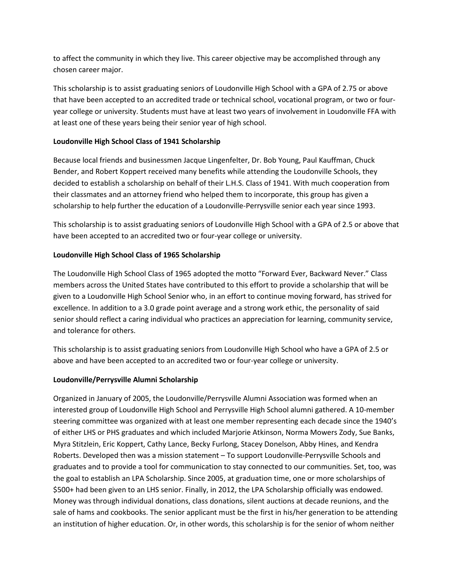to affect the community in which they live. This career objective may be accomplished through any chosen career major.

This scholarship is to assist graduating seniors of Loudonville High School with a GPA of 2.75 or above that have been accepted to an accredited trade or technical school, vocational program, or two or fouryear college or university. Students must have at least two years of involvement in Loudonville FFA with at least one of these years being their senior year of high school.

## **Loudonville High School Class of 1941 Scholarship**

Because local friends and businessmen Jacque Lingenfelter, Dr. Bob Young, Paul Kauffman, Chuck Bender, and Robert Koppert received many benefits while attending the Loudonville Schools, they decided to establish a scholarship on behalf of their L.H.S. Class of 1941. With much cooperation from their classmates and an attorney friend who helped them to incorporate, this group has given a scholarship to help further the education of a Loudonville-Perrysville senior each year since 1993.

This scholarship is to assist graduating seniors of Loudonville High School with a GPA of 2.5 or above that have been accepted to an accredited two or four-year college or university.

## **Loudonville High School Class of 1965 Scholarship**

The Loudonville High School Class of 1965 adopted the motto "Forward Ever, Backward Never." Class members across the United States have contributed to this effort to provide a scholarship that will be given to a Loudonville High School Senior who, in an effort to continue moving forward, has strived for excellence. In addition to a 3.0 grade point average and a strong work ethic, the personality of said senior should reflect a caring individual who practices an appreciation for learning, community service, and tolerance for others.

This scholarship is to assist graduating seniors from Loudonville High School who have a GPA of 2.5 or above and have been accepted to an accredited two or four-year college or university.

## **Loudonville/Perrysville Alumni Scholarship**

Organized in January of 2005, the Loudonville/Perrysville Alumni Association was formed when an interested group of Loudonville High School and Perrysville High School alumni gathered. A 10-member steering committee was organized with at least one member representing each decade since the 1940's of either LHS or PHS graduates and which included Marjorie Atkinson, Norma Mowers Zody, Sue Banks, Myra Stitzlein, Eric Koppert, Cathy Lance, Becky Furlong, Stacey Donelson, Abby Hines, and Kendra Roberts. Developed then was a mission statement – To support Loudonville-Perrysville Schools and graduates and to provide a tool for communication to stay connected to our communities. Set, too, was the goal to establish an LPA Scholarship. Since 2005, at graduation time, one or more scholarships of \$500+ had been given to an LHS senior. Finally, in 2012, the LPA Scholarship officially was endowed. Money was through individual donations, class donations, silent auctions at decade reunions, and the sale of hams and cookbooks. The senior applicant must be the first in his/her generation to be attending an institution of higher education. Or, in other words, this scholarship is for the senior of whom neither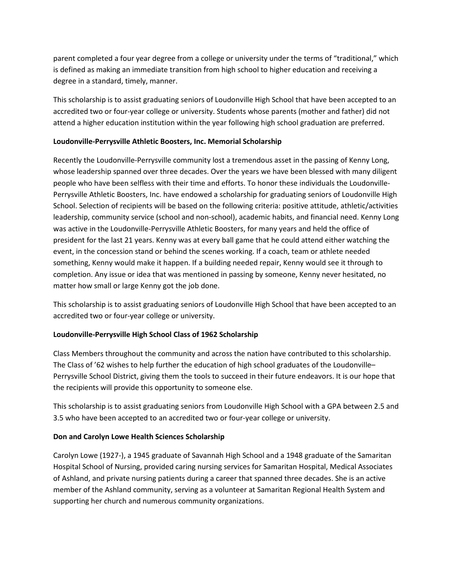parent completed a four year degree from a college or university under the terms of "traditional," which is defined as making an immediate transition from high school to higher education and receiving a degree in a standard, timely, manner.

This scholarship is to assist graduating seniors of Loudonville High School that have been accepted to an accredited two or four-year college or university. Students whose parents (mother and father) did not attend a higher education institution within the year following high school graduation are preferred.

#### **Loudonville-Perrysville Athletic Boosters, Inc. Memorial Scholarship**

Recently the Loudonville-Perrysville community lost a tremendous asset in the passing of Kenny Long, whose leadership spanned over three decades. Over the years we have been blessed with many diligent people who have been selfless with their time and efforts. To honor these individuals the Loudonville-Perrysville Athletic Boosters, Inc. have endowed a scholarship for graduating seniors of Loudonville High School. Selection of recipients will be based on the following criteria: positive attitude, athletic/activities leadership, community service (school and non-school), academic habits, and financial need. Kenny Long was active in the Loudonville-Perrysville Athletic Boosters, for many years and held the office of president for the last 21 years. Kenny was at every ball game that he could attend either watching the event, in the concession stand or behind the scenes working. If a coach, team or athlete needed something, Kenny would make it happen. If a building needed repair, Kenny would see it through to completion. Any issue or idea that was mentioned in passing by someone, Kenny never hesitated, no matter how small or large Kenny got the job done.

This scholarship is to assist graduating seniors of Loudonville High School that have been accepted to an accredited two or four-year college or university.

## **Loudonville-Perrysville High School Class of 1962 Scholarship**

Class Members throughout the community and across the nation have contributed to this scholarship. The Class of '62 wishes to help further the education of high school graduates of the Loudonville– Perrysville School District, giving them the tools to succeed in their future endeavors. It is our hope that the recipients will provide this opportunity to someone else.

This scholarship is to assist graduating seniors from Loudonville High School with a GPA between 2.5 and 3.5 who have been accepted to an accredited two or four-year college or university.

#### **Don and Carolyn Lowe Health Sciences Scholarship**

Carolyn Lowe (1927-), a 1945 graduate of Savannah High School and a 1948 graduate of the Samaritan Hospital School of Nursing, provided caring nursing services for Samaritan Hospital, Medical Associates of Ashland, and private nursing patients during a career that spanned three decades. She is an active member of the Ashland community, serving as a volunteer at Samaritan Regional Health System and supporting her church and numerous community organizations.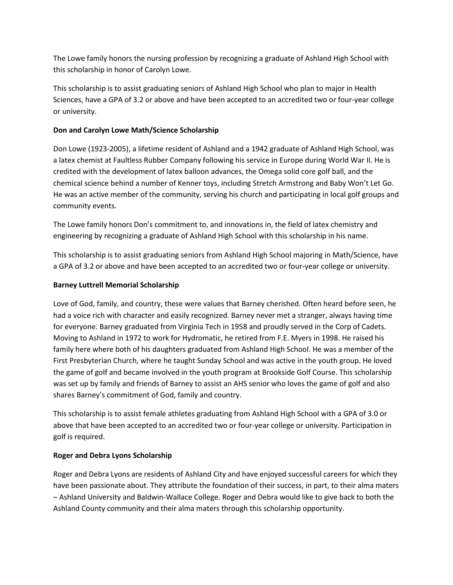The Lowe family honors the nursing profession by recognizing a graduate of Ashland High School with this scholarship in honor of Carolyn Lowe.

This scholarship is to assist graduating seniors of Ashland High School who plan to major in Health Sciences, have a GPA of 3.2 or above and have been accepted to an accredited two or four-year college or university.

## **Don and Carolyn Lowe Math/Science Scholarship**

Don Lowe (1923-2005), a lifetime resident of Ashland and a 1942 graduate of Ashland High School, was a latex chemist at Faultless Rubber Company following his service in Europe during World War II. He is credited with the development of latex balloon advances, the Omega solid core golf ball, and the chemical science behind a number of Kenner toys, including Stretch Armstrong and Baby Won't Let Go. He was an active member of the community, serving his church and participating in local golf groups and community events.

The Lowe family honors Don's commitment to, and innovations in, the field of latex chemistry and engineering by recognizing a graduate of Ashland High School with this scholarship in his name.

This scholarship is to assist graduating seniors from Ashland High School majoring in Math/Science, have a GPA of 3.2 or above and have been accepted to an accredited two or four-year college or university.

## **Barney Luttrell Memorial Scholarship**

Love of God, family, and country, these were values that Barney cherished. Often heard before seen, he had a voice rich with character and easily recognized. Barney never met a stranger, always having time for everyone. Barney graduated from Virginia Tech in 1958 and proudly served in the Corp of Cadets. Moving to Ashland in 1972 to work for Hydromatic, he retired from F.E. Myers in 1998. He raised his family here where both of his daughters graduated from Ashland High School. He was a member of the First Presbyterian Church, where he taught Sunday School and was active in the youth group. He loved the game of golf and became involved in the youth program at Brookside Golf Course. This scholarship was set up by family and friends of Barney to assist an AHS senior who loves the game of golf and also shares Barney's commitment of God, family and country.

This scholarship is to assist female athletes graduating from Ashland High School with a GPA of 3.0 or above that have been accepted to an accredited two or four-year college or university. Participation in golf is required.

## **Roger and Debra Lyons Scholarship**

Roger and Debra Lyons are residents of Ashland City and have enjoyed successful careers for which they have been passionate about. They attribute the foundation of their success, in part, to their alma maters – Ashland University and Baldwin-Wallace College. Roger and Debra would like to give back to both the Ashland County community and their alma maters through this scholarship opportunity.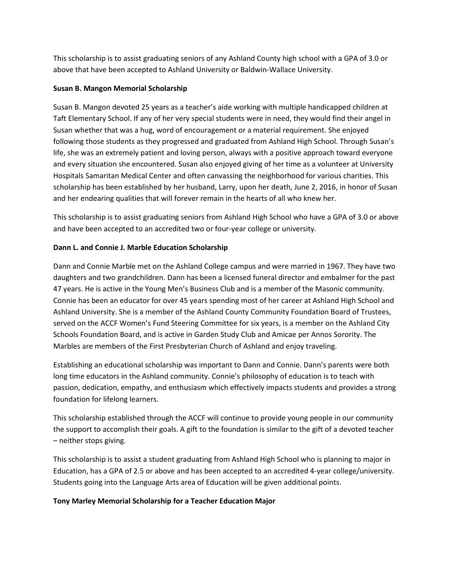This scholarship is to assist graduating seniors of any Ashland County high school with a GPA of 3.0 or above that have been accepted to Ashland University or Baldwin-Wallace University.

### **Susan B. Mangon Memorial Scholarship**

Susan B. Mangon devoted 25 years as a teacher's aide working with multiple handicapped children at Taft Elementary School. If any of her very special students were in need, they would find their angel in Susan whether that was a hug, word of encouragement or a material requirement. She enjoyed following those students as they progressed and graduated from Ashland High School. Through Susan's life, she was an extremely patient and loving person, always with a positive approach toward everyone and every situation she encountered. Susan also enjoyed giving of her time as a volunteer at University Hospitals Samaritan Medical Center and often canvassing the neighborhood for various charities. This scholarship has been established by her husband, Larry, upon her death, June 2, 2016, in honor of Susan and her endearing qualities that will forever remain in the hearts of all who knew her.

This scholarship is to assist graduating seniors from Ashland High School who have a GPA of 3.0 or above and have been accepted to an accredited two or four-year college or university.

## **Dann L. and Connie J. Marble Education Scholarship**

Dann and Connie Marble met on the Ashland College campus and were married in 1967. They have two daughters and two grandchildren. Dann has been a licensed funeral director and embalmer for the past 47 years. He is active in the Young Men's Business Club and is a member of the Masonic community. Connie has been an educator for over 45 years spending most of her career at Ashland High School and Ashland University. She is a member of the Ashland County Community Foundation Board of Trustees, served on the ACCF Women's Fund Steering Committee for six years, is a member on the Ashland City Schools Foundation Board, and is active in Garden Study Club and Amicae per Annos Sorority. The Marbles are members of the First Presbyterian Church of Ashland and enjoy traveling.

Establishing an educational scholarship was important to Dann and Connie. Dann's parents were both long time educators in the Ashland community. Connie's philosophy of education is to teach with passion, dedication, empathy, and enthusiasm which effectively impacts students and provides a strong foundation for lifelong learners.

This scholarship established through the ACCF will continue to provide young people in our community the support to accomplish their goals. A gift to the foundation is similar to the gift of a devoted teacher – neither stops giving.

This scholarship is to assist a student graduating from Ashland High School who is planning to major in Education, has a GPA of 2.5 or above and has been accepted to an accredited 4-year college/university. Students going into the Language Arts area of Education will be given additional points.

## **Tony Marley Memorial Scholarship for a Teacher Education Major**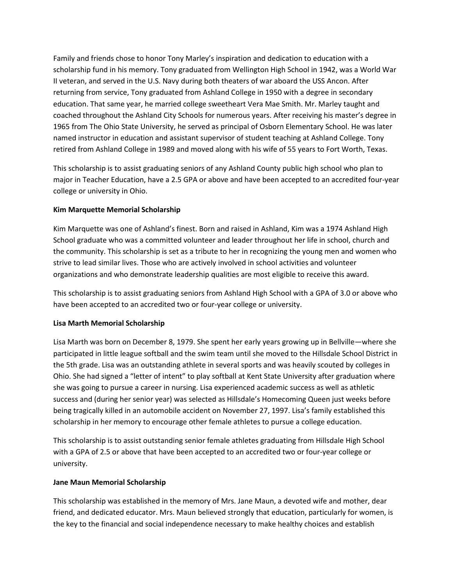Family and friends chose to honor Tony Marley's inspiration and dedication to education with a scholarship fund in his memory. Tony graduated from Wellington High School in 1942, was a World War II veteran, and served in the U.S. Navy during both theaters of war aboard the USS Ancon. After returning from service, Tony graduated from Ashland College in 1950 with a degree in secondary education. That same year, he married college sweetheart Vera Mae Smith. Mr. Marley taught and coached throughout the Ashland City Schools for numerous years. After receiving his master's degree in 1965 from The Ohio State University, he served as principal of Osborn Elementary School. He was later named instructor in education and assistant supervisor of student teaching at Ashland College. Tony retired from Ashland College in 1989 and moved along with his wife of 55 years to Fort Worth, Texas.

This scholarship is to assist graduating seniors of any Ashland County public high school who plan to major in Teacher Education, have a 2.5 GPA or above and have been accepted to an accredited four-year college or university in Ohio.

### **Kim Marquette Memorial Scholarship**

Kim Marquette was one of Ashland's finest. Born and raised in Ashland, Kim was a 1974 Ashland High School graduate who was a committed volunteer and leader throughout her life in school, church and the community. This scholarship is set as a tribute to her in recognizing the young men and women who strive to lead similar lives. Those who are actively involved in school activities and volunteer organizations and who demonstrate leadership qualities are most eligible to receive this award.

This scholarship is to assist graduating seniors from Ashland High School with a GPA of 3.0 or above who have been accepted to an accredited two or four-year college or university.

## **Lisa Marth Memorial Scholarship**

Lisa Marth was born on December 8, 1979. She spent her early years growing up in Bellville—where she participated in little league softball and the swim team until she moved to the Hillsdale School District in the 5th grade. Lisa was an outstanding athlete in several sports and was heavily scouted by colleges in Ohio. She had signed a "letter of intent" to play softball at Kent State University after graduation where she was going to pursue a career in nursing. Lisa experienced academic success as well as athletic success and (during her senior year) was selected as Hillsdale's Homecoming Queen just weeks before being tragically killed in an automobile accident on November 27, 1997. Lisa's family established this scholarship in her memory to encourage other female athletes to pursue a college education.

This scholarship is to assist outstanding senior female athletes graduating from Hillsdale High School with a GPA of 2.5 or above that have been accepted to an accredited two or four-year college or university.

#### **Jane Maun Memorial Scholarship**

This scholarship was established in the memory of Mrs. Jane Maun, a devoted wife and mother, dear friend, and dedicated educator. Mrs. Maun believed strongly that education, particularly for women, is the key to the financial and social independence necessary to make healthy choices and establish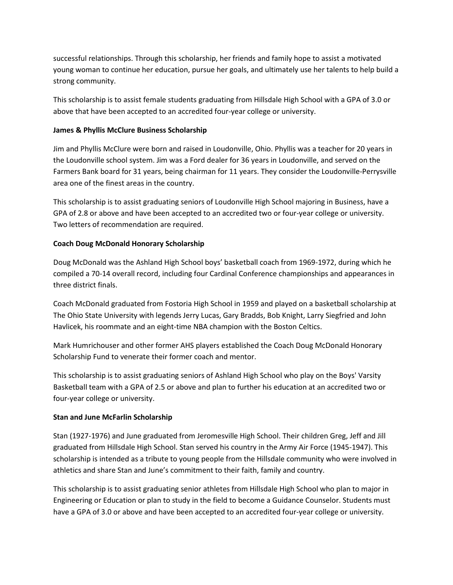successful relationships. Through this scholarship, her friends and family hope to assist a motivated young woman to continue her education, pursue her goals, and ultimately use her talents to help build a strong community.

This scholarship is to assist female students graduating from Hillsdale High School with a GPA of 3.0 or above that have been accepted to an accredited four-year college or university.

### **James & Phyllis McClure Business Scholarship**

Jim and Phyllis McClure were born and raised in Loudonville, Ohio. Phyllis was a teacher for 20 years in the Loudonville school system. Jim was a Ford dealer for 36 years in Loudonville, and served on the Farmers Bank board for 31 years, being chairman for 11 years. They consider the Loudonville-Perrysville area one of the finest areas in the country.

This scholarship is to assist graduating seniors of Loudonville High School majoring in Business, have a GPA of 2.8 or above and have been accepted to an accredited two or four-year college or university. Two letters of recommendation are required.

### **Coach Doug McDonald Honorary Scholarship**

Doug McDonald was the Ashland High School boys' basketball coach from 1969-1972, during which he compiled a 70-14 overall record, including four Cardinal Conference championships and appearances in three district finals.

Coach McDonald graduated from Fostoria High School in 1959 and played on a basketball scholarship at The Ohio State University with legends Jerry Lucas, Gary Bradds, Bob Knight, Larry Siegfried and John Havlicek, his roommate and an eight-time NBA champion with the Boston Celtics.

Mark Humrichouser and other former AHS players established the Coach Doug McDonald Honorary Scholarship Fund to venerate their former coach and mentor.

This scholarship is to assist graduating seniors of Ashland High School who play on the Boys' Varsity Basketball team with a GPA of 2.5 or above and plan to further his education at an accredited two or four-year college or university.

#### **Stan and June McFarlin Scholarship**

Stan (1927-1976) and June graduated from Jeromesville High School. Their children Greg, Jeff and Jill graduated from Hillsdale High School. Stan served his country in the Army Air Force (1945-1947). This scholarship is intended as a tribute to young people from the Hillsdale community who were involved in athletics and share Stan and June's commitment to their faith, family and country.

This scholarship is to assist graduating senior athletes from Hillsdale High School who plan to major in Engineering or Education or plan to study in the field to become a Guidance Counselor. Students must have a GPA of 3.0 or above and have been accepted to an accredited four-year college or university.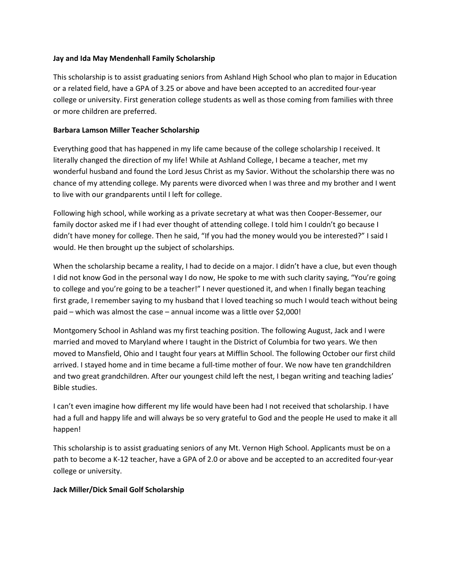#### **Jay and Ida May Mendenhall Family Scholarship**

This scholarship is to assist graduating seniors from Ashland High School who plan to major in Education or a related field, have a GPA of 3.25 or above and have been accepted to an accredited four-year college or university. First generation college students as well as those coming from families with three or more children are preferred.

#### **Barbara Lamson Miller Teacher Scholarship**

Everything good that has happened in my life came because of the college scholarship I received. It literally changed the direction of my life! While at Ashland College, I became a teacher, met my wonderful husband and found the Lord Jesus Christ as my Savior. Without the scholarship there was no chance of my attending college. My parents were divorced when I was three and my brother and I went to live with our grandparents until I left for college.

Following high school, while working as a private secretary at what was then Cooper-Bessemer, our family doctor asked me if I had ever thought of attending college. I told him I couldn't go because I didn't have money for college. Then he said, "If you had the money would you be interested?" I said I would. He then brought up the subject of scholarships.

When the scholarship became a reality, I had to decide on a major. I didn't have a clue, but even though I did not know God in the personal way I do now, He spoke to me with such clarity saying, "You're going to college and you're going to be a teacher!" I never questioned it, and when I finally began teaching first grade, I remember saying to my husband that I loved teaching so much I would teach without being paid – which was almost the case – annual income was a little over \$2,000!

Montgomery School in Ashland was my first teaching position. The following August, Jack and I were married and moved to Maryland where I taught in the District of Columbia for two years. We then moved to Mansfield, Ohio and I taught four years at Mifflin School. The following October our first child arrived. I stayed home and in time became a full-time mother of four. We now have ten grandchildren and two great grandchildren. After our youngest child left the nest, I began writing and teaching ladies' Bible studies.

I can't even imagine how different my life would have been had I not received that scholarship. I have had a full and happy life and will always be so very grateful to God and the people He used to make it all happen!

This scholarship is to assist graduating seniors of any Mt. Vernon High School. Applicants must be on a path to become a K-12 teacher, have a GPA of 2.0 or above and be accepted to an accredited four-year college or university.

#### **Jack Miller/Dick Smail Golf Scholarship**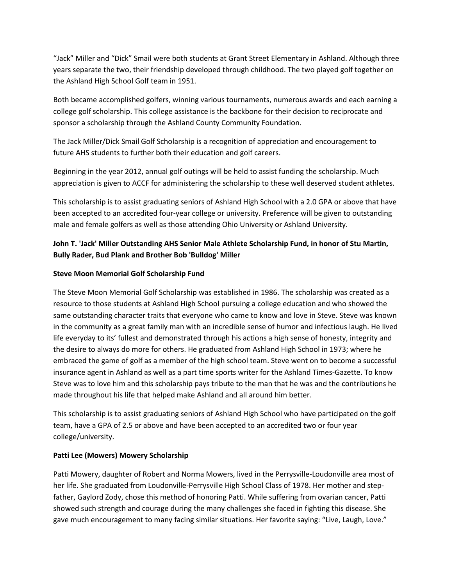"Jack" Miller and "Dick" Smail were both students at Grant Street Elementary in Ashland. Although three years separate the two, their friendship developed through childhood. The two played golf together on the Ashland High School Golf team in 1951.

Both became accomplished golfers, winning various tournaments, numerous awards and each earning a college golf scholarship. This college assistance is the backbone for their decision to reciprocate and sponsor a scholarship through the Ashland County Community Foundation.

The Jack Miller/Dick Smail Golf Scholarship is a recognition of appreciation and encouragement to future AHS students to further both their education and golf careers.

Beginning in the year 2012, annual golf outings will be held to assist funding the scholarship. Much appreciation is given to ACCF for administering the scholarship to these well deserved student athletes.

This scholarship is to assist graduating seniors of Ashland High School with a 2.0 GPA or above that have been accepted to an accredited four-year college or university. Preference will be given to outstanding male and female golfers as well as those attending Ohio University or Ashland University.

# **John T. 'Jack' Miller Outstanding AHS Senior Male Athlete Scholarship Fund, in honor of Stu Martin, Bully Rader, Bud Plank and Brother Bob 'Bulldog' Miller**

### **Steve Moon Memorial Golf Scholarship Fund**

The Steve Moon Memorial Golf Scholarship was established in 1986. The scholarship was created as a resource to those students at Ashland High School pursuing a college education and who showed the same outstanding character traits that everyone who came to know and love in Steve. Steve was known in the community as a great family man with an incredible sense of humor and infectious laugh. He lived life everyday to its' fullest and demonstrated through his actions a high sense of honesty, integrity and the desire to always do more for others. He graduated from Ashland High School in 1973; where he embraced the game of golf as a member of the high school team. Steve went on to become a successful insurance agent in Ashland as well as a part time sports writer for the Ashland Times-Gazette. To know Steve was to love him and this scholarship pays tribute to the man that he was and the contributions he made throughout his life that helped make Ashland and all around him better.

This scholarship is to assist graduating seniors of Ashland High School who have participated on the golf team, have a GPA of 2.5 or above and have been accepted to an accredited two or four year college/university.

#### **Patti Lee (Mowers) Mowery Scholarship**

Patti Mowery, daughter of Robert and Norma Mowers, lived in the Perrysville-Loudonville area most of her life. She graduated from Loudonville-Perrysville High School Class of 1978. Her mother and stepfather, Gaylord Zody, chose this method of honoring Patti. While suffering from ovarian cancer, Patti showed such strength and courage during the many challenges she faced in fighting this disease. She gave much encouragement to many facing similar situations. Her favorite saying: "Live, Laugh, Love."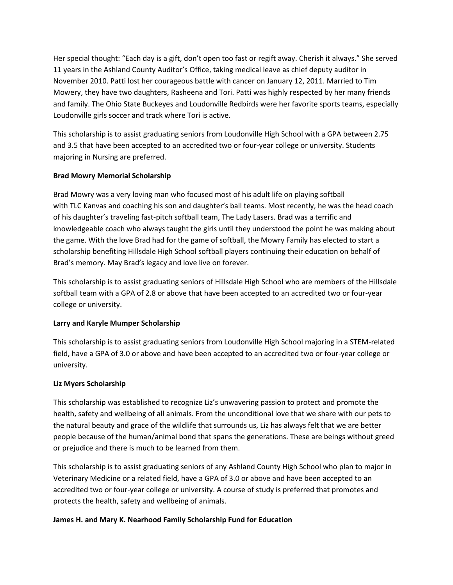Her special thought: "Each day is a gift, don't open too fast or regift away. Cherish it always." She served 11 years in the Ashland County Auditor's Office, taking medical leave as chief deputy auditor in November 2010. Patti lost her courageous battle with cancer on January 12, 2011. Married to Tim Mowery, they have two daughters, Rasheena and Tori. Patti was highly respected by her many friends and family. The Ohio State Buckeyes and Loudonville Redbirds were her favorite sports teams, especially Loudonville girls soccer and track where Tori is active.

This scholarship is to assist graduating seniors from Loudonville High School with a GPA between 2.75 and 3.5 that have been accepted to an accredited two or four-year college or university. Students majoring in Nursing are preferred.

### **Brad Mowry Memorial Scholarship**

Brad Mowry was a very loving man who focused most of his adult life on playing softball with TLC Kanvas and coaching his son and daughter's ball teams. Most recently, he was the head coach of his daughter's traveling fast-pitch softball team, The Lady Lasers. Brad was a terrific and knowledgeable coach who always taught the girls until they understood the point he was making about the game. With the love Brad had for the game of softball, the Mowry Family has elected to start a scholarship benefiting Hillsdale High School softball players continuing their education on behalf of Brad's memory. May Brad's legacy and love live on forever.

This scholarship is to assist graduating seniors of Hillsdale High School who are members of the Hillsdale softball team with a GPA of 2.8 or above that have been accepted to an accredited two or four-year college or university.

## **Larry and Karyle Mumper Scholarship**

This scholarship is to assist graduating seniors from Loudonville High School majoring in a STEM-related field, have a GPA of 3.0 or above and have been accepted to an accredited two or four-year college or university.

## **Liz Myers Scholarship**

This scholarship was established to recognize Liz's unwavering passion to protect and promote the health, safety and wellbeing of all animals. From the unconditional love that we share with our pets to the natural beauty and grace of the wildlife that surrounds us, Liz has always felt that we are better people because of the human/animal bond that spans the generations. These are beings without greed or prejudice and there is much to be learned from them.

This scholarship is to assist graduating seniors of any Ashland County High School who plan to major in Veterinary Medicine or a related field, have a GPA of 3.0 or above and have been accepted to an accredited two or four-year college or university. A course of study is preferred that promotes and protects the health, safety and wellbeing of animals.

#### **James H. and Mary K. Nearhood Family Scholarship Fund for Education**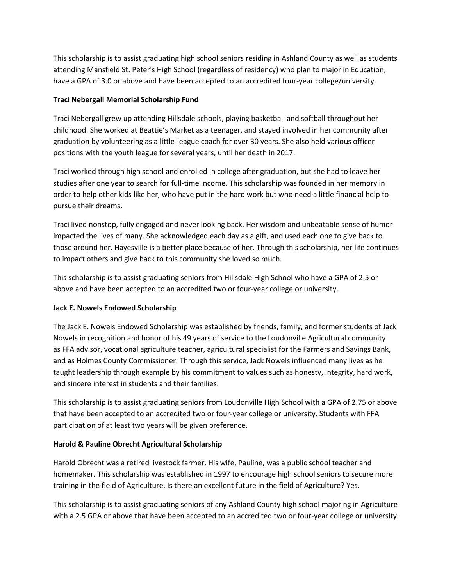This scholarship is to assist graduating high school seniors residing in Ashland County as well as students attending Mansfield St. Peter's High School (regardless of residency) who plan to major in Education, have a GPA of 3.0 or above and have been accepted to an accredited four-year college/university.

## **Traci Nebergall Memorial Scholarship Fund**

Traci Nebergall grew up attending Hillsdale schools, playing basketball and softball throughout her childhood. She worked at Beattie's Market as a teenager, and stayed involved in her community after graduation by volunteering as a little-league coach for over 30 years. She also held various officer positions with the youth league for several years, until her death in 2017.

Traci worked through high school and enrolled in college after graduation, but she had to leave her studies after one year to search for full-time income. This scholarship was founded in her memory in order to help other kids like her, who have put in the hard work but who need a little financial help to pursue their dreams.

Traci lived nonstop, fully engaged and never looking back. Her wisdom and unbeatable sense of humor impacted the lives of many. She acknowledged each day as a gift, and used each one to give back to those around her. Hayesville is a better place because of her. Through this scholarship, her life continues to impact others and give back to this community she loved so much.

This scholarship is to assist graduating seniors from Hillsdale High School who have a GPA of 2.5 or above and have been accepted to an accredited two or four-year college or university.

#### **Jack E. Nowels Endowed Scholarship**

The Jack E. Nowels Endowed Scholarship was established by friends, family, and former students of Jack Nowels in recognition and honor of his 49 years of service to the Loudonville Agricultural community as FFA advisor, vocational agriculture teacher, agricultural specialist for the Farmers and Savings Bank, and as Holmes County Commissioner. Through this service, Jack Nowels influenced many lives as he taught leadership through example by his commitment to values such as honesty, integrity, hard work, and sincere interest in students and their families.

This scholarship is to assist graduating seniors from Loudonville High School with a GPA of 2.75 or above that have been accepted to an accredited two or four-year college or university. Students with FFA participation of at least two years will be given preference.

## **Harold & Pauline Obrecht Agricultural Scholarship**

Harold Obrecht was a retired livestock farmer. His wife, Pauline, was a public school teacher and homemaker. This scholarship was established in 1997 to encourage high school seniors to secure more training in the field of Agriculture. Is there an excellent future in the field of Agriculture? Yes.

This scholarship is to assist graduating seniors of any Ashland County high school majoring in Agriculture with a 2.5 GPA or above that have been accepted to an accredited two or four-year college or university.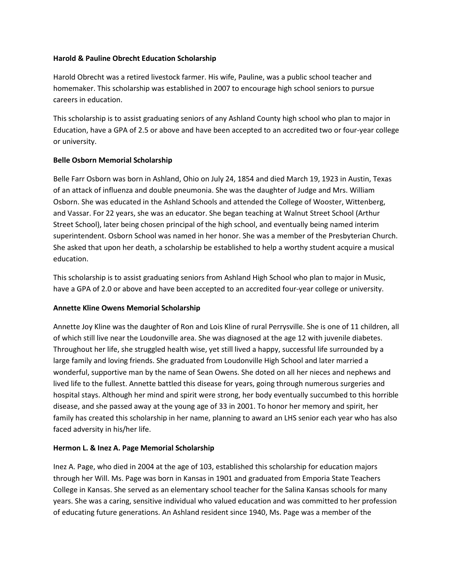#### **Harold & Pauline Obrecht Education Scholarship**

Harold Obrecht was a retired livestock farmer. His wife, Pauline, was a public school teacher and homemaker. This scholarship was established in 2007 to encourage high school seniors to pursue careers in education.

This scholarship is to assist graduating seniors of any Ashland County high school who plan to major in Education, have a GPA of 2.5 or above and have been accepted to an accredited two or four-year college or university.

## **Belle Osborn Memorial Scholarship**

Belle Farr Osborn was born in Ashland, Ohio on July 24, 1854 and died March 19, 1923 in Austin, Texas of an attack of influenza and double pneumonia. She was the daughter of Judge and Mrs. William Osborn. She was educated in the Ashland Schools and attended the College of Wooster, Wittenberg, and Vassar. For 22 years, she was an educator. She began teaching at Walnut Street School (Arthur Street School), later being chosen principal of the high school, and eventually being named interim superintendent. Osborn School was named in her honor. She was a member of the Presbyterian Church. She asked that upon her death, a scholarship be established to help a worthy student acquire a musical education.

This scholarship is to assist graduating seniors from Ashland High School who plan to major in Music, have a GPA of 2.0 or above and have been accepted to an accredited four-year college or university.

#### **Annette Kline Owens Memorial Scholarship**

Annette Joy Kline was the daughter of Ron and Lois Kline of rural Perrysville. She is one of 11 children, all of which still live near the Loudonville area. She was diagnosed at the age 12 with juvenile diabetes. Throughout her life, she struggled health wise, yet still lived a happy, successful life surrounded by a large family and loving friends. She graduated from Loudonville High School and later married a wonderful, supportive man by the name of Sean Owens. She doted on all her nieces and nephews and lived life to the fullest. Annette battled this disease for years, going through numerous surgeries and hospital stays. Although her mind and spirit were strong, her body eventually succumbed to this horrible disease, and she passed away at the young age of 33 in 2001. To honor her memory and spirit, her family has created this scholarship in her name, planning to award an LHS senior each year who has also faced adversity in his/her life.

#### **Hermon L. & Inez A. Page Memorial Scholarship**

Inez A. Page, who died in 2004 at the age of 103, established this scholarship for education majors through her Will. Ms. Page was born in Kansas in 1901 and graduated from Emporia State Teachers College in Kansas. She served as an elementary school teacher for the Salina Kansas schools for many years. She was a caring, sensitive individual who valued education and was committed to her profession of educating future generations. An Ashland resident since 1940, Ms. Page was a member of the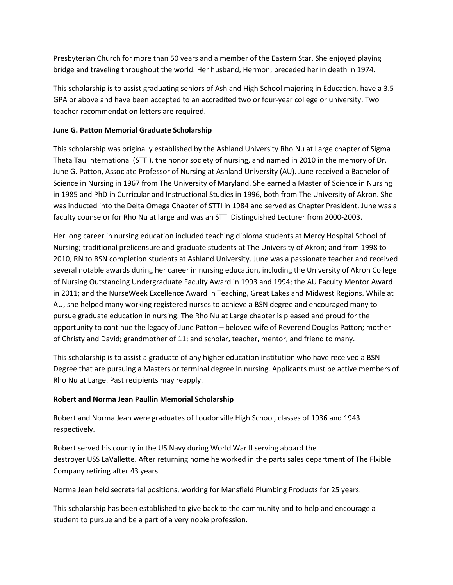Presbyterian Church for more than 50 years and a member of the Eastern Star. She enjoyed playing bridge and traveling throughout the world. Her husband, Hermon, preceded her in death in 1974.

This scholarship is to assist graduating seniors of Ashland High School majoring in Education, have a 3.5 GPA or above and have been accepted to an accredited two or four-year college or university. Two teacher recommendation letters are required.

### **June G. Patton Memorial Graduate Scholarship**

This scholarship was originally established by the Ashland University Rho Nu at Large chapter of Sigma Theta Tau International (STTI), the honor society of nursing, and named in 2010 in the memory of Dr. June G. Patton, Associate Professor of Nursing at Ashland University (AU). June received a Bachelor of Science in Nursing in 1967 from The University of Maryland. She earned a Master of Science in Nursing in 1985 and PhD in Curricular and Instructional Studies in 1996, both from The University of Akron. She was inducted into the Delta Omega Chapter of STTI in 1984 and served as Chapter President. June was a faculty counselor for Rho Nu at large and was an STTI Distinguished Lecturer from 2000-2003.

Her long career in nursing education included teaching diploma students at Mercy Hospital School of Nursing; traditional prelicensure and graduate students at The University of Akron; and from 1998 to 2010, RN to BSN completion students at Ashland University. June was a passionate teacher and received several notable awards during her career in nursing education, including the University of Akron College of Nursing Outstanding Undergraduate Faculty Award in 1993 and 1994; the AU Faculty Mentor Award in 2011; and the NurseWeek Excellence Award in Teaching, Great Lakes and Midwest Regions. While at AU, she helped many working registered nurses to achieve a BSN degree and encouraged many to pursue graduate education in nursing. The Rho Nu at Large chapter is pleased and proud for the opportunity to continue the legacy of June Patton – beloved wife of Reverend Douglas Patton; mother of Christy and David; grandmother of 11; and scholar, teacher, mentor, and friend to many.

This scholarship is to assist a graduate of any higher education institution who have received a BSN Degree that are pursuing a Masters or terminal degree in nursing. Applicants must be active members of Rho Nu at Large. Past recipients may reapply.

## **Robert and Norma Jean Paullin Memorial Scholarship**

Robert and Norma Jean were graduates of Loudonville High School, classes of 1936 and 1943 respectively.

Robert served his county in the US Navy during World War II serving aboard the destroyer USS LaVallette. After returning home he worked in the parts sales department of The Flxible Company retiring after 43 years.

Norma Jean held secretarial positions, working for Mansfield Plumbing Products for 25 years.

This scholarship has been established to give back to the community and to help and encourage a student to pursue and be a part of a very noble profession.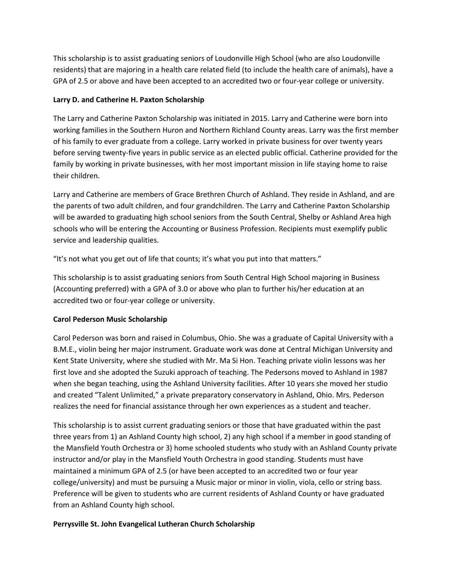This scholarship is to assist graduating seniors of Loudonville High School (who are also Loudonville residents) that are majoring in a health care related field (to include the health care of animals), have a GPA of 2.5 or above and have been accepted to an accredited two or four-year college or university.

### **Larry D. and Catherine H. Paxton Scholarship**

The Larry and Catherine Paxton Scholarship was initiated in 2015. Larry and Catherine were born into working families in the Southern Huron and Northern Richland County areas. Larry was the first member of his family to ever graduate from a college. Larry worked in private business for over twenty years before serving twenty-five years in public service as an elected public official. Catherine provided for the family by working in private businesses, with her most important mission in life staying home to raise their children.

Larry and Catherine are members of Grace Brethren Church of Ashland. They reside in Ashland, and are the parents of two adult children, and four grandchildren. The Larry and Catherine Paxton Scholarship will be awarded to graduating high school seniors from the South Central, Shelby or Ashland Area high schools who will be entering the Accounting or Business Profession. Recipients must exemplify public service and leadership qualities.

"It's not what you get out of life that counts; it's what you put into that matters."

This scholarship is to assist graduating seniors from South Central High School majoring in Business (Accounting preferred) with a GPA of 3.0 or above who plan to further his/her education at an accredited two or four-year college or university.

## **Carol Pederson Music Scholarship**

Carol Pederson was born and raised in Columbus, Ohio. She was a graduate of Capital University with a B.M.E., violin being her major instrument. Graduate work was done at Central Michigan University and Kent State University, where she studied with Mr. Ma Si Hon. Teaching private violin lessons was her first love and she adopted the Suzuki approach of teaching. The Pedersons moved to Ashland in 1987 when she began teaching, using the Ashland University facilities. After 10 years she moved her studio and created "Talent Unlimited," a private preparatory conservatory in Ashland, Ohio. Mrs. Pederson realizes the need for financial assistance through her own experiences as a student and teacher.

This scholarship is to assist current graduating seniors or those that have graduated within the past three years from 1) an Ashland County high school, 2) any high school if a member in good standing of the Mansfield Youth Orchestra or 3) home schooled students who study with an Ashland County private instructor and/or play in the Mansfield Youth Orchestra in good standing. Students must have maintained a minimum GPA of 2.5 (or have been accepted to an accredited two or four year college/university) and must be pursuing a Music major or minor in violin, viola, cello or string bass. Preference will be given to students who are current residents of Ashland County or have graduated from an Ashland County high school.

#### **Perrysville St. John Evangelical Lutheran Church Scholarship**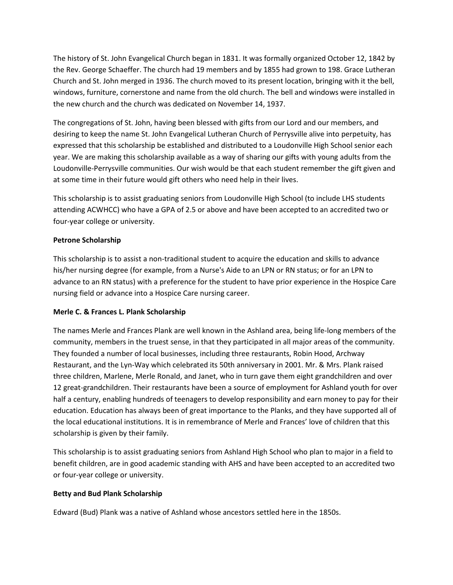The history of St. John Evangelical Church began in 1831. It was formally organized October 12, 1842 by the Rev. George Schaeffer. The church had 19 members and by 1855 had grown to 198. Grace Lutheran Church and St. John merged in 1936. The church moved to its present location, bringing with it the bell, windows, furniture, cornerstone and name from the old church. The bell and windows were installed in the new church and the church was dedicated on November 14, 1937.

The congregations of St. John, having been blessed with gifts from our Lord and our members, and desiring to keep the name St. John Evangelical Lutheran Church of Perrysville alive into perpetuity, has expressed that this scholarship be established and distributed to a Loudonville High School senior each year. We are making this scholarship available as a way of sharing our gifts with young adults from the Loudonville-Perrysville communities. Our wish would be that each student remember the gift given and at some time in their future would gift others who need help in their lives.

This scholarship is to assist graduating seniors from Loudonville High School (to include LHS students attending ACWHCC) who have a GPA of 2.5 or above and have been accepted to an accredited two or four-year college or university.

### **Petrone Scholarship**

This scholarship is to assist a non-traditional student to acquire the education and skills to advance his/her nursing degree (for example, from a Nurse's Aide to an LPN or RN status; or for an LPN to advance to an RN status) with a preference for the student to have prior experience in the Hospice Care nursing field or advance into a Hospice Care nursing career.

#### **Merle C. & Frances L. Plank Scholarship**

The names Merle and Frances Plank are well known in the Ashland area, being life-long members of the community, members in the truest sense, in that they participated in all major areas of the community. They founded a number of local businesses, including three restaurants, Robin Hood, Archway Restaurant, and the Lyn-Way which celebrated its 50th anniversary in 2001. Mr. & Mrs. Plank raised three children, Marlene, Merle Ronald, and Janet, who in turn gave them eight grandchildren and over 12 great-grandchildren. Their restaurants have been a source of employment for Ashland youth for over half a century, enabling hundreds of teenagers to develop responsibility and earn money to pay for their education. Education has always been of great importance to the Planks, and they have supported all of the local educational institutions. It is in remembrance of Merle and Frances' love of children that this scholarship is given by their family.

This scholarship is to assist graduating seniors from Ashland High School who plan to major in a field to benefit children, are in good academic standing with AHS and have been accepted to an accredited two or four-year college or university.

#### **Betty and Bud Plank Scholarship**

Edward (Bud) Plank was a native of Ashland whose ancestors settled here in the 1850s.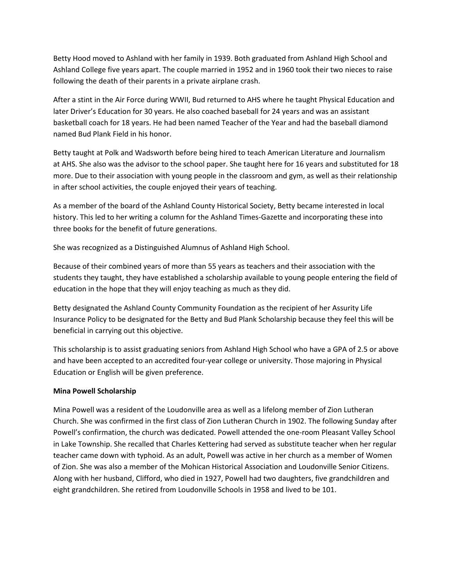Betty Hood moved to Ashland with her family in 1939. Both graduated from Ashland High School and Ashland College five years apart. The couple married in 1952 and in 1960 took their two nieces to raise following the death of their parents in a private airplane crash.

After a stint in the Air Force during WWII, Bud returned to AHS where he taught Physical Education and later Driver's Education for 30 years. He also coached baseball for 24 years and was an assistant basketball coach for 18 years. He had been named Teacher of the Year and had the baseball diamond named Bud Plank Field in his honor.

Betty taught at Polk and Wadsworth before being hired to teach American Literature and Journalism at AHS. She also was the advisor to the school paper. She taught here for 16 years and substituted for 18 more. Due to their association with young people in the classroom and gym, as well as their relationship in after school activities, the couple enjoyed their years of teaching.

As a member of the board of the Ashland County Historical Society, Betty became interested in local history. This led to her writing a column for the Ashland Times-Gazette and incorporating these into three books for the benefit of future generations.

She was recognized as a Distinguished Alumnus of Ashland High School.

Because of their combined years of more than 55 years as teachers and their association with the students they taught, they have established a scholarship available to young people entering the field of education in the hope that they will enjoy teaching as much as they did.

Betty designated the Ashland County Community Foundation as the recipient of her Assurity Life Insurance Policy to be designated for the Betty and Bud Plank Scholarship because they feel this will be beneficial in carrying out this objective.

This scholarship is to assist graduating seniors from Ashland High School who have a GPA of 2.5 or above and have been accepted to an accredited four-year college or university. Those majoring in Physical Education or English will be given preference.

#### **Mina Powell Scholarship**

Mina Powell was a resident of the Loudonville area as well as a lifelong member of Zion Lutheran Church. She was confirmed in the first class of Zion Lutheran Church in 1902. The following Sunday after Powell's confirmation, the church was dedicated. Powell attended the one-room Pleasant Valley School in Lake Township. She recalled that Charles Kettering had served as substitute teacher when her regular teacher came down with typhoid. As an adult, Powell was active in her church as a member of Women of Zion. She was also a member of the Mohican Historical Association and Loudonville Senior Citizens. Along with her husband, Clifford, who died in 1927, Powell had two daughters, five grandchildren and eight grandchildren. She retired from Loudonville Schools in 1958 and lived to be 101.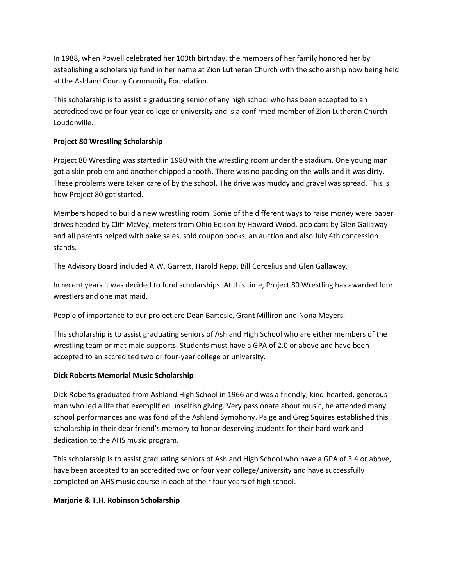In 1988, when Powell celebrated her 100th birthday, the members of her family honored her by establishing a scholarship fund in her name at Zion Lutheran Church with the scholarship now being held at the Ashland County Community Foundation.

This scholarship is to assist a graduating senior of any high school who has been accepted to an accredited two or four-year college or university and is a confirmed member of Zion Lutheran Church - Loudonville.

## **Project 80 Wrestling Scholarship**

Project 80 Wrestling was started in 1980 with the wrestling room under the stadium. One young man got a skin problem and another chipped a tooth. There was no padding on the walls and it was dirty. These problems were taken care of by the school. The drive was muddy and gravel was spread. This is how Project 80 got started.

Members hoped to build a new wrestling room. Some of the different ways to raise money were paper drives headed by Cliff McVey, meters from Ohio Edison by Howard Wood, pop cans by Glen Gallaway and all parents helped with bake sales, sold coupon books, an auction and also July 4th concession stands.

The Advisory Board included A.W. Garrett, Harold Repp, Bill Corcelius and Glen Gallaway.

In recent years it was decided to fund scholarships. At this time, Project 80 Wrestling has awarded four wrestlers and one mat maid.

People of importance to our project are Dean Bartosic, Grant Milliron and Nona Meyers.

This scholarship is to assist graduating seniors of Ashland High School who are either members of the wrestling team or mat maid supports. Students must have a GPA of 2.0 or above and have been accepted to an accredited two or four-year college or university.

#### **Dick Roberts Memorial Music Scholarship**

Dick Roberts graduated from Ashland High School in 1966 and was a friendly, kind-hearted, generous man who led a life that exemplified unselfish giving. Very passionate about music, he attended many school performances and was fond of the Ashland Symphony. Paige and Greg Squires established this scholarship in their dear friend's memory to honor deserving students for their hard work and dedication to the AHS music program.

This scholarship is to assist graduating seniors of Ashland High School who have a GPA of 3.4 or above, have been accepted to an accredited two or four year college/university and have successfully completed an AHS music course in each of their four years of high school.

#### **Marjorie & T.H. Robinson Scholarship**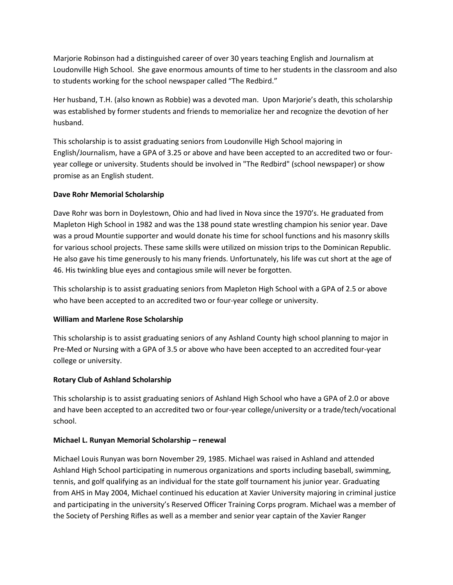Marjorie Robinson had a distinguished career of over 30 years teaching English and Journalism at Loudonville High School. She gave enormous amounts of time to her students in the classroom and also to students working for the school newspaper called "The Redbird."

Her husband, T.H. (also known as Robbie) was a devoted man. Upon Marjorie's death, this scholarship was established by former students and friends to memorialize her and recognize the devotion of her husband.

This scholarship is to assist graduating seniors from Loudonville High School majoring in English/Journalism, have a GPA of 3.25 or above and have been accepted to an accredited two or fouryear college or university. Students should be involved in "The Redbird" (school newspaper) or show promise as an English student.

### **Dave Rohr Memorial Scholarship**

Dave Rohr was born in Doylestown, Ohio and had lived in Nova since the 1970's. He graduated from Mapleton High School in 1982 and was the 138 pound state wrestling champion his senior year. Dave was a proud Mountie supporter and would donate his time for school functions and his masonry skills for various school projects. These same skills were utilized on mission trips to the Dominican Republic. He also gave his time generously to his many friends. Unfortunately, his life was cut short at the age of 46. His twinkling blue eyes and contagious smile will never be forgotten.

This scholarship is to assist graduating seniors from Mapleton High School with a GPA of 2.5 or above who have been accepted to an accredited two or four-year college or university.

## **William and Marlene Rose Scholarship**

This scholarship is to assist graduating seniors of any Ashland County high school planning to major in Pre-Med or Nursing with a GPA of 3.5 or above who have been accepted to an accredited four-year college or university.

## **Rotary Club of Ashland Scholarship**

This scholarship is to assist graduating seniors of Ashland High School who have a GPA of 2.0 or above and have been accepted to an accredited two or four-year college/university or a trade/tech/vocational school.

#### **Michael L. Runyan Memorial Scholarship – renewal**

Michael Louis Runyan was born November 29, 1985. Michael was raised in Ashland and attended Ashland High School participating in numerous organizations and sports including baseball, swimming, tennis, and golf qualifying as an individual for the state golf tournament his junior year. Graduating from AHS in May 2004, Michael continued his education at Xavier University majoring in criminal justice and participating in the university's Reserved Officer Training Corps program. Michael was a member of the Society of Pershing Rifles as well as a member and senior year captain of the Xavier Ranger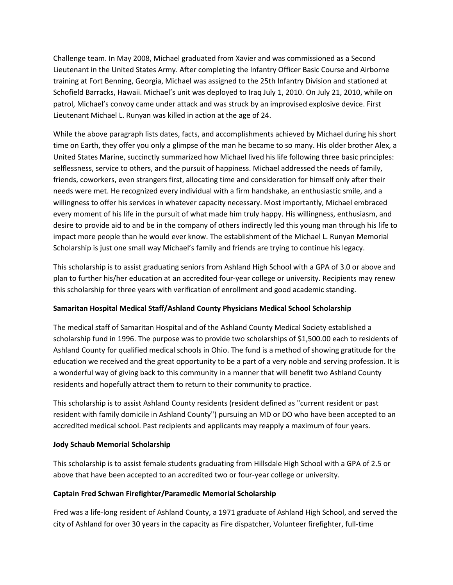Challenge team. In May 2008, Michael graduated from Xavier and was commissioned as a Second Lieutenant in the United States Army. After completing the Infantry Officer Basic Course and Airborne training at Fort Benning, Georgia, Michael was assigned to the 25th Infantry Division and stationed at Schofield Barracks, Hawaii. Michael's unit was deployed to Iraq July 1, 2010. On July 21, 2010, while on patrol, Michael's convoy came under attack and was struck by an improvised explosive device. First Lieutenant Michael L. Runyan was killed in action at the age of 24.

While the above paragraph lists dates, facts, and accomplishments achieved by Michael during his short time on Earth, they offer you only a glimpse of the man he became to so many. His older brother Alex, a United States Marine, succinctly summarized how Michael lived his life following three basic principles: selflessness, service to others, and the pursuit of happiness. Michael addressed the needs of family, friends, coworkers, even strangers first, allocating time and consideration for himself only after their needs were met. He recognized every individual with a firm handshake, an enthusiastic smile, and a willingness to offer his services in whatever capacity necessary. Most importantly, Michael embraced every moment of his life in the pursuit of what made him truly happy. His willingness, enthusiasm, and desire to provide aid to and be in the company of others indirectly led this young man through his life to impact more people than he would ever know. The establishment of the Michael L. Runyan Memorial Scholarship is just one small way Michael's family and friends are trying to continue his legacy.

This scholarship is to assist graduating seniors from Ashland High School with a GPA of 3.0 or above and plan to further his/her education at an accredited four-year college or university. Recipients may renew this scholarship for three years with verification of enrollment and good academic standing.

#### **Samaritan Hospital Medical Staff/Ashland County Physicians Medical School Scholarship**

The medical staff of Samaritan Hospital and of the Ashland County Medical Society established a scholarship fund in 1996. The purpose was to provide two scholarships of \$1,500.00 each to residents of Ashland County for qualified medical schools in Ohio. The fund is a method of showing gratitude for the education we received and the great opportunity to be a part of a very noble and serving profession. It is a wonderful way of giving back to this community in a manner that will benefit two Ashland County residents and hopefully attract them to return to their community to practice.

This scholarship is to assist Ashland County residents (resident defined as "current resident or past resident with family domicile in Ashland County") pursuing an MD or DO who have been accepted to an accredited medical school. Past recipients and applicants may reapply a maximum of four years.

#### **Jody Schaub Memorial Scholarship**

This scholarship is to assist female students graduating from Hillsdale High School with a GPA of 2.5 or above that have been accepted to an accredited two or four-year college or university.

#### **Captain Fred Schwan Firefighter/Paramedic Memorial Scholarship**

Fred was a life-long resident of Ashland County, a 1971 graduate of Ashland High School, and served the city of Ashland for over 30 years in the capacity as Fire dispatcher, Volunteer firefighter, full-time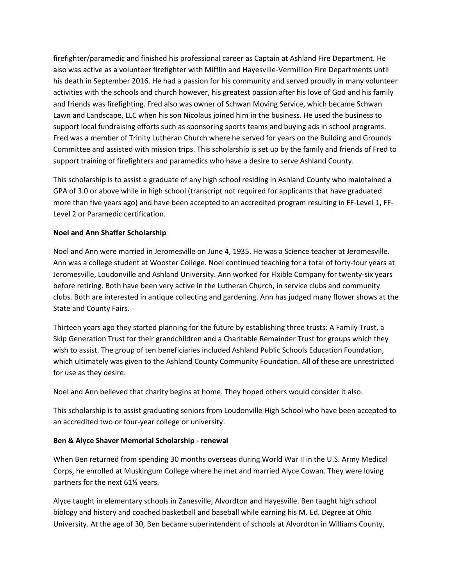firefighter/paramedic and finished his professional career as Captain at Ashland Fire Department. He also was active as a volunteer firefighter with Mifflin and Hayesville-Vermillion Fire Departments until his death in September 2016. He had a passion for his community and served proudly in many volunteer activities with the schools and church however, his greatest passion after his love of God and his family and friends was firefighting. Fred also was owner of Schwan Moving Service, which became Schwan Lawn and Landscape, LLC when his son Nicolaus joined him in the business. He used the business to support local fundraising efforts such as sponsoring sports teams and buying ads in school programs. Fred was a member of Trinity Lutheran Church where he served for years on the Building and Grounds Committee and assisted with mission trips. This scholarship is set up by the family and friends of Fred to support training of firefighters and paramedics who have a desire to serve Ashland County.

This scholarship is to assist a graduate of any high school residing in Ashland County who maintained a GPA of 3.0 or above while in high school (transcript not required for applicants that have graduated more than five years ago) and have been accepted to an accredited program resulting in FF-Level 1, FF-Level 2 or Paramedic certification.

### **Noel and Ann Shaffer Scholarship**

Noel and Ann were married in Jeromesville on June 4, 1935. He was a Science teacher at Jeromesville. Ann was a college student at Wooster College. Noel continued teaching for a total of forty-four years at Jeromesville, Loudonville and Ashland University. Ann worked for Flxible Company for twenty-six years before retiring. Both have been very active in the Lutheran Church, in service clubs and community clubs. Both are interested in antique collecting and gardening. Ann has judged many flower shows at the State and County Fairs.

Thirteen years ago they started planning for the future by establishing three trusts: A Family Trust, a Skip Generation Trust for their grandchildren and a Charitable Remainder Trust for groups which they wish to assist. The group of ten beneficiaries included Ashland Public Schools Education Foundation, which ultimately was given to the Ashland County Community Foundation. All of these are unrestricted for use as they desire.

Noel and Ann believed that charity begins at home. They hoped others would consider it also.

This scholarship is to assist graduating seniors from Loudonville High School who have been accepted to an accredited two or four-year college or university.

#### **Ben & Alyce Shaver Memorial Scholarship - renewal**

When Ben returned from spending 30 months overseas during World War II in the U.S. Army Medical Corps, he enrolled at Muskingum College where he met and married Alyce Cowan. They were loving partners for the next 61½ years.

Alyce taught in elementary schools in Zanesville, Alvordton and Hayesville. Ben taught high school biology and history and coached basketball and baseball while earning his M. Ed. Degree at Ohio University. At the age of 30, Ben became superintendent of schools at Alvordton in Williams County,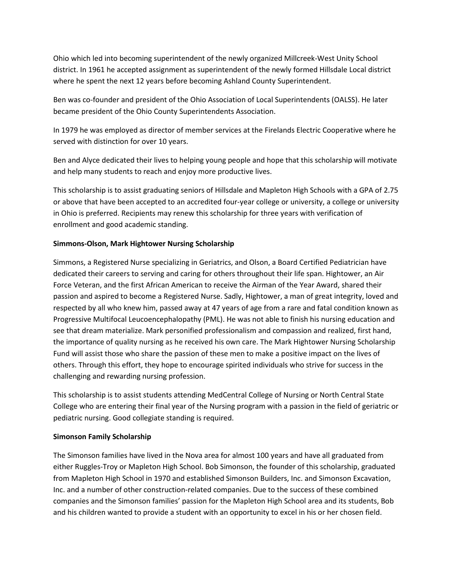Ohio which led into becoming superintendent of the newly organized Millcreek-West Unity School district. In 1961 he accepted assignment as superintendent of the newly formed Hillsdale Local district where he spent the next 12 years before becoming Ashland County Superintendent.

Ben was co-founder and president of the Ohio Association of Local Superintendents (OALSS). He later became president of the Ohio County Superintendents Association.

In 1979 he was employed as director of member services at the Firelands Electric Cooperative where he served with distinction for over 10 years.

Ben and Alyce dedicated their lives to helping young people and hope that this scholarship will motivate and help many students to reach and enjoy more productive lives.

This scholarship is to assist graduating seniors of Hillsdale and Mapleton High Schools with a GPA of 2.75 or above that have been accepted to an accredited four-year college or university, a college or university in Ohio is preferred. Recipients may renew this scholarship for three years with verification of enrollment and good academic standing.

## **Simmons-Olson, Mark Hightower Nursing Scholarship**

Simmons, a Registered Nurse specializing in Geriatrics, and Olson, a Board Certified Pediatrician have dedicated their careers to serving and caring for others throughout their life span. Hightower, an Air Force Veteran, and the first African American to receive the Airman of the Year Award, shared their passion and aspired to become a Registered Nurse. Sadly, Hightower, a man of great integrity, loved and respected by all who knew him, passed away at 47 years of age from a rare and fatal condition known as Progressive Multifocal Leucoencephalopathy (PML). He was not able to finish his nursing education and see that dream materialize. Mark personified professionalism and compassion and realized, first hand, the importance of quality nursing as he received his own care. The Mark Hightower Nursing Scholarship Fund will assist those who share the passion of these men to make a positive impact on the lives of others. Through this effort, they hope to encourage spirited individuals who strive for success in the challenging and rewarding nursing profession.

This scholarship is to assist students attending MedCentral College of Nursing or North Central State College who are entering their final year of the Nursing program with a passion in the field of geriatric or pediatric nursing. Good collegiate standing is required.

#### **Simonson Family Scholarship**

The Simonson families have lived in the Nova area for almost 100 years and have all graduated from either Ruggles-Troy or Mapleton High School. Bob Simonson, the founder of this scholarship, graduated from Mapleton High School in 1970 and established Simonson Builders, Inc. and Simonson Excavation, Inc. and a number of other construction-related companies. Due to the success of these combined companies and the Simonson families' passion for the Mapleton High School area and its students, Bob and his children wanted to provide a student with an opportunity to excel in his or her chosen field.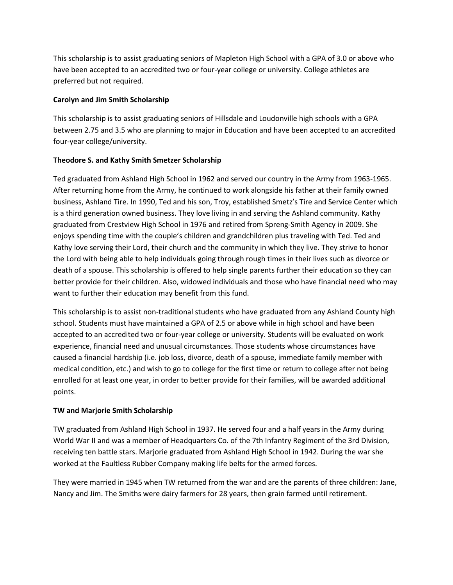This scholarship is to assist graduating seniors of Mapleton High School with a GPA of 3.0 or above who have been accepted to an accredited two or four-year college or university. College athletes are preferred but not required.

### **Carolyn and Jim Smith Scholarship**

This scholarship is to assist graduating seniors of Hillsdale and Loudonville high schools with a GPA between 2.75 and 3.5 who are planning to major in Education and have been accepted to an accredited four-year college/university.

## **Theodore S. and Kathy Smith Smetzer Scholarship**

Ted graduated from Ashland High School in 1962 and served our country in the Army from 1963-1965. After returning home from the Army, he continued to work alongside his father at their family owned business, Ashland Tire. In 1990, Ted and his son, Troy, established Smetz's Tire and Service Center which is a third generation owned business. They love living in and serving the Ashland community. Kathy graduated from Crestview High School in 1976 and retired from Spreng-Smith Agency in 2009. She enjoys spending time with the couple's children and grandchildren plus traveling with Ted. Ted and Kathy love serving their Lord, their church and the community in which they live. They strive to honor the Lord with being able to help individuals going through rough times in their lives such as divorce or death of a spouse. This scholarship is offered to help single parents further their education so they can better provide for their children. Also, widowed individuals and those who have financial need who may want to further their education may benefit from this fund.

This scholarship is to assist non-traditional students who have graduated from any Ashland County high school. Students must have maintained a GPA of 2.5 or above while in high school and have been accepted to an accredited two or four-year college or university. Students will be evaluated on work experience, financial need and unusual circumstances. Those students whose circumstances have caused a financial hardship (i.e. job loss, divorce, death of a spouse, immediate family member with medical condition, etc.) and wish to go to college for the first time or return to college after not being enrolled for at least one year, in order to better provide for their families, will be awarded additional points.

## **TW and Marjorie Smith Scholarship**

TW graduated from Ashland High School in 1937. He served four and a half years in the Army during World War II and was a member of Headquarters Co. of the 7th Infantry Regiment of the 3rd Division, receiving ten battle stars. Marjorie graduated from Ashland High School in 1942. During the war she worked at the Faultless Rubber Company making life belts for the armed forces.

They were married in 1945 when TW returned from the war and are the parents of three children: Jane, Nancy and Jim. The Smiths were dairy farmers for 28 years, then grain farmed until retirement.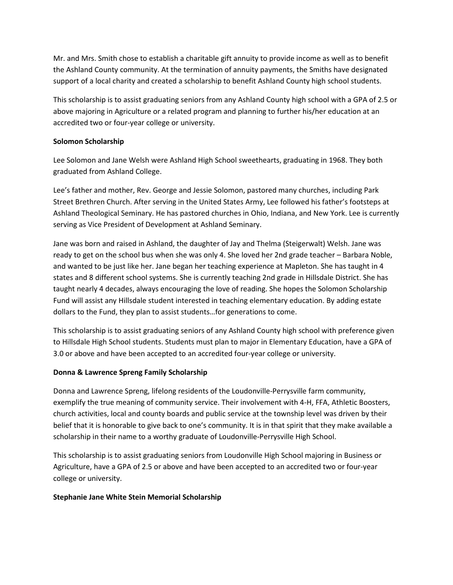Mr. and Mrs. Smith chose to establish a charitable gift annuity to provide income as well as to benefit the Ashland County community. At the termination of annuity payments, the Smiths have designated support of a local charity and created a scholarship to benefit Ashland County high school students.

This scholarship is to assist graduating seniors from any Ashland County high school with a GPA of 2.5 or above majoring in Agriculture or a related program and planning to further his/her education at an accredited two or four-year college or university.

#### **Solomon Scholarship**

Lee Solomon and Jane Welsh were Ashland High School sweethearts, graduating in 1968. They both graduated from Ashland College.

Lee's father and mother, Rev. George and Jessie Solomon, pastored many churches, including Park Street Brethren Church. After serving in the United States Army, Lee followed his father's footsteps at Ashland Theological Seminary. He has pastored churches in Ohio, Indiana, and New York. Lee is currently serving as Vice President of Development at Ashland Seminary.

Jane was born and raised in Ashland, the daughter of Jay and Thelma (Steigerwalt) Welsh. Jane was ready to get on the school bus when she was only 4. She loved her 2nd grade teacher – Barbara Noble, and wanted to be just like her. Jane began her teaching experience at Mapleton. She has taught in 4 states and 8 different school systems. She is currently teaching 2nd grade in Hillsdale District. She has taught nearly 4 decades, always encouraging the love of reading. She hopes the Solomon Scholarship Fund will assist any Hillsdale student interested in teaching elementary education. By adding estate dollars to the Fund, they plan to assist students…for generations to come.

This scholarship is to assist graduating seniors of any Ashland County high school with preference given to Hillsdale High School students. Students must plan to major in Elementary Education, have a GPA of 3.0 or above and have been accepted to an accredited four-year college or university.

#### **Donna & Lawrence Spreng Family Scholarship**

Donna and Lawrence Spreng, lifelong residents of the Loudonville-Perrysville farm community, exemplify the true meaning of community service. Their involvement with 4-H, FFA, Athletic Boosters, church activities, local and county boards and public service at the township level was driven by their belief that it is honorable to give back to one's community. It is in that spirit that they make available a scholarship in their name to a worthy graduate of Loudonville-Perrysville High School.

This scholarship is to assist graduating seniors from Loudonville High School majoring in Business or Agriculture, have a GPA of 2.5 or above and have been accepted to an accredited two or four-year college or university.

#### **Stephanie Jane White Stein Memorial Scholarship**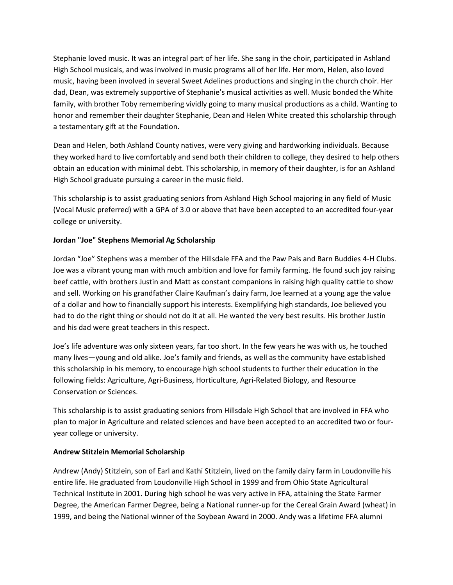Stephanie loved music. It was an integral part of her life. She sang in the choir, participated in Ashland High School musicals, and was involved in music programs all of her life. Her mom, Helen, also loved music, having been involved in several Sweet Adelines productions and singing in the church choir. Her dad, Dean, was extremely supportive of Stephanie's musical activities as well. Music bonded the White family, with brother Toby remembering vividly going to many musical productions as a child. Wanting to honor and remember their daughter Stephanie, Dean and Helen White created this scholarship through a testamentary gift at the Foundation.

Dean and Helen, both Ashland County natives, were very giving and hardworking individuals. Because they worked hard to live comfortably and send both their children to college, they desired to help others obtain an education with minimal debt. This scholarship, in memory of their daughter, is for an Ashland High School graduate pursuing a career in the music field.

This scholarship is to assist graduating seniors from Ashland High School majoring in any field of Music (Vocal Music preferred) with a GPA of 3.0 or above that have been accepted to an accredited four-year college or university.

## **Jordan "Joe" Stephens Memorial Ag Scholarship**

Jordan "Joe" Stephens was a member of the Hillsdale FFA and the Paw Pals and Barn Buddies 4-H Clubs. Joe was a vibrant young man with much ambition and love for family farming. He found such joy raising beef cattle, with brothers Justin and Matt as constant companions in raising high quality cattle to show and sell. Working on his grandfather Claire Kaufman's dairy farm, Joe learned at a young age the value of a dollar and how to financially support his interests. Exemplifying high standards, Joe believed you had to do the right thing or should not do it at all. He wanted the very best results. His brother Justin and his dad were great teachers in this respect.

Joe's life adventure was only sixteen years, far too short. In the few years he was with us, he touched many lives—young and old alike. Joe's family and friends, as well as the community have established this scholarship in his memory, to encourage high school students to further their education in the following fields: Agriculture, Agri-Business, Horticulture, Agri-Related Biology, and Resource Conservation or Sciences.

This scholarship is to assist graduating seniors from Hillsdale High School that are involved in FFA who plan to major in Agriculture and related sciences and have been accepted to an accredited two or fouryear college or university.

#### **Andrew Stitzlein Memorial Scholarship**

Andrew (Andy) Stitzlein, son of Earl and Kathi Stitzlein, lived on the family dairy farm in Loudonville his entire life. He graduated from Loudonville High School in 1999 and from Ohio State Agricultural Technical Institute in 2001. During high school he was very active in FFA, attaining the State Farmer Degree, the American Farmer Degree, being a National runner-up for the Cereal Grain Award (wheat) in 1999, and being the National winner of the Soybean Award in 2000. Andy was a lifetime FFA alumni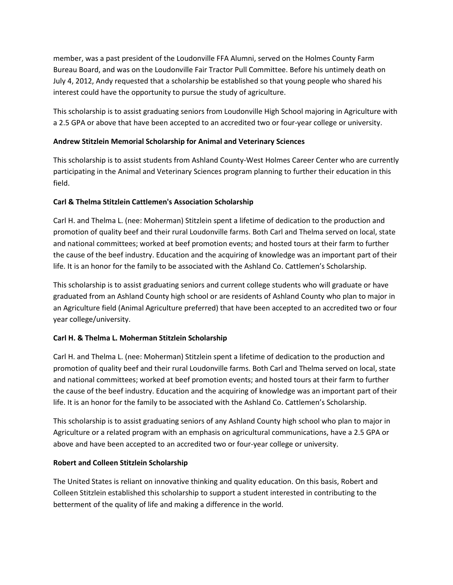member, was a past president of the Loudonville FFA Alumni, served on the Holmes County Farm Bureau Board, and was on the Loudonville Fair Tractor Pull Committee. Before his untimely death on July 4, 2012, Andy requested that a scholarship be established so that young people who shared his interest could have the opportunity to pursue the study of agriculture.

This scholarship is to assist graduating seniors from Loudonville High School majoring in Agriculture with a 2.5 GPA or above that have been accepted to an accredited two or four-year college or university.

### **Andrew Stitzlein Memorial Scholarship for Animal and Veterinary Sciences**

This scholarship is to assist students from Ashland County-West Holmes Career Center who are currently participating in the Animal and Veterinary Sciences program planning to further their education in this field.

### **Carl & Thelma Stitzlein Cattlemen's Association Scholarship**

Carl H. and Thelma L. (nee: Moherman) Stitzlein spent a lifetime of dedication to the production and promotion of quality beef and their rural Loudonville farms. Both Carl and Thelma served on local, state and national committees; worked at beef promotion events; and hosted tours at their farm to further the cause of the beef industry. Education and the acquiring of knowledge was an important part of their life. It is an honor for the family to be associated with the Ashland Co. Cattlemen's Scholarship.

This scholarship is to assist graduating seniors and current college students who will graduate or have graduated from an Ashland County high school or are residents of Ashland County who plan to major in an Agriculture field (Animal Agriculture preferred) that have been accepted to an accredited two or four year college/university.

## **Carl H. & Thelma L. Moherman Stitzlein Scholarship**

Carl H. and Thelma L. (nee: Moherman) Stitzlein spent a lifetime of dedication to the production and promotion of quality beef and their rural Loudonville farms. Both Carl and Thelma served on local, state and national committees; worked at beef promotion events; and hosted tours at their farm to further the cause of the beef industry. Education and the acquiring of knowledge was an important part of their life. It is an honor for the family to be associated with the Ashland Co. Cattlemen's Scholarship.

This scholarship is to assist graduating seniors of any Ashland County high school who plan to major in Agriculture or a related program with an emphasis on agricultural communications, have a 2.5 GPA or above and have been accepted to an accredited two or four-year college or university.

#### **Robert and Colleen Stitzlein Scholarship**

The United States is reliant on innovative thinking and quality education. On this basis, Robert and Colleen Stitzlein established this scholarship to support a student interested in contributing to the betterment of the quality of life and making a difference in the world.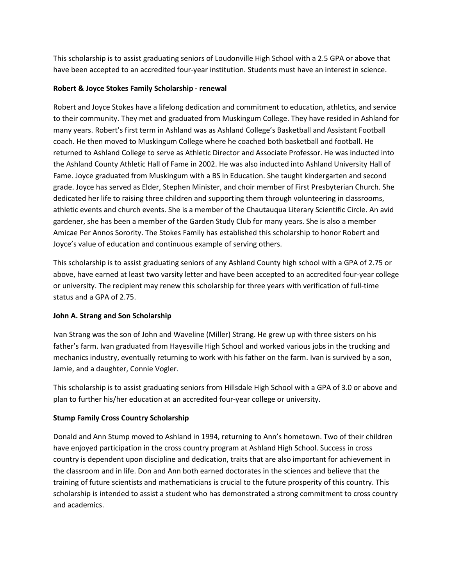This scholarship is to assist graduating seniors of Loudonville High School with a 2.5 GPA or above that have been accepted to an accredited four-year institution. Students must have an interest in science.

### **Robert & Joyce Stokes Family Scholarship - renewal**

Robert and Joyce Stokes have a lifelong dedication and commitment to education, athletics, and service to their community. They met and graduated from Muskingum College. They have resided in Ashland for many years. Robert's first term in Ashland was as Ashland College's Basketball and Assistant Football coach. He then moved to Muskingum College where he coached both basketball and football. He returned to Ashland College to serve as Athletic Director and Associate Professor. He was inducted into the Ashland County Athletic Hall of Fame in 2002. He was also inducted into Ashland University Hall of Fame. Joyce graduated from Muskingum with a BS in Education. She taught kindergarten and second grade. Joyce has served as Elder, Stephen Minister, and choir member of First Presbyterian Church. She dedicated her life to raising three children and supporting them through volunteering in classrooms, athletic events and church events. She is a member of the Chautauqua Literary Scientific Circle. An avid gardener, she has been a member of the Garden Study Club for many years. She is also a member Amicae Per Annos Sorority. The Stokes Family has established this scholarship to honor Robert and Joyce's value of education and continuous example of serving others.

This scholarship is to assist graduating seniors of any Ashland County high school with a GPA of 2.75 or above, have earned at least two varsity letter and have been accepted to an accredited four-year college or university. The recipient may renew this scholarship for three years with verification of full-time status and a GPA of 2.75.

## **John A. Strang and Son Scholarship**

Ivan Strang was the son of John and Waveline (Miller) Strang. He grew up with three sisters on his father's farm. Ivan graduated from Hayesville High School and worked various jobs in the trucking and mechanics industry, eventually returning to work with his father on the farm. Ivan is survived by a son, Jamie, and a daughter, Connie Vogler.

This scholarship is to assist graduating seniors from Hillsdale High School with a GPA of 3.0 or above and plan to further his/her education at an accredited four-year college or university.

## **Stump Family Cross Country Scholarship**

Donald and Ann Stump moved to Ashland in 1994, returning to Ann's hometown. Two of their children have enjoyed participation in the cross country program at Ashland High School. Success in cross country is dependent upon discipline and dedication, traits that are also important for achievement in the classroom and in life. Don and Ann both earned doctorates in the sciences and believe that the training of future scientists and mathematicians is crucial to the future prosperity of this country. This scholarship is intended to assist a student who has demonstrated a strong commitment to cross country and academics.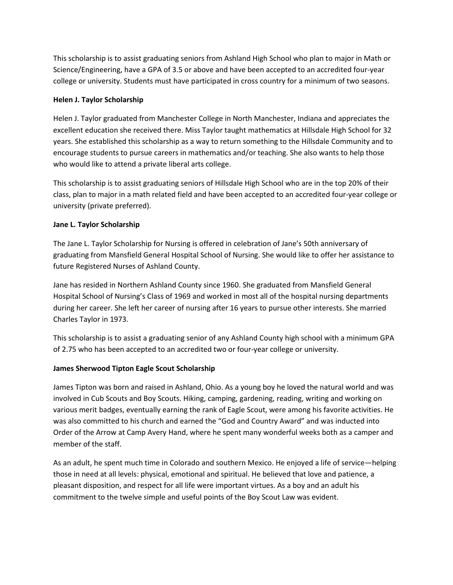This scholarship is to assist graduating seniors from Ashland High School who plan to major in Math or Science/Engineering, have a GPA of 3.5 or above and have been accepted to an accredited four-year college or university. Students must have participated in cross country for a minimum of two seasons.

### **Helen J. Taylor Scholarship**

Helen J. Taylor graduated from Manchester College in North Manchester, Indiana and appreciates the excellent education she received there. Miss Taylor taught mathematics at Hillsdale High School for 32 years. She established this scholarship as a way to return something to the Hillsdale Community and to encourage students to pursue careers in mathematics and/or teaching. She also wants to help those who would like to attend a private liberal arts college.

This scholarship is to assist graduating seniors of Hillsdale High School who are in the top 20% of their class, plan to major in a math related field and have been accepted to an accredited four-year college or university (private preferred).

### **Jane L. Taylor Scholarship**

The Jane L. Taylor Scholarship for Nursing is offered in celebration of Jane's 50th anniversary of graduating from Mansfield General Hospital School of Nursing. She would like to offer her assistance to future Registered Nurses of Ashland County.

Jane has resided in Northern Ashland County since 1960. She graduated from Mansfield General Hospital School of Nursing's Class of 1969 and worked in most all of the hospital nursing departments during her career. She left her career of nursing after 16 years to pursue other interests. She married Charles Taylor in 1973.

This scholarship is to assist a graduating senior of any Ashland County high school with a minimum GPA of 2.75 who has been accepted to an accredited two or four-year college or university.

## **James Sherwood Tipton Eagle Scout Scholarship**

James Tipton was born and raised in Ashland, Ohio. As a young boy he loved the natural world and was involved in Cub Scouts and Boy Scouts. Hiking, camping, gardening, reading, writing and working on various merit badges, eventually earning the rank of Eagle Scout, were among his favorite activities. He was also committed to his church and earned the "God and Country Award" and was inducted into Order of the Arrow at Camp Avery Hand, where he spent many wonderful weeks both as a camper and member of the staff.

As an adult, he spent much time in Colorado and southern Mexico. He enjoyed a life of service—helping those in need at all levels: physical, emotional and spiritual. He believed that love and patience, a pleasant disposition, and respect for all life were important virtues. As a boy and an adult his commitment to the twelve simple and useful points of the Boy Scout Law was evident.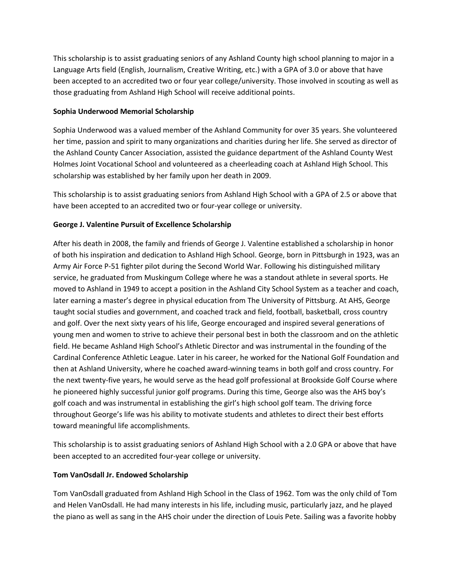This scholarship is to assist graduating seniors of any Ashland County high school planning to major in a Language Arts field (English, Journalism, Creative Writing, etc.) with a GPA of 3.0 or above that have been accepted to an accredited two or four year college/university. Those involved in scouting as well as those graduating from Ashland High School will receive additional points.

### **Sophia Underwood Memorial Scholarship**

Sophia Underwood was a valued member of the Ashland Community for over 35 years. She volunteered her time, passion and spirit to many organizations and charities during her life. She served as director of the Ashland County Cancer Association, assisted the guidance department of the Ashland County West Holmes Joint Vocational School and volunteered as a cheerleading coach at Ashland High School. This scholarship was established by her family upon her death in 2009.

This scholarship is to assist graduating seniors from Ashland High School with a GPA of 2.5 or above that have been accepted to an accredited two or four-year college or university.

## **George J. Valentine Pursuit of Excellence Scholarship**

After his death in 2008, the family and friends of George J. Valentine established a scholarship in honor of both his inspiration and dedication to Ashland High School. George, born in Pittsburgh in 1923, was an Army Air Force P-51 fighter pilot during the Second World War. Following his distinguished military service, he graduated from Muskingum College where he was a standout athlete in several sports. He moved to Ashland in 1949 to accept a position in the Ashland City School System as a teacher and coach, later earning a master's degree in physical education from The University of Pittsburg. At AHS, George taught social studies and government, and coached track and field, football, basketball, cross country and golf. Over the next sixty years of his life, George encouraged and inspired several generations of young men and women to strive to achieve their personal best in both the classroom and on the athletic field. He became Ashland High School's Athletic Director and was instrumental in the founding of the Cardinal Conference Athletic League. Later in his career, he worked for the National Golf Foundation and then at Ashland University, where he coached award-winning teams in both golf and cross country. For the next twenty-five years, he would serve as the head golf professional at Brookside Golf Course where he pioneered highly successful junior golf programs. During this time, George also was the AHS boy's golf coach and was instrumental in establishing the girl's high school golf team. The driving force throughout George's life was his ability to motivate students and athletes to direct their best efforts toward meaningful life accomplishments.

This scholarship is to assist graduating seniors of Ashland High School with a 2.0 GPA or above that have been accepted to an accredited four-year college or university.

## **Tom VanOsdall Jr. Endowed Scholarship**

Tom VanOsdall graduated from Ashland High School in the Class of 1962. Tom was the only child of Tom and Helen VanOsdall. He had many interests in his life, including music, particularly jazz, and he played the piano as well as sang in the AHS choir under the direction of Louis Pete. Sailing was a favorite hobby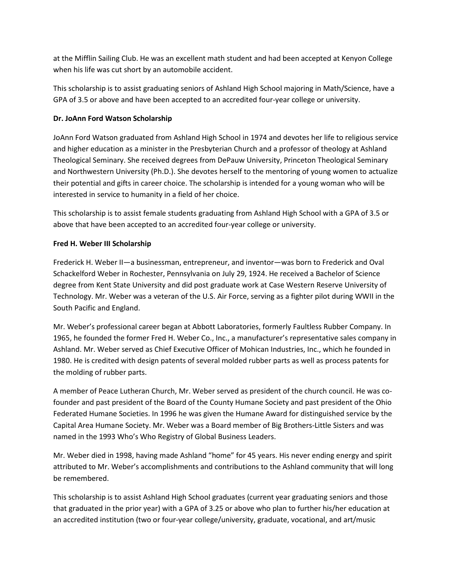at the Mifflin Sailing Club. He was an excellent math student and had been accepted at Kenyon College when his life was cut short by an automobile accident.

This scholarship is to assist graduating seniors of Ashland High School majoring in Math/Science, have a GPA of 3.5 or above and have been accepted to an accredited four-year college or university.

### **Dr. JoAnn Ford Watson Scholarship**

JoAnn Ford Watson graduated from Ashland High School in 1974 and devotes her life to religious service and higher education as a minister in the Presbyterian Church and a professor of theology at Ashland Theological Seminary. She received degrees from DePauw University, Princeton Theological Seminary and Northwestern University (Ph.D.). She devotes herself to the mentoring of young women to actualize their potential and gifts in career choice. The scholarship is intended for a young woman who will be interested in service to humanity in a field of her choice.

This scholarship is to assist female students graduating from Ashland High School with a GPA of 3.5 or above that have been accepted to an accredited four-year college or university.

## **Fred H. Weber III Scholarship**

Frederick H. Weber II—a businessman, entrepreneur, and inventor—was born to Frederick and Oval Schackelford Weber in Rochester, Pennsylvania on July 29, 1924. He received a Bachelor of Science degree from Kent State University and did post graduate work at Case Western Reserve University of Technology. Mr. Weber was a veteran of the U.S. Air Force, serving as a fighter pilot during WWII in the South Pacific and England.

Mr. Weber's professional career began at Abbott Laboratories, formerly Faultless Rubber Company. In 1965, he founded the former Fred H. Weber Co., Inc., a manufacturer's representative sales company in Ashland. Mr. Weber served as Chief Executive Officer of Mohican Industries, Inc., which he founded in 1980. He is credited with design patents of several molded rubber parts as well as process patents for the molding of rubber parts.

A member of Peace Lutheran Church, Mr. Weber served as president of the church council. He was cofounder and past president of the Board of the County Humane Society and past president of the Ohio Federated Humane Societies. In 1996 he was given the Humane Award for distinguished service by the Capital Area Humane Society. Mr. Weber was a Board member of Big Brothers-Little Sisters and was named in the 1993 Who's Who Registry of Global Business Leaders.

Mr. Weber died in 1998, having made Ashland "home" for 45 years. His never ending energy and spirit attributed to Mr. Weber's accomplishments and contributions to the Ashland community that will long be remembered.

This scholarship is to assist Ashland High School graduates (current year graduating seniors and those that graduated in the prior year) with a GPA of 3.25 or above who plan to further his/her education at an accredited institution (two or four-year college/university, graduate, vocational, and art/music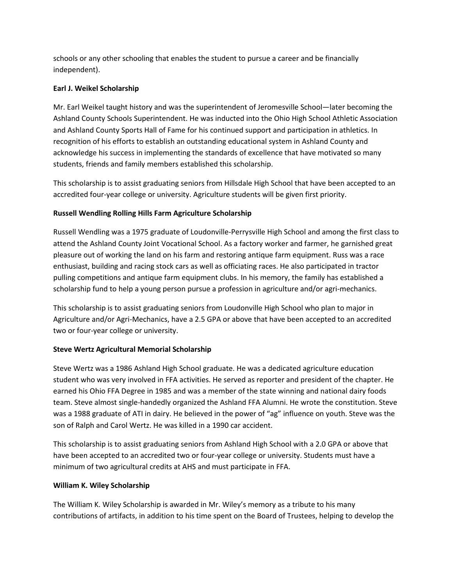schools or any other schooling that enables the student to pursue a career and be financially independent).

## **Earl J. Weikel Scholarship**

Mr. Earl Weikel taught history and was the superintendent of Jeromesville School—later becoming the Ashland County Schools Superintendent. He was inducted into the Ohio High School Athletic Association and Ashland County Sports Hall of Fame for his continued support and participation in athletics. In recognition of his efforts to establish an outstanding educational system in Ashland County and acknowledge his success in implementing the standards of excellence that have motivated so many students, friends and family members established this scholarship.

This scholarship is to assist graduating seniors from Hillsdale High School that have been accepted to an accredited four-year college or university. Agriculture students will be given first priority.

# **Russell Wendling Rolling Hills Farm Agriculture Scholarship**

Russell Wendling was a 1975 graduate of Loudonville-Perrysville High School and among the first class to attend the Ashland County Joint Vocational School. As a factory worker and farmer, he garnished great pleasure out of working the land on his farm and restoring antique farm equipment. Russ was a race enthusiast, building and racing stock cars as well as officiating races. He also participated in tractor pulling competitions and antique farm equipment clubs. In his memory, the family has established a scholarship fund to help a young person pursue a profession in agriculture and/or agri-mechanics.

This scholarship is to assist graduating seniors from Loudonville High School who plan to major in Agriculture and/or Agri-Mechanics, have a 2.5 GPA or above that have been accepted to an accredited two or four-year college or university.

# **Steve Wertz Agricultural Memorial Scholarship**

Steve Wertz was a 1986 Ashland High School graduate. He was a dedicated agriculture education student who was very involved in FFA activities. He served as reporter and president of the chapter. He earned his Ohio FFA Degree in 1985 and was a member of the state winning and national dairy foods team. Steve almost single-handedly organized the Ashland FFA Alumni. He wrote the constitution. Steve was a 1988 graduate of ATI in dairy. He believed in the power of "ag" influence on youth. Steve was the son of Ralph and Carol Wertz. He was killed in a 1990 car accident.

This scholarship is to assist graduating seniors from Ashland High School with a 2.0 GPA or above that have been accepted to an accredited two or four-year college or university. Students must have a minimum of two agricultural credits at AHS and must participate in FFA.

## **William K. Wiley Scholarship**

The William K. Wiley Scholarship is awarded in Mr. Wiley's memory as a tribute to his many contributions of artifacts, in addition to his time spent on the Board of Trustees, helping to develop the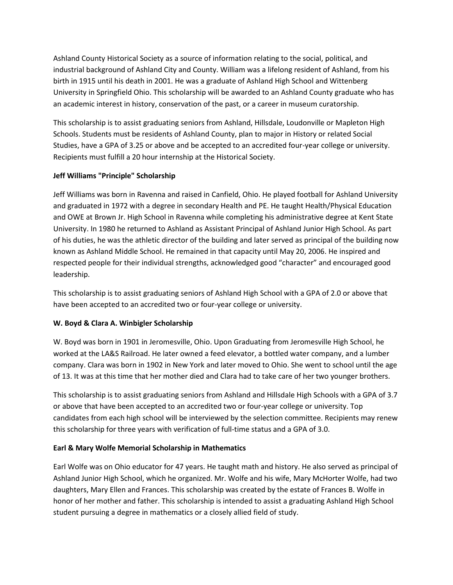Ashland County Historical Society as a source of information relating to the social, political, and industrial background of Ashland City and County. William was a lifelong resident of Ashland, from his birth in 1915 until his death in 2001. He was a graduate of Ashland High School and Wittenberg University in Springfield Ohio. This scholarship will be awarded to an Ashland County graduate who has an academic interest in history, conservation of the past, or a career in museum curatorship.

This scholarship is to assist graduating seniors from Ashland, Hillsdale, Loudonville or Mapleton High Schools. Students must be residents of Ashland County, plan to major in History or related Social Studies, have a GPA of 3.25 or above and be accepted to an accredited four-year college or university. Recipients must fulfill a 20 hour internship at the Historical Society.

## **Jeff Williams "Principle" Scholarship**

Jeff Williams was born in Ravenna and raised in Canfield, Ohio. He played football for Ashland University and graduated in 1972 with a degree in secondary Health and PE. He taught Health/Physical Education and OWE at Brown Jr. High School in Ravenna while completing his administrative degree at Kent State University. In 1980 he returned to Ashland as Assistant Principal of Ashland Junior High School. As part of his duties, he was the athletic director of the building and later served as principal of the building now known as Ashland Middle School. He remained in that capacity until May 20, 2006. He inspired and respected people for their individual strengths, acknowledged good "character" and encouraged good leadership.

This scholarship is to assist graduating seniors of Ashland High School with a GPA of 2.0 or above that have been accepted to an accredited two or four-year college or university.

## **W. Boyd & Clara A. Winbigler Scholarship**

W. Boyd was born in 1901 in Jeromesville, Ohio. Upon Graduating from Jeromesville High School, he worked at the LA&S Railroad. He later owned a feed elevator, a bottled water company, and a lumber company. Clara was born in 1902 in New York and later moved to Ohio. She went to school until the age of 13. It was at this time that her mother died and Clara had to take care of her two younger brothers.

This scholarship is to assist graduating seniors from Ashland and Hillsdale High Schools with a GPA of 3.7 or above that have been accepted to an accredited two or four-year college or university. Top candidates from each high school will be interviewed by the selection committee. Recipients may renew this scholarship for three years with verification of full-time status and a GPA of 3.0.

## **Earl & Mary Wolfe Memorial Scholarship in Mathematics**

Earl Wolfe was on Ohio educator for 47 years. He taught math and history. He also served as principal of Ashland Junior High School, which he organized. Mr. Wolfe and his wife, Mary McHorter Wolfe, had two daughters, Mary Ellen and Frances. This scholarship was created by the estate of Frances B. Wolfe in honor of her mother and father. This scholarship is intended to assist a graduating Ashland High School student pursuing a degree in mathematics or a closely allied field of study.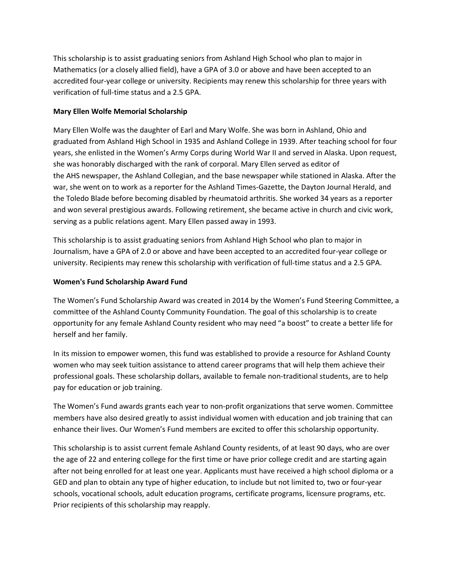This scholarship is to assist graduating seniors from Ashland High School who plan to major in Mathematics (or a closely allied field), have a GPA of 3.0 or above and have been accepted to an accredited four-year college or university. Recipients may renew this scholarship for three years with verification of full-time status and a 2.5 GPA.

### **Mary Ellen Wolfe Memorial Scholarship**

Mary Ellen Wolfe was the daughter of Earl and Mary Wolfe. She was born in Ashland, Ohio and graduated from Ashland High School in 1935 and Ashland College in 1939. After teaching school for four years, she enlisted in the Women's Army Corps during World War II and served in Alaska. Upon request, she was honorably discharged with the rank of corporal. Mary Ellen served as editor of the AHS newspaper, the Ashland Collegian, and the base newspaper while stationed in Alaska. After the war, she went on to work as a reporter for the Ashland Times-Gazette, the Dayton Journal Herald, and the Toledo Blade before becoming disabled by rheumatoid arthritis. She worked 34 years as a reporter and won several prestigious awards. Following retirement, she became active in church and civic work, serving as a public relations agent. Mary Ellen passed away in 1993.

This scholarship is to assist graduating seniors from Ashland High School who plan to major in Journalism, have a GPA of 2.0 or above and have been accepted to an accredited four-year college or university. Recipients may renew this scholarship with verification of full-time status and a 2.5 GPA.

### **Women's Fund Scholarship Award Fund**

The Women's Fund Scholarship Award was created in 2014 by the Women's Fund Steering Committee, a committee of the Ashland County Community Foundation. The goal of this scholarship is to create opportunity for any female Ashland County resident who may need "a boost" to create a better life for herself and her family.

In its mission to empower women, this fund was established to provide a resource for Ashland County women who may seek tuition assistance to attend career programs that will help them achieve their professional goals. These scholarship dollars, available to female non-traditional students, are to help pay for education or job training.

The Women's Fund awards grants each year to non-profit organizations that serve women. Committee members have also desired greatly to assist individual women with education and job training that can enhance their lives. Our Women's Fund members are excited to offer this scholarship opportunity.

This scholarship is to assist current female Ashland County residents, of at least 90 days, who are over the age of 22 and entering college for the first time or have prior college credit and are starting again after not being enrolled for at least one year. Applicants must have received a high school diploma or a GED and plan to obtain any type of higher education, to include but not limited to, two or four-year schools, vocational schools, adult education programs, certificate programs, licensure programs, etc. Prior recipients of this scholarship may reapply.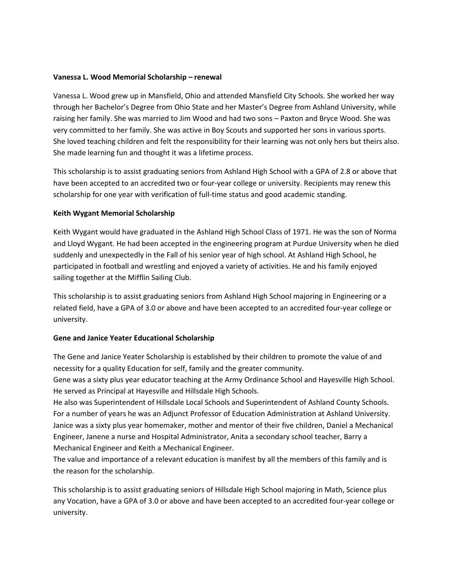#### **Vanessa L. Wood Memorial Scholarship – renewal**

Vanessa L. Wood grew up in Mansfield, Ohio and attended Mansfield City Schools. She worked her way through her Bachelor's Degree from Ohio State and her Master's Degree from Ashland University, while raising her family. She was married to Jim Wood and had two sons – Paxton and Bryce Wood. She was very committed to her family. She was active in Boy Scouts and supported her sons in various sports. She loved teaching children and felt the responsibility for their learning was not only hers but theirs also. She made learning fun and thought it was a lifetime process.

This scholarship is to assist graduating seniors from Ashland High School with a GPA of 2.8 or above that have been accepted to an accredited two or four-year college or university. Recipients may renew this scholarship for one year with verification of full-time status and good academic standing.

#### **Keith Wygant Memorial Scholarship**

Keith Wygant would have graduated in the Ashland High School Class of 1971. He was the son of Norma and Lloyd Wygant. He had been accepted in the engineering program at Purdue University when he died suddenly and unexpectedly in the Fall of his senior year of high school. At Ashland High School, he participated in football and wrestling and enjoyed a variety of activities. He and his family enjoyed sailing together at the Mifflin Sailing Club.

This scholarship is to assist graduating seniors from Ashland High School majoring in Engineering or a related field, have a GPA of 3.0 or above and have been accepted to an accredited four-year college or university.

#### **Gene and Janice Yeater Educational Scholarship**

The Gene and Janice Yeater Scholarship is established by their children to promote the value of and necessity for a quality Education for self, family and the greater community.

Gene was a sixty plus year educator teaching at the Army Ordinance School and Hayesville High School. He served as Principal at Hayesville and Hillsdale High Schools.

He also was Superintendent of Hillsdale Local Schools and Superintendent of Ashland County Schools. For a number of years he was an Adjunct Professor of Education Administration at Ashland University. Janice was a sixty plus year homemaker, mother and mentor of their five children, Daniel a Mechanical Engineer, Janene a nurse and Hospital Administrator, Anita a secondary school teacher, Barry a Mechanical Engineer and Keith a Mechanical Engineer.

The value and importance of a relevant education is manifest by all the members of this family and is the reason for the scholarship.

This scholarship is to assist graduating seniors of Hillsdale High School majoring in Math, Science plus any Vocation, have a GPA of 3.0 or above and have been accepted to an accredited four-year college or university.